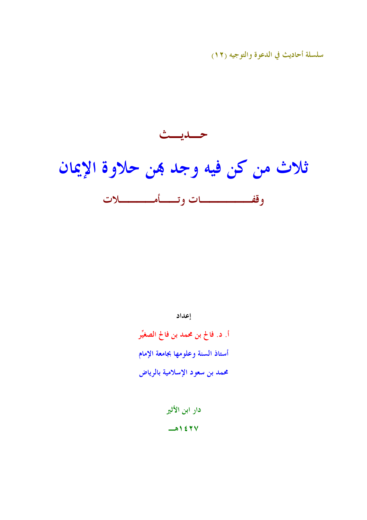سلسلة أحاديث في الدعوة والتوجيه (١٢)



إعداد

اً. د. فالح بن محمد بن فالح الصغيِّر أستاذ السنة وعلومها بجامعة الإمام محمد بن سعود الإسلامية بالرياض

> دار ابن الأثير  $\rightarrow$  1277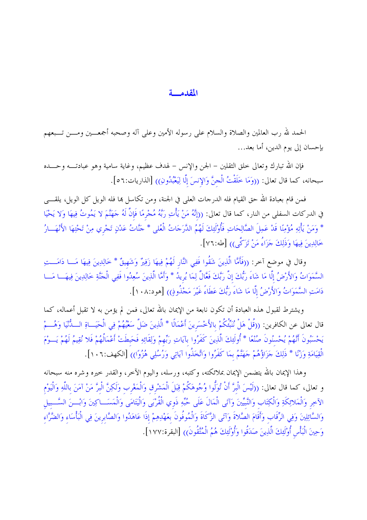#### المقدمسة

الحمد لله رب العالمين والصلاة والسلام على رسوله الأمين وعلى آله وصحبه أجمعــين ومـــن تـــبعهم بإحسان إلى يوم الدين، أما بعد...

فإن الله تبارك وتعالى خلق الثقلين – الجن والإنس – لهدف عظيم، وغاية سامية وهو عبادتـــه وحـــده سبحانه، كما قال تعالى: ((وَمَا خَلَقْتُ الْجنَّ وَالإِنسَ إِلَّا لِيَعْبُدُونِ)) [الذاريات:٥٦].

فمن قام بعبادة الله حق القيام فله الدرجات العلمي في الجنة، ومن تكاسل بما فله الويل كل الويل، يلقــــي في الدركات السفلي من النار، كما قال تعالى: ((إنَّهُ مَنْ يَأْتِ رَبَّهُ مُجْرِمًا فَإِنَّ لَهُ جَهَنَّمَ لا يَمُوتُ فِيهَا وَلا يَحْيَا \* وَمَنْ يَأْتِهِ مُؤْمِنًا قَدْ عَمِلَ الصَّالِحَاتِ فَأُوْلَئِكَ لَهُمُ الدَّرَجَاتُ الْعُلى \* حَنَّاتُ عَدْنٍ تَجْري مِنْ تَحْتِهَا الأَنْهَــارُ خَالِدِينَ فِيهَا وَذَلِكَ جَزَاءُ مَنْ تَزَكَّى)) [طه:٧٦].

وقال في موضع آخر: ((فَأَمَّا الَّذِينَ شَقُوا فَفِي النَّارِ لَهُمْ فِيهَا زَفِيرٌ وَشَهِيقٌ \* خَالِدِينَ فِيهَا مَـــا دَامَـــتِ السَّمَوَاتُ وَالأَرْضُ إِلَّا مَا شَاءَ رَبُّكَ إِنَّ رَبَّكَ فَعَّالٌ لِمَا يُرِيدُ \* وَأَمَّا الَّذِينَ سُعِدُوا فَفِي الْجَنَّةِ خَالِدِينَ فِيهَــا مَــا دَامَتِ السَّمَوَاتُ وَالأَرْضُ إِلَّا مَا شَاءَ رَبُّكَ عَطَاءً غَيْرَ مَجْذُوذٍ)) [هود:١٠٨].

ويشترط لقبول هذه العبادة أن تكون نابعة من الإيمان بالله تعالى، فمن لم يؤمن به لا تقبل أعماله، كما قال تعالى عن الكافرين: ((قُلْ هَلْ نُنَبِّئُكُمْ بالأَخْسَرِينَ أَعْمَالًا \* الَّذِينَ ضَلَّ سَعْيُهُمْ فِي الْحَيَــاةِ الــدُّنْيَا وَهُـــمْ يَحْسَبُونَ أَنَّهُمْ يُحْسنُونَ صُنْعًا \* أُولَئِكَ الَّذِينَ كَفَرُوا بآياتِ رَبِّهِمْ وَلِقَائِهِ فَحَبطَتْ أَعْمَالُهُمْ فَلا نُقِيمُ لَهُمْ يَــوْمَ الْقِيَامَةِ وَزْنًا \* ذَلِكَ حَزَاؤُهُمْ حَهَنَّمُ بِمَا كَفَرُوا وَاتَّخَذُوا آيَاتِي وَرُسُلِي هُزُوًا)) [الكهف:١٠٦].

وهذا الإيمان بالله يتضمن الإيمان بملائكته، وكتبه، ورسله، واليوم الآخر، والقدر خيره وشره منه سبحانه و تعالى، كما قال تعالى: ((لَيْسَ الْبرَّ أَنْ تُوَلُّوا وُجُوهَكُمْ قِبَلَ الْمَشْرق وَالْمَغْرِب وَلَكِنَّ الْبرَّ مَنْ آمَنَ باللَّهِ وَالْيَوْمِ الآخِرِ وَالْمَلائِكَةِ وَالْكِتَابِ وَالنَّبِيِّينَ وَآتَى الْمَالَ عَلَى حُبِّهِ ذَوِي الْقُرْبَى وَالْيَتَامَى وَالْمَسَــاكِينَ وَابْـــنَ السَّــبيل وَالسَّائِلِينَ وَفِي الرِّقَابِ وَأَقَامَ الصَّلاةَ وَآتَى الزَّكَاةَ وَالْمُوفُونَ بِعَهْدِهِمْ إذَا عَاهَدُوا وَالصَّابرينَ فِي الْبَأْسَاء وَالضَّرَّاء وَحِينَ الْبَأْسِ أُوْلَئِكَ الَّذِينَ صَدَقُوا وَأُوْلَئِكَ هُمُ الْمُتَّقُونَ)) [البقرة:١٧٧].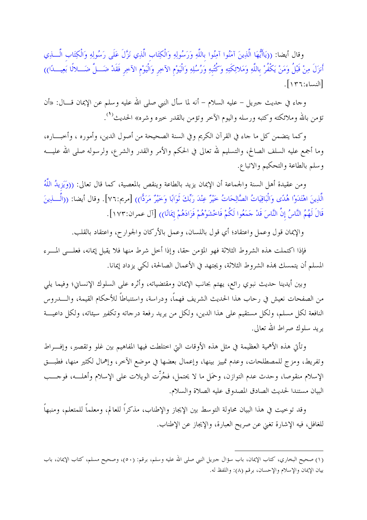وقال أيضا: ((يَاأَيُّهَا الَّذِينَ آمَنُوا آمِنُوا باللَّهِ وَرَسُولِهِ وَالْكِتَابِ الَّذِي نَزَّلَ عَلَى رَسُولِهِ وَالْكِتَابِ الَّـــذِي أَنزَلَ مِنْ قَبْلُ وَمَنْ يَكْفُرْ باللَّهِ وَمَلائِكَتِهِ وَكُتُبهِ وَرُسُلِهِ وَالْيَوْمِ الآخِرِ وَالْيَوْمِ الآخِرِ فَقَدْ ضَـــلَّ ضَـــلالًا بَعِيـــدًا)) [النساء: ١٣٦].

وجاء في حديث حبريل – عليه السلام – أنه لما سأل النبي صلى الله عليه وسلم عن الإيمان قــــال: «أن تؤمن بالله وملائكته وكتبه ورسله واليوم الآخر وتؤمن بالقدر حيره وشره» الحديث<sup>(١</sup>).

وكما يتضمن كل ما جاء في القرآن الكريم وفي السنة الصحيحة من أصول الدين، وأموره ، وأحبـــاره، وما أجمع عليه السلف الصالح، والتسليم لله تعالى في الحكم والأمر والقدر والشرع، ولرسوله صلى الله عليـــه وسلم بالطاعة والتحكيم والاتباع.

ومن عقيدة أهل السنة والجماعة أن الإيمان يزيد بالطاعة وينقص بالمعصية، كما قال تعالى: ((وَيَزِيدُ اللَّهُ الَّذِينَ اهْتَدَوْا هُدًى وَالْبَاقِيَاتُ الصَّالِحَاتُ خَيْرٌ عِنْدَ رَبِّكَ ثَوَابًا وَخَيْرٌ مَرَدًّا)) [مريم:٧٦]. وقال أيضا: ((الَّــــذِينَ قَالَ لَهُمُ النَّاسُ إِنَّ النَّاسَ قَدْ حَمَعُوا لَكُمْ فَاحْشَوْهُمْ فَزَادَهُمْ إِيمَانًا)) [آل عمران:١٧٣].

والإيمان قول وعمل واعتقاد؛ أي قول باللسان، وعمل بالأركان والجوارح، واعتقاد بالقلب.

فإذا اكتملت هذه الشروط الثلاثة فهو المؤمن حقا، وإذا أخل شرط منها فلا يقبل إيمانه، فعلـــي المـــرء المسلم أن يتمسك هذه الشروط الثلاثة، ويجتهد في الأعمال الصالحة، لكي يزداد إيمانا.

وبين أيدينا حديث نبوي رائع، يهتم بحانب الإيمان ومقتضياته، وأثره على السلوك الإنساني؛ وفيما يلي من الصفحات نعيش في رحاب هذا الحديث الشريف فهماً، ودراسة، واستنباطاً للأحكام القيمة، والــــدروس النافعة لكل مسلم، ولكل مستقيم على هذا الدين، ولكل من يريد رفعة درجاته وتكفير سيئاته، ولكل داعيـــة يريد سلوك صراط الله تعالى.

وتأتي هذه الأهمية العظيمة في مثل هذه الأوقات التي اختلطت فيها المفاهيم بين غلو وتقصير، وإفسراط وتفريط، ومزج للمصطلحات، وعدم تمييز بينها، وإعمال بعضها في موضع الآخر، وإهمال لكثير منها، فطبتي الإسلام منقوصا، وحدث عدم التوازن، وحمَل ما لا يحتمل، فجُرِّت الويلات على الإسلام وأهلـــه، فوجـــب البيان مستندا لحديث الصادق المصدوق عليه الصلاة والسلام.

وقد توحيت في هذا البيان محاولة التوسط بين الإيجاز والإطناب، مذكراً للعالم، ومعلماً للمتعلم، ومنبهاً للغافل، فيه الإشارة تغني عن صريح العبارة، والإيجاز عن الإطناب.

<sup>(</sup>١) صحيح البخاري، كتاب الإيمان، باب سؤال حبريل النبي صلى الله عليه وسلم، برقم: (٥٠)، وصحيح مسلم، كتاب الإيمان، باب بيان الإيمان والإسلام والإحسان، برقم (٨): واللفظ له.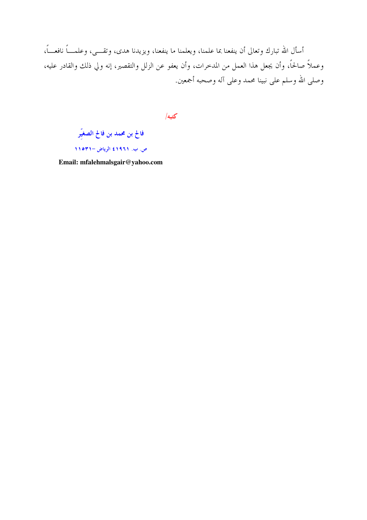أسأل الله تبارك وتعالى أن ينفعنا بما علمنا، ويعلمنا ما ينفعنا، ويزيدنا هدى، وتقـــي، وعلمــــاً نافعـــاً، وعملاً صالحاً، وأن يجعل هذا العمل من المدخرات، وأن يعفو عن الزلل والتقصير، إنه ولي ذلك والقادر عليه، وصلى الله وسلم على نبينا محمد وعلى آله وصحبه أجمعين.

كتبه/

فالح بن محمد بن فالح الصغيّر

ص. ب. ١٩٩١٤ الرياض –١١٥٣١

Email: mfalehmalsgair@yahoo.com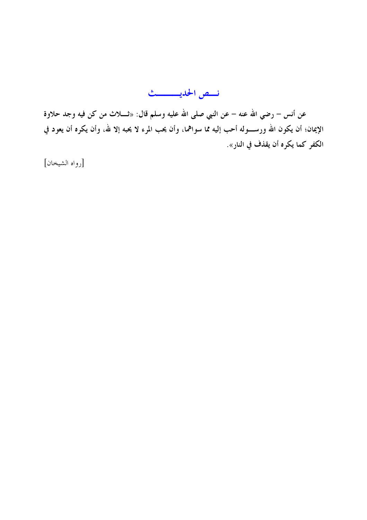نسص الحديسسيث

عن أنس – رضي الله عنه – عن النبي صلى الله عليه وسلم قال: «ثــــلاث من كن فيه وجد حلاوة الإيمان؛ أن يكون الله ورســــوله أحب إليه مما سواهما، وأن يحب المرء لا يحبه إلا لله، وأن يكره أن يعود في الكفر كما يكره أن يقذف في النار».

[رواه الشيخان]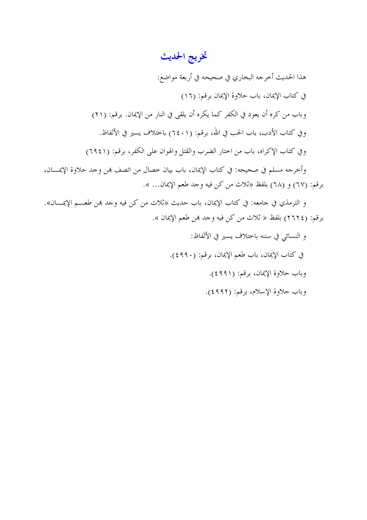# تخريج الحديث

هذا الحديث أخرجه البخاري في صحيحه في أربعة مواضع: في كتاب الإيمان، باب حلاوة الإيمان برقم: (١٦) وباب من كره أن يعود في الكفر كما يكره أن يلقى في النار من الإيمان. برقم: (٢١) وفي كتاب الأدب، باب الحب في الله، برقم: (٦٤٠١) باختلاف يسير في الألفاظ. وفي كتاب الإكراه، باب من اختار الضرب والقتل والهوان على الكفر، برقم: (٦٩٤١) وأخرجه مسلم في صحيحه: في كتاب الإيمان، باب بيان خصال من اتصف هِن وجد حلاوة الإيمــــان، برقم: (٦٧) و (٦٨) بلفظ «ثلاث من كن فيه وجد طعم الإيمان... ».

و الترمذي في جامعه: في كتاب الإيمان، باب حديث «ثلاث من كن فيه وجد بمن طعــــم الإيمــــان». برقم: (٢٦٢٤) بلفظ « ثلاث من كن فيه وجد هِن طعم الإيمان ».

> و النسائي في سننه باحتلاف يسير في الألفاظ: في كتاب الإيمان، باب طعم الإيمان، برقم: (٤٩٩٠). وباب حلاوة الإيمان، برقيم: (٩٩١). وباب حلاوة الإسلام، برقم: (٤٩٩٢).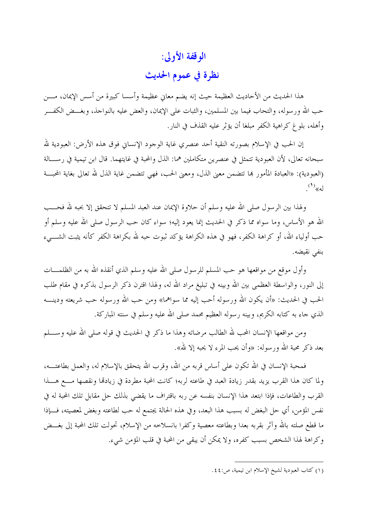## الوقفة الأولى:

### نظرة في عموم الحديث

هذا الحديث من الأحاديث العظيمة حيث إنه يضم معاني عظيمة وأسسا كبيرة من أسس الإيمان، مــــن حب الله ورسوله، والتحاب فيما بين المسلمين، والثبات على الإيمان، والعض عليه بالنواحذ، وبغـــض الكفـــر وأهله، بلوغ كراهية الكفر مبلغا أن يؤثر عليه القذف في النار .

إن الحب في الإسلام بصورته النقية أحد عنصري غاية الوجود الإنساني فوق هذه الأرض: العبودية لله سبحانه تعالى، لأن العبودية تتمثل في عنصرين متكاملين هما: الذل والمحبة في غايتهما. قال ابن تيمية في رســـالة (العبودية): «العبادة المأمور بما تتضمن معنى الذل، ومعنى الحب، فهي تتضمن غاية الذل لله تعالى بغاية المحبسة  $(')_{\langle\langle a| \rangle}$ 

ولهذا بين الرسول صلى الله عليه وسلم أن حلاوة الإيمان عند العبد المسلم لا تتحقق إلا بحبه لله فحـــب الله هو الأساس، وما سواه مما ذكر في الحديث إنما يعود إليه؛ سواء كان حب الرسول صلى الله عليه وسلم أو حب أولياء الله، أو كراهة الكفر، فهو في هذه الكراهة يؤكد ثبوت حبه لله بكراهة الكفر كأنه يثبت الشــــىء بنفي نقيضه.

وأول موقع من مواقعها هو حب المسلم للرسول صلى الله عليه وسلم الذي أنقذه الله به من الظلمـــات إلى النور، والواسطة العظمى بين الله وبينه في تبليغ مراد الله له، ولهذا اقترن ذكر الرسول بذكره في مقام طلب الحب في الحديث: «أن يكون الله ورسوله أحب إليه مما سواهما» ومن حب الله ورسوله حب شريعته ودينــــه الذي جاء به كتابه الكريم، وبينه رسوله العظيم محمد صلى الله عليه وسلم في سنته المباركة.

ومن مواقعها الإنسان المحب لله الطالب مرضاته وهذا ما ذكر في الحديث في قوله صلى الله عليه وســــلم بعد ذكر محبة الله ورسوله: «وأن يحب المرء لا يحبه إلا لله».

فمحبة الإنسان في الله تكون على أساس قربه من الله، وقرب الله يتحقق بالإسلام له، والعمل بطاعتــــه، ولما كان هذا القرب يزيد بقدر زيادة العبد في طاعته لربه؛ كانت المحبة مطردة في زيادها ونقصها مسع هسذا القرب والطاعات، فإذا ابتعد هذا الإنسان بنفسه عن ربه باقتراف ما يقضي بذلك حل مقابل تلك المحبة له في نفس المؤمن، أي حل البغض له بسبب هذا البعد، وفي هذه الحالة يجتمع له حب لطاعته وبغض لمعصيته، فـــإذا ما قطع صلته بالله وآثر بقربه بعدا وبطاعته معصية وكفرا بانسلاخه من الإسلام، تحولت تلك المحبة إلى بغـــض وكراهة لهذا الشخص بسبب كفره، ولا يمكن أن يبقى من المحبة في قلب المؤمن شيء.

<sup>(</sup>١) كتاب العبودية لشيخ الإسلام ابن تيمية، ص:٤٤.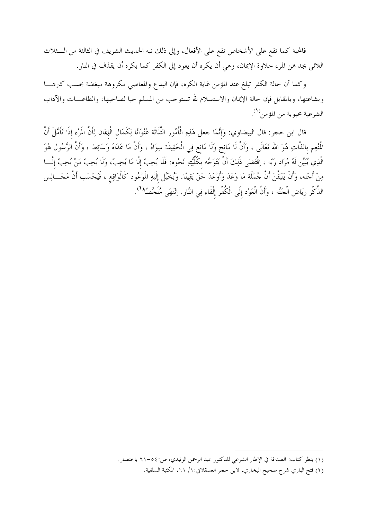فالمحبة كما تقع على الأشخاص تقع على الأفعال، وإلى ذلك نبه الحديث الشريف في الثالثة من الـــثلاث اللائي يجد بمن المرء حلاوة الإيمان، وهي أن يكره أن يعود إلى الكفر كما يكره أن يقذف في النار.

وكما أن حالة الكفر تبلغ عند المؤمن غاية الكره، فإن البدع والمعاصي مكروهة مبغضة بحسب كبرهـــا وبشاعتها، وبالمقابل فإن حالة الإيمان والاستسلام لله تستوجب من المسلم حبا لصاحبها، والطاعـــات والآداب الشرعية محبوبة من المؤمن<sup>(١</sup>).

قال ابن حجر: قال البيضاوي: وَإِنَّمَا جعل هَذِهِ الْأُمُور الثَّلَاثَة عُنْوَانًا لِكَمَال الْإِيمَان لِأَنَّ المَرْء إذَا تَأَمَّلَ أَنَّ المُنْعِم بالذَّاتِ هُوَ الله تَعَالَى ، وَأَنْ لَا مَانحٍ وَلَا مَانعٍ فِي الْحَقِيقَة سِوَاهُ ، وَأَنَّ مَا عَدَاهُ وَسَائِط ، وَأَنَّ الرَّسُول هُوَ الَّذِي يُبَيِّن لَهُ مُرَاد رَبّه ، اِقْتَضَى ذَلِكَ أَنْ يَتَوَجَّه بِكُلِّيَّتِهِ نَحْوه: فَلَا يُحِبّ إلَّا مَا يُحِبّ وَلَا يُحِبّ مَنْ يُحِبّ إلَّـــا مِنْ أَحْله، وَأَنْ يَتَيَقَّنَ أَنَّ حُمْلَة مَا وَعَدَ وَأَوْعَدَ حَقّ يَقِينًا. وَيُخَيَّل إلَيْهِ المَوْعُود كَالْوَاقِع ، فَيَحْسَب أَنَّ مَحَـــالِس الذِّكْرِ رِيَاضِ الْجَنَّة ، وَأَنَّ الْعَوْدِ إِلَى الْكُفْرِ إِلْقَاءِ فِي النَّارِ. اِنْتَهَى مُلَخَّصًا<sup>(٢</sup>).

<sup>(</sup>١) ينظر كتاب: الصداقة في الإطار الشرعي للدكتور عبد الرحمن الزنيدي، ص:٥٤-٦١ باحتصار.

<sup>(</sup>٢) فتح الباري شرح صحيح البخاري، لابن حجر العسقلاني: ١/ ٢١، المكتبة السلفية.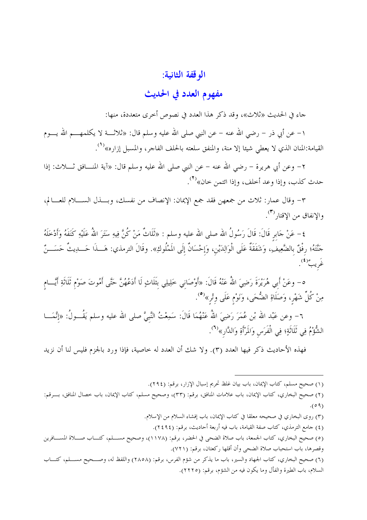### الوقفة الثانية:

### مفهوم العدد في الحديث

جاء في الحديث «ثلاث»، وقد ذكر هذا العدد في نصوص أخرى متعددة، منها:

١– عن أبي ذر – رضي الله عنه – عن النبي صلى الله عليه وسلم قال: «ثلاثــــة لا يكلمهــــم الله يــــوم القيامة:المنان الذي لا يعطي شيئا إلا منة، والمنفق سلعته بالحلف الفاحر، والمسبل إزاره»<sup>(١)</sup>.

٢– وعن أبي هريرة – رضي الله عنه – عن النبي صلى الله عليه وسلم قال: «آية المنـــافق ثــــلاث: إذا حدث كذب، وإذا وعد أحلف، وإذا ائتمن حان»<sup>(٢)</sup>.

٣- وقال عمار: ثلاث من جمعهن فقد جمع الإيمان: الإنصاف من نفسك، وبـــذل الســــلام للعــــالم، والانفاق من الاقتا<sub>ر</sub> (۳) .

٤ – عَنْ حَابر قَالَ: قَالَ رَسُولُ الله صلى الله عليه وسلم : «ثَلَاثٌ مَنْ كُنَّ فِيهِ سَتَرَ اللهُ عَلَيْهِ كَنَفَهُ وَأَدْخَلَهُ حَنَّتَهُ؛ رِفْقٌ بِالضَّعِيفِ، وَشَفَقَةٌ عَلَى الْوَالِدَيْنِ، وَإِحْسَانٌ إِلَى الَمْلُوكِ». وقَالَ الترمذي: هَـــذَا حَـــدِيثٌ حَسَـــنٌ ئريبٌ<sup>(٤</sup>).

٥– وعَنْ أَبِي هُرَيْرَةَ رَضِيَ اللهُ عَنْهُ قَالَ: «أَوْصَانِي خَلِيلِي بثَلَاثٍ لَا أَدَعُهُنَّ حَتَّى أَمُوتَ صَوْم ثَلَاثَةِ أَيَّـــام مِنْ كُلِّ شَهْر، وَصَلَاةِ الضُّحَى، وَنَوْم عَلَى وتْر»<sup>(٥</sup>).

٦– وعن عَبْد الله بْن عُمَرَ رَضِيَ اللهُ عَنْهُمَا قَالَ: سَمِعْتُ النَّبيَّ صلى الله عليه وسلم يَقُـــولُ: «إنَّمَـــا الشُّوْمُ فِي ثَلَاثَةٍ؛ فِي الْفَرَس وَالمَرْأَةِ وَالدَّارِ»<sup>(٦)</sup>.

فهذه الأحاديث ذكر فيها العدد (٣). ولا شك أن العدد له خاصية، فإذا ورد بالجزم فليس لنا أن نزيد

(١) صحيح مسلم، كتاب الإيمان، باب بيان غلظ تحريم إسبال الإزار، برقم: (٢٩٤).

(٢) صحيح البخاري، كتاب الإيمان، باب علامات المنافق، برقم: (٣٣)، وصحيح مسلم، كتاب الإيمان، باب خصال المنافق، بسرقم:  $(09)$ 

(٣) روى البخاري في صحيحه معلقا في كتاب الإيمان، باب إفشاء السلام من الإسلام.

(٤) جامع الترمذي، كتاب صفة القيامة، باب فيه أربعة أحاديث، برقم: (٢٤٩٤).

(٥) صحيح البخاري، كتاب الجمعة، باب صلاة الضحى في الحضر، برقم: (١١٧٨)، وصحيح مســـلم، كتـــاب صـــلاة المســـافرين وقصرها، باب استحباب صلاة الضحى وأن أقلها ركعتان، برقم: (٧٢١).

(٦) صحيح البخاري، كتاب الجهاد والسير، باب ما يذكر من شؤم الفرس، برقم: (٢٨٥٨) واللفظ له، وصــحيح مســـلم، كتـــاب السلام، باب الطيرة والفأل وما يكون فيه من الشؤم، برقم: (٢٢٢٥).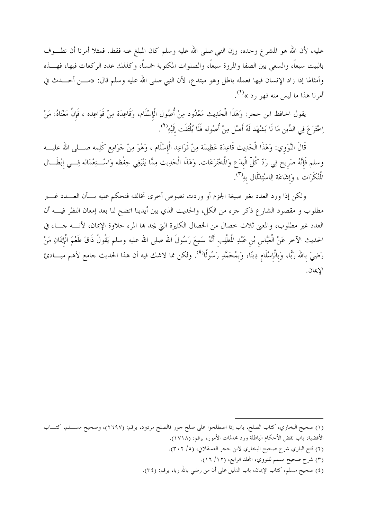عليه، لأن الله هو المشرع وحده، وإن النبي صلى الله عليه وسلم كان المبلغ عنه فقط. فمثلا أمرنا أن نطـــوف بالبيت سبعاً، والسعى بين الصفا والمروة سبعاً، والصلوات المكتوبة حمساً، وكذلك عدد الركعات فيها، فهـــذه وأمثالها إذا زاد الإنسان فيها فعمله باطل وهو مبتدع، لأن النبي صلى الله عليه وسلم قال: «مــــن أحــــدث في أمرنا هذا ما ليس منه فهو رد »<sup>(1)</sup>.

يقول الحافظ ابن حجر: وَهَذَا الْحَدِيث مَعْدُود مِنْ أُصُول الْإِسْلَام، وَقَاعِدَة مِنْ قَوَاعِده ، فَإِنَّ مَعْنَاهُ: مَنْ اِحْتَرَعَ فِي الدِّينِ مَا لَا يَشْهَد لَهُ أَصْلِ مِنْ أُصُوله فَلَا يُلْتَفَت إلَيْهِ<sup>(٢</sup>).

قَالَ النَّوَوي: وَهَذَا الْحَدِيث قَاعِدَة عَظِيمَة مِنْ قَوَاعِد الْإِسْلَام ، وَهُوَ مِنْ حَوَامِع كَلِمه صـــلى الله عليــــه وسلم فَإِنَّهُ صَرِيحٍ فِي رَدِّ كُلَّ الْبِدَعِ وَالْمَخْتَرَعَات. وَهَذَا الْحَدِيث مِمَّا يَنْبَغِي حِفْظه وَاسْــتِعْمَاله فِـــي إِبْطَـــال الْمُنْكَرَات ، وَإِشَاعَة الِاسْتِدْلَال بهِ<sup>(٣)</sup>.

ولكن إذا ورد العدد بغير صيغة الجزم أو وردت نصوص أخرى تخالفه فنحكم عليه بسأن العسدد غسير مطلوب و مقصود الشارع ذكر جزء من الكل، والحديث الذي بين أيدينا اتضح لنا بعد إمعان النظر فيــــه أن العدد غير مطلوب، والمعنى ثلاث خصال من الخصال الكثيرة التي يجد بما المرء حلاوة الإيمان، لأنسه جساء في الحديث الآخر عَنْ الْعَبَّاس بْن عَبْدِ الْمطَّلِب أَنَّهُ سَمِعَ رَسُولَ الله صلى الله عليه وسلم يَقُولُ ذَاقَ طَعْمَ الْإيمَانِ مَنْ رَضِيَ بالله رَبًّا، وَبالْإِسْلَام دِينًا، وَبمُحَمَّدٍ رَسُولًا<sup>(٤)</sup>. ولكن مما لاشك فيه أن هذا الحديث حامع لأهم مبـــادئ الايمان.

- الأقضية، باب نقض الأحكام الباطلة ورد محدثات الأمور، برقم: (١٧١٨).
- (٢) فتح الباري شرح صحيح البخاري لابن حجر العسقلاني، (٥/ ٣٠٢).
	- (٣) شرح صحيح مسلم للنووي، المحلد الرابع، (١٢/ ١٦).
- (٤) صحيح مسلم، كتاب الإيمان، باب الدليل على أن من رضي بالله ربا، برقم: (٣٤).

<sup>(</sup>١) صحيح البخاري، كتاب الصلح، باب إذا اصطلحوا على صلح حور فالصلح مردود، برقم: (٢٦٩٧)، وصحيح مســـلم، كتـــاب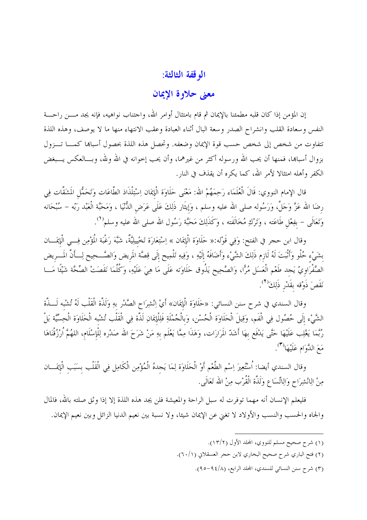#### الوقفة الثالثة:

### معنى حلاوة الإيمان

إن المؤمن إذا كان قلبه مطمئنا بالإيمان ثم قام بامتثال أوامر الله، واحتناب نواهيه، فإنه يجد مــــن راحــــة النفس وسعادة القلب وانشراح الصدر وسعة البال أثناء العبادة وعقب الانتهاء منها ما لا يوصف، وهذه اللذة تتفاوت من شخص إلى شخص حسب قوة الإيمان وضعفه. وتحصل هذه اللذة بحصول أسباها كمـــا تـــزول بزوال أسباها، فمنها أن يحب الله ورسوله أكثر من غيرهما، وأن يحب إحوانه في الله ولله، وبـــالعكس يـــبغض الكفر وأهله امتثالًا لأمر الله، كما يكره أن يقذف في النار .

قال الإمام النووي: قَالَ الْعُلَمَاء رَحِمَهُمْ الله: مَعْنَى حَلَاوَة الْإِيمَان اِسْتِلْذَاذ الطَّاعَات وَتَحَمُّل المَشَقَّات فِي رضَا الله عَزَّ وَحَلَّ، وَرَسُوله صلى الله عليه وسلم ، وَإيثَار ذَلِكَ عَلَى عَرَض الدُّنْيَا ، وَمَحَبَّة الْعَبْد رَبّه – سُبْحَانه وَتَعَالَى – بفِعْل طَاعَته ، وَتَرْكِ مُخَالَفَته ، وَكَذَلِكَ مَحَبَّة رَسُول الله صلى الله عليه وسلم''.

وقال ابن حجر في الفتح: وَفِي قَوْله:« حَلَاوَة الْإِيمَان » اِسْتِعَارَة تَخْيِيلِيَّةٌ، شَبَّهَ رَغْبَة المُؤْمِن فِسي الْإِيمَـــان بشَيْء حُلْو وَأَنْبَتَ لَهُ لَازِم ذَلِكَ الشَّيْء وَأَضَافَهُ إلَيْهِ ، وَفِيهِ تَلْمِيح إلَى قِصَّة المريض وَالصَّــحِيح لِـــأنَّ المَـــريض الصَّفْرَاوِيّ يَجِد طَعْم الْعَسَل مُرًّا، وَالصَّحِيح يَذُوق حَلَاوَته عَلَى مَا هِيَ عَلَيْهِ، وَكُلَّمَا نَقَصَتْ الصِّحَّة شَيْئًا مَـــا نَقَصَ ذَوْقه بقَدْرِ ذَلِكَ<sup>(٢</sup>).

وقال السندي في شرح سنن النسائي: «حَلَاوَة الْإِيمَان» أَيْ اِنْشِرَاح الصَّدْر بهِ وَلَذَّة الْقَلْب لَهُ تُشْبه لَـــذَّة الشَّيْءِ إلَى حُصُول فِي الْفَم، وَقِيلَ الْحَلَاوَة الْحُسْن، وَبِالْجُمْلَةِ فَلِلْإِيمَانِ لَذَّة فِي الْقَلْب تُشْبه الْحَلَاوَة الْحِسِّيَّة بَلْ رُبَّمَا يَغْلِب عَلَيْهَا حَتَّى يَدْفَع بهَا أَشَدّ المَرَارَات، وَهَذَا مِمَّا يَعْلَم بهِ مَنْ شَرَحَ الله صَدْره لِلْإسْلَام، اللهُمَّ اُرْزُقْنَاهَا مَعَ الدَّوَامِ عَلَيْهَا<sup>(٣)</sup>.

وقال السندي أيضا: اُسْتُعِيرَ اِسْم الطَّعْم أَوْ الْحَلَاوَة لِمَا يَحدهُ الْمُؤْمِن الْكَامِل فِي الْقَلْب بسَبَب الْإيمَـــان مِنْ الِانْشِرَاحِ وَالِاتِّسَاعِ وَلَذَّةِ الْقُرْبِ مِنْ الله تَعَالَى.

فليعلم الإنسان أنه مهما توفرت له سبل الراحة والمعيشة فلن يجد هذه اللذة إلا إذا وثق صلته بالله، فالمال والجاه والحسب والنسب والأولاد لا تغني عن الإيمان شيئا، ولا نسبة بين نعيم الدنيا الزائل وبين نعيم الإيمان.

- (١) شرح صحيح مسلم للنووي، المحلد الأول (١٣/٢).
- (٢) فتح الباري شرح صحيح البخاري لابن حجر العسقلاني (٦٠/١).
	- (٣) شرح سنن النسائي للسندي، المحلد الرابع، (٩٤/٨-٩٥).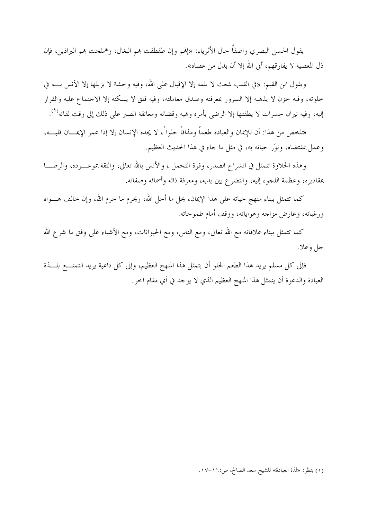يقول الحسن البصري واصفاً حال الأثرياء: «إنهم وإن طقطقت بمم البغال، وهملجت بمم البراذين، فإن ذل المعصية لا يفارقهم، أبي الله إلا أن يذل من عصاه».

ويقول ابن القيم: «في القلب شعث لا يلمه إلا الإقبال على الله، وفيه وحشة لا يزيلها إلا الأنس بـــه في خلوته، وفيه حزن لا يذهبه إلا السرور بمعرفته وصدق معاملته، وفيه قلق لا يسكنه إلا الاحتماع عليه والفرار إليه، وفيه نيران حسرات لا يطفئها إلا الرضى بأمره ونميه وقضائه ومعانقة الصبر على ذلك إلى وقت لقائه<sup>(١</sup>).

فتلخص من هذا: أن للإيمان والعبادة طعماً ومذاقاً حلوا ً، لا يجده الإنسان إلا إذا عمر الإيمـــان قلبـــه، وعمل بمقتضاه، ونوَر حياته به، في مثل ما حاء في هذا الحديث العظيم.

وهذه الحلاوة تتمثل في انشراح الصدر، وقوة التحمل ، والأنس بالله تعالى، والثقة بموعــــوده، والرضــــا بمقاديره، وعظمة اللحوء إليه، والتضرع بين يديه، ومعرفة ذاته وأسمائه وصفاته.

كما تتمثل ببناء منهج حياته على هذا الإيمان، يحل ما أحل الله، ويحرم ما حرم الله، وإن خالف هــــواه ورغباته، وعارض مزاجه وهواياته، ووقف أمام طموحاته.

كما تتمثل ببناء علاقاته مع الله تعالى، ومع الناس، ومع الحيوانات، ومع الأشياء على وفق ما شرع الله جل وعلا.

فإلى كل مسلم يريد هذا الطعم الحلو أن يتمثل هذا المنهج العظيم، وإلى كل داعية يريد التمتــــع بلــــذة العبادة والدعوة أن يتمثل هذا المنهج العظيم الذي لا يوحد في أي مقام آخر.

<sup>(</sup>١) ينظر: «لذة العبادة» للشيخ سعد الصالح، ص:١٦-١٧.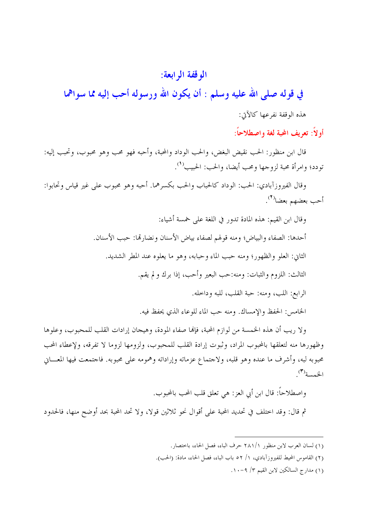### الوقفة الرابعة:

في قوله صلى الله عليه وسلم : أن يكون الله ورسوله أحب إليه مما سواهما هذه الوقفة نفرعها كالآتي:

أو لاً: تعريف المحبة لغة واصطلاحاً:

قال ابن منظور: الحب نقيض البغض، والحب الوداد والمحبة، وأحبه فهو محب وهو محبوب، وتحبب إليه: تودد؛ وامرأة محبة لزوجها ومحب أيضا، والحب: الحبيب<sup>(١</sup>).

وقال الفيروزآبادي: الحب: الوِداد كالحباب والحب بكسرهما. أحبه وهو محبوب على غير قياس وتحابوا: أحب بعضهم بعضا<sup>(٢)</sup>.

> وقال ابن القيم: هذه المادة تدور في اللغة على خمسة أشياء: أحدها: الصفاء والبياض؛ ومنه قولهم لصفاء بياض الأسنان ونضارتها: حبب الأسنان. الثاني: العلو والظهور؛ ومنه حبب الماء وحبابه، وهو ما يعلوه عند المطر الشديد. الثالث: اللزوم والثبات: ومنه:حب البعير وأحب، إذا برك ولم يقم. الرابع: اللب، ومنه: حبة القلب، للبه وداخله.

الخامس: الحفظ والإمساك. ومنه حب الماء للوعاء الذي يحفظ فيه.

ولا ريب أن هذه الخمسة من لوازم المحبة، فإنها صفاء المودة، وهيجان إرادات القلب للمحبوب، وعلوها وظهورها منه لتعلقها بالمحبوب المراد، وثبوت إرادة القلب للمحبوب، ولزومها لزوما لا تفرقه، ولإعطاء المحب محبوبه لبه، وأشرف ما عنده وهو قلبه، ولاحتماع عزماته وإراداته وهمومه على محبوبه. فاحتمعت فيها المعـــاني الخمسة<sup>(٣)</sup>.

واصطلاحاً: قال ابن أبي العز: هي تعلق قلب المحب بالمحبوب.

ثم قال: وقد احتلف في تحديد المحبة على أقوال نحو ثلاثين قولًا، ولا تحد المحبة بحد أوضح منها، فالحدود

(١) مدارج السالكين لابن القيم ٣/ ٩-١٠.

<sup>(</sup>١) لسان العرب لابن منظور ٢٨١/١ حرف الباء، فصل الحاء، باختصار.

<sup>(</sup>٢) القاموس المحيط للفيروزآبادي، ١/ ٥٢ باب الباء، فصل الحاء، مادة: (الحب).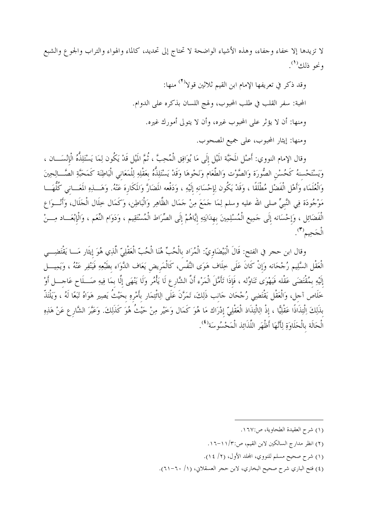لا تزيدها إلا خفاء وحفاء، وهذه الأشياء الواضحة لا تحتاج إلى تحديد، كالماء والهواء والتراب والجوع والشبع ونحو ذلك<sup>(١</sup>).

> وقد ذكر في تعريفها الإمام ابن القيم ثلاثين قولا<sup>(٢)</sup> منها: المحبة: سفر القلب في طلب المحبوب، ولهج اللسان بذكره على الدوام. ومنها: أن لا يؤثر على المحبوب غيره، وأن لا يتولى أمورك غيره. ومنها: إيثار المحبوب، على جميع المصحوب.

وقال الإمام النووي: أَصْل المَحَبَّة المَيْل إلَى مَا يُوَافِق الْمُحِبَّ ، ثُمَّ المَيْل قَدْ يَكُون لِمَا يَسْتَلِذُّهُ الْإِنْسَـــان ، وَيَسْتَحْسنهُ كَحُسْنِ الصُّورَة وَالصَّوْت وَالطَّعَام وَنَحْوهَا وَقَدْ يَسْتَلِذُّهُ بعَقْلِهِ لِلْمَعَاني الْبَاطِنَة كَمَحَبَّةِ الصَّــالِحِينَ وَالْعُلَمَاء وَأَهْلِ الْفَضْلِ مُطْلَقًا ، وَقَدْ يَكُون لِإحْسَانهِ إلَيْهِ ، وَدَفْعه المَضَارَّ وَالمَكَارة عَنْهُ. وَهَـــذِهِ المَعَـــاني كُلُّهَـــا مَوْجُودَة فِي النَّبيِّ صلى الله عليه وسلم لِمَا حَمَعَ مِنْ حَمَال الظَّاهِرِ وَالْبَاطِنِ، وَكَمَال خِلَال الْحَلَال، وَأَنْـــوَا ع الْفَضَائِل ، وَإِحْسَانه إِلَى حَمِيع الْمُسْلِمِينَ بهدَايَتِهِ إِيَّاهُمْ إِلَى الصِّرَاط الْمُسْتَقِيم ، وَدَوَام النِّعَم ، وَالْإِبْعَـــاد مِـــنْ الْجَحِيمْ".

وقال ابن حجر في الفتح: قَالَ الْبَيْضَاوِيّ: الْمُرَاد بالْحُبِّ هُنَا الْحُبّ الْعَقْلِيّ الَّذِي هُوَ إيثَار مَـــا يَقْتَضِـــي الْعَقْل السَّلِيم رُجْحَانه وَإِنْ كَانَ عَلَى خِلَاف هَوَى النَّفْس، كَالْمَريض يَعَاف الدَّوَاء بطَبْعِهِ فَيَنْفِر عَنْهُ ، وَيَمِيــــل إلَيْهِ بمُقْتَضَى عَقْله فَيَهْوَى تَنَاوُله ، فَإِذَا تَأَمَّلَ الْمَرْء أَنَّ الشَّارِع لَا يَأْمُر وَلَا يَنْهَى إلَّا بمَا فِيهِ صَــلَماح عَاحـــل أَوْ خَلَاص آحل، وَالْعَقْل يَقْتَضِي رُحْحَان حَانب ذَلِكَ، تَمَرَّنَ عَلَى الِاثْتِمَار بأَمْرِهِ بحَيْثُ يَصِير هَوَاهُ تَبَعًا لَهُ ، وَيَلْتَذّ بذَلِكَ اِلْتِذَاذًا عَقْلِيًّا ، إذْ الِالْتِذَاذ الْعَقْلِيّ إدْرَاك مَا هُوَ كَمَال وَخَيْر مِنْ حَيْثُ هُوَ كَذَلِكَ. وَعَبَّرَ الشَّار ع عَنْ هَذِهِ الْحَالَة بِالْحَلَاوَةِ لِأَنَّهَا أَظْهَرِ اللَّذَائِذِ الْمَحْسُوسَة<sup>(٤)</sup>.

- (٢) انظر مدارج السالكين لابن القيم، ص:١١/٢-١٦.
- (١) شرح صحيح مسلم للنووي، المحلد الأول، (٢/ ١٤).
- (٤) فتح الباري شرح صحيح البخاري، لابن حجر العسقلاني، (١/ ٦٠-٢١).

<sup>(</sup>١) شرح العقيدة الطحاوية، ص:١٦٧.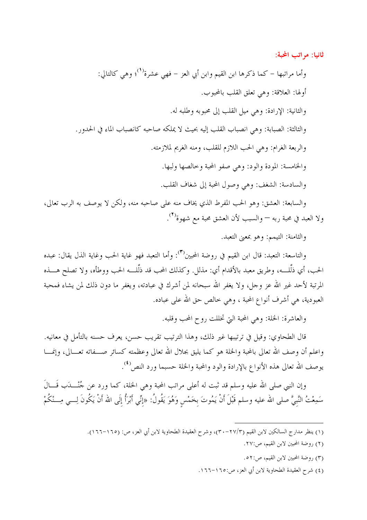ثانيا: مراتب المحبة:

وأما مراتبها – كما ذكرها ابن القيم وابن أبي العز – فهي عشرة<sup>(١)</sup>؛ وهي كالتالي: أولها: العلاقة: وهي تعلق القلب بالمحبوب. والثانية: الإرادة: وهي ميل القلب إلى محبوبه وطلبه له. والثالثة: الصبابة: وهي انصباب القلب إليه بحيث لا يملكه صاحبه كانصباب الماء في الحدور. والربعة الغرام: وهي الحب اللازم للقلب، ومنه الغريم لملازمته. والخامسة: المودة والود: وهي صفو المحبة وحالصها ولبها. والسادسة: الشغف: وهي وصول المحبة إلى شغاف القلب.

والسابعة: العشق: وهو الحب المفرط الذي يخاف منه على صاحبه منه، ولكن لا يوصف به الرب تعالى، ولا العبد في محبة ربه — والسبب لأن العشق محبة مع شهوة<sup>(٢</sup>).

والثامنة: التيمم: وهو بمعنى التعبد.

والتاسعة: التعبد: قال ابن القيم في روضة المحبين<sup>(٣)</sup>: وأما التعبد فهو غاية الحب وغاية الذل يقال: عبده الحب، أي ذلَّلـــه، وطريق معبد بالأقدام أي: مذلل. وكذلك المحب قد ذلَّلـــه الحب ووطأه، ولا تصلح هــــذه المرتبة لأحد غير الله عز وحل، ولا يغفر الله سبحانه لمن أشرك في عبادته، ويغفر ما دون ذلك لمن يشاء فمحبة العبودية، هي أشرف أنواع المحبة ، وهي حالص حق الله على عباده.

والعاشرة: الخلة: وهي المحبة التي تخللت روح المحب وقلبه.

قال الطحاوي: وقيل في ترتيبها غير ذلك، وهذا الترتيب تقريب حسن، يعرف حسنه بالتأمل في معانيه. واعلم أن وصف الله تعالى بالمحبة والخلة هو كما يليق بجلال الله تعالى وعظمته كسائر صـــفاته تعـــالى، وإنمــــا يوصف الله تعالى هذه الأنواع بالإرادة والود والمحبة والخلة حسبما ورد النص<sup>(٤)</sup>.

وإن النبي صلى الله عليه وسلم قد ثبت له أعلى مراتب المحبة وهي الخلة، كما ورد عن جُنْـــدَب قَـــالَ سَمِعْتُ النَّبيَّ صلى الله عليه وسلم قَبْلَ أنْ يَمُوتَ بِخَمْسٍ وَهُوَ يَقُولُ: «إنِّي أَبْرَأُ إِلَى الله أنْ يَكُونَ لِـــي مِـــنْكُمْ

- (١) ينظر مدارج السالكين لابن القيم (٢٧/٣-٣٠)، وشرح العقيدة الطحاوية لابن أبي العز، ص: (١٦٥–١٦٦).
	- (٢) روضة المحبين لابن القيم، ص:٢٧.
	- (٣) روضة المحبين لابن القيم، ص:٥٢.
	- (٤) شرح العقيدة الطحاوية لابن أبي العز، ص:١٦٥-١٦٦.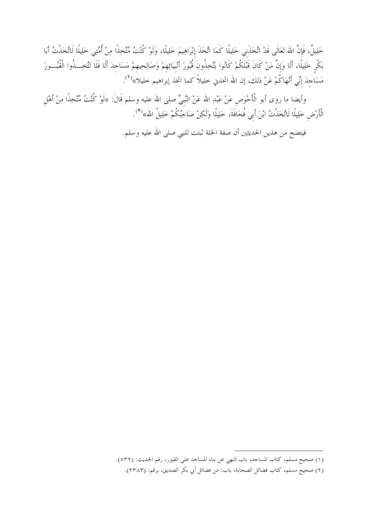خَلِيلٌ، فَإِنَّ الله تَعَالَى قَدْ اتَّخَذَني خَلِيلًا كَمَا اتَّخَذَ إبْرَاهِيمَ خَلِيلًا، وَلَوْ كُنْتُ مُتّخِذًا مِنْ أُمَّتِي خَلِيلًا لَاتَّخَذْتُ أَبَا بَكْرٍ خَلِيلًا، أَلَا وَإِنَّ مَنْ كَانَ قَبْلَكُمْ كَانُوا يَتَّخِذُونَ قُبُورَ أَنْبِيَائِهِمْ وَصَالِحِيهِمْ مَسَاحِدَ أَلَا فَلَا تَتَّخِــذُوا الْقُبُـــورَ مَسَاجِدَ إِنِّي أَنْهَاكُمْ عَنْ ذلك، إن الله اتخذني خليلاً كما اتخذ إبراهيم خليلا»<sup>(١)</sup>.

وأيضا ما روى أبو الْأَحْوَصِ عَنْ عَبْدِ الله عَنْ النَّبِيِّ صلى الله عليه وسلم قَالَ: «لَوْ كُنْتُ مُتَّخِذًا مِنْ أَهْلِ الْأَرْضِ خَلِيلًا لَاتَّخَذْتُ ابْنَ أَبِي قُحَافَةَ، خَلِيلًا وَلَكِنْ صَاحِبُكُمْ خَلِيلُ الله»<sup>(٢</sup>).

فيتضح من هذين الحديثين أن صفة الخلة ثبتت للنبي صلى الله عليه وسلم.

<sup>(</sup>١) صحيح مسلم، كتاب المساحد، باب النهي عن بناء المساحد على القبور، رقم الحديث: (٥٣٢).

<sup>(</sup>٢) صحيح مسلم، كتاب فضائل الصحابة، باب: من فضائل أبي بكر الصديق، برقم: (٢٣٨٣).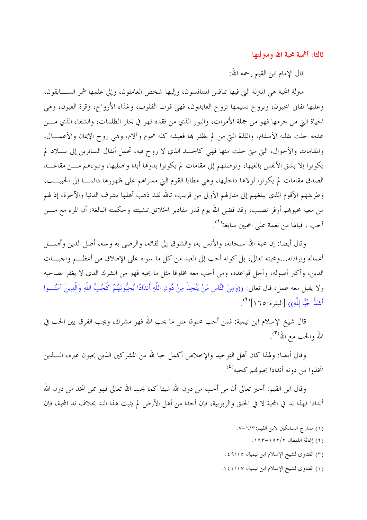ثالثا: أهمية محبة الله ومنزلتها

قال الإمام ابن القيم , حمه الله:

متزلة المحبة هي المتزلة التي فيها تنافس المتنافسون، وإليها شخص العاملون، وإلى علمها شمر الســــابقون، وعليها تفايي المحبون، وبروح نسيمها تروح العابدون، فهي قوت القلوب، وغذاء الأرواح، وقرة العيون، وهي الحياة التي من حرمها فهو من جملة الأموات، والنور الذي من فقده فهو في بحار الظلمات، والشفاء الذي مـــن عدمه حلت بقلبه الأسقام، واللذة التي من لم يظفر بما فعيشه كله هموم وآلام، وهي روح الإيمان والأعمــــال، والمقامات والأحوال، التي متى حلت منها فهي كالجسد الذي لا روح فيه، تحمل أثقال السائرين إلى بـــلاد لم يكونوا إلا بشق الأنفس بالغيها، وتوصلهم إلى مقامات لم يكونوا بدولها أبدا واصليها، وتبوءهم مـــن مقاعـــد الصدق مقامات لم يكونوا لولاها داخليها، وهي مطايا القوم التي مسراهم على ظهورها دائمـــا إلى الحبيـــب، وطريقهم الأقوم الذي يبلغهم إلى منازلهم الأولى من قريب، تالله لقد ذهب أهلها بشرف الدنيا والآخرة، إذ لهم من معية محبوهم أوفر نصيب، وقد قضي الله يوم قدر مقادير الخلائق بمشيئته وحكمته البالغة: أن المرء مع مــــن أحب ، فيالها من نعمة عل<sub>ى</sub> المحبين سابغة<sup>(١</sup>).

وقال أيضا: إن محبة الله سبحانه، والأنس به، والشوق إلى لقائه، والرضى به وعنه، أصل الدين وأصــــل أعماله وإرادته...ومحبته تعالى، بل كونه أحب إلى العبد من كل ما سواه على الإطلاق من أعظـــم واحبـــات الدين، وأكبر أصوله، وأحل قواعده، ومن أحب معه مخلوقا مثل ما يحبه فهو من الشرك الذي لا يغفر لصاحبه ولا يقبل معه عمل، قال تعالى: ((وَمِنَ النَّاسِ مَنْ يَتَّخِذُ مِنْ دُونِ اللَّهِ أَندَادًا يُحِبُّونَهُمْ كَحُبِّ اللَّهِ وَالَّذِينَ آمَنُـــوا أَشَدُّ حُنَّا للَّه)) [البقرة:٢٥ (]<sup>(٢)</sup>.

قال شيخ الإسلام ابن تيمية: فمن أحب مخلوقا مثل ما يحب الله فهو مشرك، ويجب الفرق بين الحب في الله والحب مع الله'(٣).

وقال أيضا: ولهذا كان أهل التوحيد والإخلاص أكمل حبا لله من المشركين الذين يحبون غيره، الــــذين اتخذوا من دونه أندادا يحبونمم كحبه<sup>(٤)</sup>.

وقال ابن القيم: أحبر تعالى أن من أحب من دون الله شيئا كما يحب الله تعالى فهو ممن اتخذ من دون الله أندادا فهذا ند في المحبة لا في الحلق والربوبية، فإن أحدا من أهل الأرض لم يثبت هذا الند بخلاف ند المحبة، فإن

- (١) مدارج السالكين لابن القيم: ١/٣-٧.
	- (٢) إغاثة اللهفان ١٩٢/٢-١٩٣.
- (٣) الفتاوى لشيخ الإسلام ابن تيمية، ٤٩/١٥.
- (٤) الفتاوى لشيخ الإسلام ابن تيمية، ١٤٤/١٧.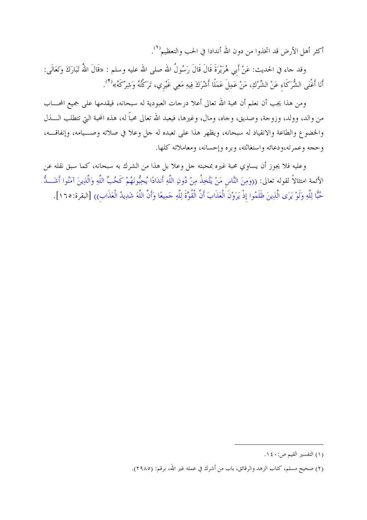أكثر أهل الأرض قد اتخذوا من دون الله أندادا في الحب والتعظيم<sup>(١</sup>).

وقد جاء في الحديث: عَنْ أَبِي هُرَيْرَةَ قَالَ قَالَ رَسُولُ الله صلى الله عليه وسلم : «قَالَ اللهُ تَبَارَكَ وَتَعَالَى: أَنَا أَغْنَى الشُّرَكَاءِ عَنْ الشِّرْكِ، مَنْ عَمِلَ عَمَلًا أَشْرَكَ فِيهِ مَعِي غَيْرِي، تَرَكْتُهُ وَشِرْكَهُ»<sup>(٢</sup>).

ومن هذا يجب أن نعلم أن محبة الله تعالى أعلا درحات العبودية له سبحانه، فيقدمها على جميع المحـــاب من والد، وولد، وزوجة، وصديق، وحاه، ومال، وغيرها، فيعبد الله تعالى محبًّا له، هذه المحبة التي تتطلب الــــذل والخضوع والطاعة والانقياد له سبحانه، ويظهر هذا على تعبده له حل وعلا في صلاته وصـــيامه، وإنفاقـــه، وحجه وعمرته،ودعائه واستغاثته، وبره وإحسانه، ومعاملاته كلها.

وعليه فلا يجوز أن يساوي محبة غيره بمحبته حل وعلا بل هذا من الشرك به سبحانه، كما سبق نقله عن الأئمة امتثالاً لقوله تعالى: ((وَمِنَ النَّاسِ مَنْ يَتَّخِذُ مِنْ دُونِ اللَّهِ أَندَادًا يُحِبُّونَهُمْ كَحُبِّ اللَّهِ وَالَّذِينَ آمَنُوا أَشَـــدُّ حُبًّا لِلَّهِ وَلَوْ يَرَى الَّذِينَ ظَلَمُوا إذْ يَرَوْنَ الْعَذَابَ أَنَّ الْقُوَّةَ لِلَّهِ حَمِيعًا وَأَنَّ اللَّهَ شَدِيدُ الْعَذَابِ)) [البقرة:١٦٥].

<sup>(</sup>١) التفسير القيم ص:٤٠ ١.

<sup>(</sup>٢) صحيح مسلم، كتاب الزهد والرقائق، باب من أشرك في عمله غير الله، برقم: (٢٩٨٥).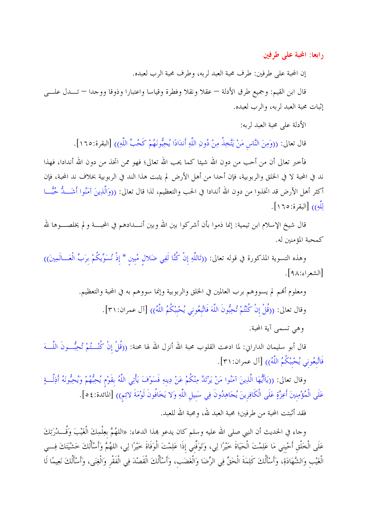رابعا: المحبة على طرفين

إن المحبة على طرفين: طرف محبة العبد لربه، وطرف محبة الرب لعبده.

قال ابن القيم: وجميع طرق الأدلة — عقلاً ونقلاً وفطرة وقياساً واعتبارًا وذوقًا ووجدًا — تـــدل علــــي إثبات محبة العبد لربه، والرب لعبده.

الأدلة على محبة العبد لربه:

قال تعالى: ((وَمِنَ النَّاسِ مَنْ يَتَّخِذُ مِنْ دُونِ اللَّهِ أَندَادًا يُحِبُّونَهُمْ كَحُبٍّ اللَّهِ)) [البقرة:١٦٥].

فأحبر تعالى أن من أحب من دون الله شيئا كما يحب الله تعالى؛ فهو ممن اتخذ من دون الله أندادا، فهذا ند في المحبة لا في الحلق والربوبية، فإن أحدا من أهل الأرض لم يثبت هذا الند في الربوبية بخلاف ند المحبة، فإن أكثر أهل الأرض قد اتخذوا من دون الله أندادا في الحب والتعظيم، لذا قال تعالى: ((وَالَّذِينَ آمَنُوا أَشَـــدُّ حُبَّـــا للَّه)) [البقرة:١٦٥].

قال شيخ الإسلام ابن تيمية: إنما ذموا بأن أشركوا بين الله وبين أنــــدادهم في المحبــــة و لم يخلصــــوها لله كمحبة المؤمنين له.

وهذه التسوية المذكورة في قوله تعالى: ((تَاللَّهِ إنْ كُنَّا لَفِي ضَلال مُبين \* إذْ نُسَوِّيكُمْ برَبِّ الْعَـــالَمِينَ)) [الشعراء:٩٨].

ومعلوم أُهْم لم يسووهم برب العالمين في الحلق والربوبية وإنما سووهم به في المحبة والتعظيم.

وقال تعالى: ((قُلْ إنْ كُنْتُمْ تُحِبُّونَ اللَّهَ فَاتَّبِعُوني يُحْبِبْكُمُ اللَّهُ)) [آل عمران:٣١].

وهي تسمى آية المحبة.

قال أبو سليمان الداراني: لما ادعت القلوب محبة الله أنزل الله لها محنة: ((قُلْ إنْ كُنْـــتُمْ تُحِبُّـــونَ اللَّـــهَ فَاتَّبِعُوني يُحْبْكُمُ اللَّهُ)) [آل عمران:٣١].

وقال تعالى: ((يَاأَيُّهَا الَّذِينَ آمَنُوا مَنْ يَرْتَدَّ مِنْكُمْ عَنْ دِينهِ فَسَوْفَ يَأْتِي اللَّهُ بقَوْم يُحِبُّهُمْ وَيُحِبُّونَهُ أَذِلَّــةٍ عَلَى الْمُؤْمِنِينَ أَعِزَّةٍ عَلَى الْكَافِرِينَ يُجَاهِدُونَ فِي سَبيلِ اللَّهِ وَلا يَخَافُونَ لَوْمَةَ لائِم)) [المائدة:٤٥].

فقد أثبتت المحبة من طرفين؛ محبة العبد لله، ومحبة الله للعبد.

وحاء في الحديث أن النبي صلى الله عليه وسلم كان يدعو هذا الدعاء: «اللهُمَّ بعِلْمِكَ الْغَيْبَ وَقُــــدْرَتِكَ عَلَى الْخَلْقِ أَحْيني مَا عَلِمْتَ الْحَيَاةَ خيْرًا لِي، وَتَوَفَّني إذَا عَلِمْتَ الْوَفَاةَ خيْرًا لِي، اللهُمَّ وَأَسْأَلُكَ خَشْيَتَكَ فِسي الْغَيْب وَالشَّهَادَةِ، وَأَسْأَلُكَ كَلِمَةَ الْحَقِّ فِي الرِّضَا وَالْغَضَبِ، وَأَسْأَلُكَ الْقَصْدَ فِي الْفَقْر وَالْغِنَى، وَأَسْأَلُكَ نَعِيمًا لَا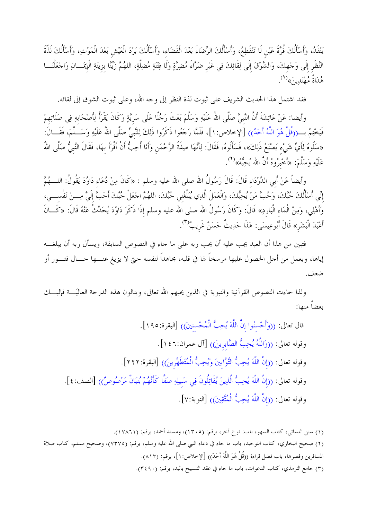يَنْفَدُ، وَأَسْأَلُكَ قُرَّةَ عَيْنِ لَا تَنْقَطِعُ، وَأَسْأَلُكَ الرِّضَاءَ بَعْدَ الْقَضَاء، وَأَسْأَلُكَ بَرْدَ الْعَيْش بَعْدَ الْمَوْتِ، وَأَسْأَلُكَ لَذَّةَ النَّظَرِ إِلَى وَحْهِكَ، وَالشَّوْقَ إِلَى لِقَائِكَ فِي غَيْرِ ضَرَّاءَ مُضِرَّةٍ وَلَا فِتْنَةٍ مُضِلَّةٍ، اللهُمَّ زَيِّنًا بِزِينَةِ الْإِيمَـــانِ وَاحْعَلْنَـــا هُدَاةً مُهْتَدِينَ»<sup>(1</sup>).

فقد اشتمل هذا الحديث الشريف على ثبوت لذة النظر إلى وحه الله، وعلى ثبوت الشوق إلى لقائه.

وأيضا: عَنْ عَائِشَةَ أَنَّ النَّبيَّ صَلَّى اللهُ عَلَيْهِ وَسَلَّمَ بَعَثَ رَجُلًا عَلَى سَريَّةٍ وَكَانَ يَقْرَأُ لِأَصْحَابِهِ فِى صَلَاتِهِمْ فَيَحْتِمُ بِـــ((قُلْ هُوَ اللَّهُ أَحَدٌ)) [الإخلاص: ١]، فَلَمَّا رَجَعُوا ذَكَرُوا ذَلِكَ لِلنَّبيِّ صَلَّى اللهُ عَلَيْهِ وَسَـــلَّمَ، فَقَـــالَ: «سَلُوهُ لِأَيِّ شَيْءٍ يَصْنَعُ ذَلِكَ»، فَسَأَلُوهُ، فَقَالَ: لِأَنَّهَا صِفَةُ الرَّحْمَنِ وَأَنَا أُحِبُّ أنْ أَقْرَأَ بهَا، فَقَالَ النَّبيُّ صَلَّى اللهُ عَلَيْهِ وَسَلَّمَ: «أَخْبِرُوهُ أَنَّ الله يُحِبُّهُ» (٢).

وأيضاً عَنْ أَبِي الدَّرْدَاء قَالَ: قَالَ رَسُولُ الله صلى الله عليه وسلم : «كَانَ مِنْ دُعَاء دَاوُدَ يَقُولُ: اللـــهُمَّ إنِّي أَسْأَلُكَ حُبَّكَ، وَحُبَّ مَنْ يُحِبُّكَ، وَالْعَمَلَ الَّذِي يُبَلِّغُني حُبَّكَ، اللهُمَّ اجْعَلْ حُبّك أَحَبَّ إلَيَّ مِـــنْ نَفْســـي، وَأَهْلِي، وَمِنْ الْمَاء الْبَارِدِ» قَالَ: وَكَانَ رَسُولُ الله صلى الله عليه وسلم إذَا ذَكَرَ دَاوُدَ يُحَدِّثُ عَنْهُ قَالَ: «كَــانَ أَعْبَدَ الْبَشَرِ» قَالَ أَبُوعِيسَى: هَذَا حَدِيثٌ حَسَنٌ غَرِيبٌ<sup>(٣)</sup>.

فتبين من هذا أن العبد يجب عليه أن يحب ربه على ما حاء في النصوص السابقة، ويسأل ربه أن يبلغــــه إياها، ويعمل من أجل الحصول عليها مرسخاً لها في قلبه، مجاهداً لنفسه حتى لا يزيغ عنـــها حـــال فتـــور أو ضعف.

ولذا حاءت النصوص القرآنية والنبوية في الذين يحبهم الله تعالى، وينالون هذه الدرحة العاليَــــة فإليــــك بعضاً منها:

(١) سنن النسائي، كتاب السهو، باب: نوع آخر، برقم: (١٣٠٥)، ومسند أحمد، برقم: (١٧٨٦١). (٢) صحيح البخاري، كتاب التوحيد، باب ما حاء في دعاء النبي صلى الله عليه وسلم، برقم: (٧٣٧٥)، وصحيح مسلم، كتاب صلاة المسافرين وقصرها، باب فضل قراءة ((قُلْ هُوَ اللَّهُ أَحَدٌ)) [الإخلاص: ١]، برقم: (٨١٣). (٣) حامع الترمذي، كتاب الدعوات، باب ما حاء في عقد التسبيح باليد، برقم: (٤٩٠).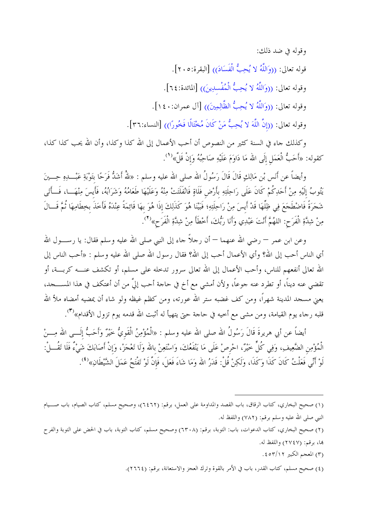وقوله في ضد ذلك: قوله تعالى: ((وَاللَّهُ لا يُحِبُّ الْفَسَادَ)) [البقرة:٢٠٥]. وقوله تعالى: ((وَاللَّهُ لا يُحِبُّ الْمُفْسلِينَ)) [المائدة:٢٤]. وقوله تعالى: ((وَاللَّهُ لا يُحِبُّ الظَّالِمِينَ)) [آل عمران:١٤٠]. وقوله تعالى: ((إنَّ اللَّهَ لا يُحِبُّ مَنْ كَانَ مُخْتَالًا فَخُورًا)) [النساء:٣٦].

وكذلك جاء في السنة كثير من النصوص أن أحب الأعمال إلى الله كذا وكذا، وأن الله يحب كذا كذا، كقوله: «أَحَبُّ الْعَمَلِ إلَى الله مَا دَاوَمَ عَلَيْهِ صَاحِبُهُ وَإِنْ قَلَّ»<sup>(١</sup>′.

وأيضاً عن أنَس بْن مَالِكٍ قَالَ قَالَ رَسُولُ الله صلى الله عليه وسلم : «للهُ أَشَكُّ فَرَحًا بتَوْبَةِ عَبْـــلبِهِ حِـــينَ يَتُوبُ إِلَيْهِ مِنْ أَحَدِكُمْ كَانَ عَلَى رَاحِلَتِهِ بِأَرْضٍ فَلَاةٍ فَانْفَلَتَتْ مِنْهُ وَعَلَيْهَا طَعَامُهُ وَشَرَابُهُ، فَأَيسَ مِنْهَـــا، فَـــأَتَى شَجَرَةً فَاضْطَجَعَ فِي ظِلِّهَا قَدْ أَيسَ مِنْ رَاحِلَتِهِ؛ فَبَيْنَا هُوَ كَذَلِكَ إذَا هُوَ بهَا قَائِمَةً عِنْدَهُ فَأَخَذَ بخطَامِهَا ثُمَّ قَــالَ مِنْ شِدَّةِ الْفَرَح: اللهُمَّ أَنْتَ عَبْدِي وَأَنَا رَبُّكَ، أَخْطَأَ مِنْ شِدَّةِ الْفَرَح»<sup>(٢)</sup>.

وعن ابن عمر — رضي الله عنهما — أن رحلاً حاء إلى النبي صلى الله عليه وسلم فقال: يا رســــول الله أي الناس أحب إلى الله؟ وأي الأعمال أحب إلى الله؟ فقال رسول الله صلى الله عليه وسلم : «أحب الناس إلى الله تعالى أنفعهم للناس، وأحب الأعمال إلى الله تعالى سرور تدخله على مسلم، أو تكشف عنــــه كربــــة، أو تقضي عنه ديناً، أو تطرد عنه حوعاً، ولأن أمشي مع أخ في حاحة أحب إليَّ من أن أعتكف في هذا المســــــجد، يعني مسجد المدينة شهراً، ومن كف غضبه ستر الله عورته، ومن كظم غيظه ولو شاء أن يمضيه أمضاه ملأ الله قلبه رحاء يوم القيامة، ومن مشي مع أحيه في حاحة حتى يتهيأ له أثبت الله قدمه يوم تزول الأقدام»<sup>(٣)</sup>.

أيضاً عن أبي هريرةَ قَالَ رَسُولُ الله صلى الله عليه وسلم : «الْمُؤْمِنُ الْقَوِيُّ خَيْرٌ وَأَحَبُّ إلَـــى الله مِــــنْ الْمُؤْمِن الضَّعِيفِ، وَفِي كُلٍّ خَيْرٌ، احْرصْ عَلَى مَا يَنْفَعُكَ، وَاسْتَعِنْ بالله وَلَا تَعْجَزْ، وَإنْ أَصَابَكَ شَيْءٌ فَلَا تَقُـــلْ: لَوْ أَنِّي فَعَلْتُ كَانَ كَذَا وَكَذَا، وَلَكِنْ قُلْ: قَدَرُ الله وَمَا شَاءَ فَعَلَ، فَإِنَّ لَوْ تَفْتَحُ عَمَلَ الشَّيْطَانِ»<sup>(٤)</sup>.

- (٣) المعجم الكبير ٤٥٣/١٢.
- (٤) صحيح مسلم، كتاب القدر، باب في الأمر بالقوة وترك العجز والاستعانة، برقم: (٢٦٦٤).

<sup>(</sup>١) صحيح البخاري، كتاب الرقاق، باب القصد والمداومة على العمل، برقم: (٦٤٦٢)، وصحيح مسلم، كتاب الصيام، باب صــيام النبي صلى الله عليه وسلم برقم: (٧٨٢) واللفظ له.

<sup>(</sup>٢) صحيح البخاري، كتاب الدعوات، باب: التوبة، برقم: (٦٣٠٨) وصحيح مسلم، كتاب التوبة، باب في الحض على التوبة والفرح ها، برقم: (٢٧٤٧) واللفظ له.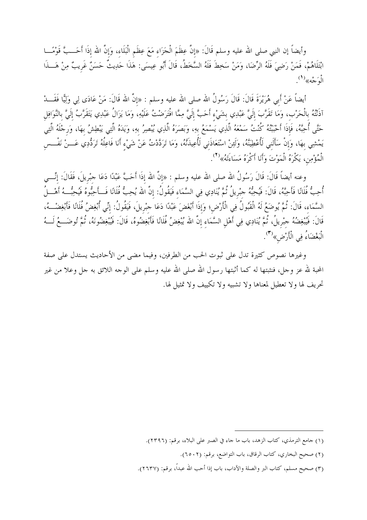وأيضاً إن النبي صلى الله عليه وسلم قَالَ: «إنَّ عِظَمَ الْحَزَاء مَعَ عِظَم الْبَلَاء، وَإنَّ الله إذَا أَحَــبَّ قَوْمًـــا ابْتَلَاهُمْ، فَمَنْ رَضِيَ فَلَهُ الرِّضَا، وَمَنْ سَخِطَ فَلَهُ السَّخَطُ، قَالَ أَبُو عِيسَى: هَذَا حَدِيثٌ حَسَنٌ غَرِيبٌ مِنْ هَـــذَا الْوَجْه»<sup>(۱</sup>).

أيضاً عَنْ أَبي هُرَيْرَةَ قَالَ: قَالَ رَسُولُ الله صلى الله عليه وسلم : «إنَّ الله قَالَ: مَنْ عَادَى لِ<sub>ى</sub> وَلِيًّا فَقَـــدْ آذَنْتُهُ بالْحَرْب، وَمَا تَقَرَّبَ إِلَيَّ عَبْدِي بشَيْء أَحَبَّ إلَيَّ مِمَّا افْتَرَضْتُ عَلَيْهِ، وَمَا يَزَالُ عَبْدِي يَتَقَرَّبُ إلَيَّ بالنَّوَافِل حَتَّى أُحِبَّهُ، فَإِذَا أَحْبَبْتُهُ كُنْتُ سَمْعَهُ الَّذِي يَسْمَعُ بهِ، وَبَصَرَهُ الَّذِي يُبْصِرُ بهِ، وَيَدَهُ الَّتِي يَبْطِشُ بهَا، وَرجْلَهُ الَّتِي يَمْشِي بهَا، وَإِنْ سَأَلَني لَأُعْطِيَنَّهُ، وَلَئِنْ اسْتَعَاذَني لَأُعِيذَنَّهُ، وَمَا تَرَدَّدْتُ عَنْ شَيْء أَنَا فَاعِلُهُ تَرَدُّدِي عَـــنْ نَفْــس الْمُؤْمِن، يَكْرَهُ الْمَوْتَ وَأَنَا أَكْرَهُ مَسَاءَتَهُ»<sup>(٢)</sup>.

وعنه أيضاً قَالَ: قَالَ رَسُولُ الله صلى الله عليه وسلم : «إنَّ الله إذَا أَحَبَّ عَبْدًا دَعَا جبْريلَ، فَقَالَ: إنِّــــى أُحِبُّ فُلَانًا فَأَحِبَّهُ، قَالَ: فَيُحِبُّهُ حبْرِيلُ ثُمَّ يُنَادِي فِي السَّمَاء فَيَقُولُ: إنَّ الله يُحِبُّ فُلَانًا فَسأَحِبُّوهُ فَيُحِبُّسهُ أَهْسِلُ السَّمَاء، قَالَ: ثُمَّ يُوضَعُ لَهُ الْقَبُولُ فِي الْأَرْضِ؛ وَإِذَا أَبْغَضَ عَبْدًا دَعَا جبْريلَ، فَيَقُولُ: إنِّي أُبْغِضُ فُلَانًا فَأَبْغِضْــهُ، قَالَ: فَيُبْغِضُهُ حِبْريلُ، ثُمَّ يُنَادِي فِي أَهْلِ السَّمَاء إنَّ الله يُبْغِضُ فُلَانًا فَأَبْغِضُوهُ، قَالَ: فَيُبْغِضُونَهُ، ثُمَّ تُوضَـــعُ لَـــهُ الْبَغْضَاءُ فِي الْأَرْضِ»<sup>(٣</sup>).

وغيرها نصوص كثيرة تدل على ثبوت الحب من الطرفين، وفيما مضي من الأحاديث يستدل على صفة المحبة لله عز وحل، فنثبتها له كما أثبتها رسول الله صلى الله عليه وسلم على الوحه اللائق به حل وعلا من غير تحريف لها ولا تعطيل لمعناها ولا تشبيه ولا تكييف ولا تمثيل لها.

<sup>(</sup>١) جامع الترمذي، كتاب الزهد، باب ما جاء في الصبر على البلاء، برقم: (٢٣٩٦).

<sup>(</sup>٢) صحيح البخاري، كتاب الرقاق، باب التواضع، برقم: (٢٥٠٢).

<sup>(</sup>٣) صحيح مسلم، كتاب البر والصلة والآداب، باب إذا أحب الله عبدًا، برقم: (٢٦٣٧).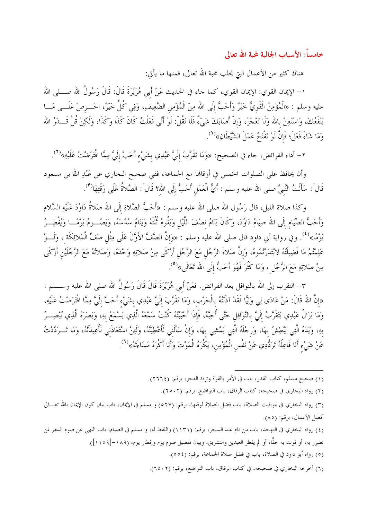خامساً: الأسباب الجالبة لمحبة الله تعالى

هناك كثير من الأعمال التي تجلب محبة الله تعالى، فمنها ما يأتي:

١– الإيمان القوي: الإيمان القوي، كما جاء في الحديث عَنْ أَبي هُرَيْرَةَ قَالَ: قَالَ رَسُولُ الله صــــلي الله عليه وسلم : «الْمُؤْمِنُ الْقَوِيُّ خَيْرٌ وَأَحَبُّ إلَى الله مِنْ الْمُؤْمِن الضَّعِيفِ، وَفِي كُلٍّ خَيْرٌ، احْـــرصْ عَلَـــى مَـــا يَنْفَعُكَ، وَاسْتَعِنْ بالله وَلَا تَعْجَزْ، وَإِنْ أَصَابَكَ شَيْءٌ فَلَا تَقُلْ: لَوْ أَنِّي فَعَلْتُ كَانَ كَذَا وَكَذَا، وَلَكِنْ قُلْ قَـــدَرُ الله وَمَا شَاءَ فَعَلَ؛ فَإِنَّ لَوْ تَفْتَحُ عَمَلَ الشَّيْطَانِ»<sup>(1</sup>).

٢– أداء الفرائض، جاء في الصحيح: «وَمَا تَقَرَّبَ إِلَيَّ عَبْدِي بِشَيْءٍ أَحَبَّ إِلَيَّ مِمَّا افْتَرَضْتُ عَلَيْهِ»<sup>(٢)</sup>.

وأن يحافظ على الصلوات الخمس في أوقالها مع الجماعة، ففي صحيح البخاري عن عَبْدِ الله بن مسعود قَالَ : سَأَلْتُ النَّبيَّ صلى الله عليه وسلم : أَيُّ الْعَمَل أَحَبُّ إلَى الله؟ قَال َ: الصَّلاةُ عَلَى وَقْتِهَا(٣).

وكذا صلاة الليل، قال رَسُول الله صلى الله عليه وسلم : «أَحَبُّ الصَّلاةِ إلَى الله صَلاةُ دَاوُدَ عَلَيْهِ السَّلام وَأَحَبُّ الصِّيَام إلَى الله صِيَامُ دَاوُدَ، وَكَانَ يَنَامُ نصْفَ اللَّيْل وَيَقُومُ ثُلُثَهُ وَيَنَامُ سُدُسَهُ، وَيَصُـــومُ يَوْمًـــا وَيُفْطِــرُ يَوْمًا»<sup>(٤)</sup>. وفي رواية أبي داود قال صلى الله عليه وسلم : «وَإنَّ الصَّفَّ الأَوَّلَ عَلَى مِثْل صَفِّ الْمَلائِكَة ، وَلَـــوْ عَلِمْتُمْ مَا فَضِيلَتْهُ لابْتَدَرْتُمُوهُ، وَإِنَّ صَلاةَ الرَّجُلِ مَعَ الرَّجُلِ أَزْكَى مِنْ صَلاتِهِ وَحْدَهُ، وَصَلاتُهُ مَعَ الرَّجُلَيْنِ أَزْكَى مِنْ صَلاتِهِ مَعَ الرَّجُلِ ، وَمَا كَثُرَ فَهُوَ أَحَبُّ إلَى الله تَعَالَى»<sup>(٥</sup>).

٣– التقرب إلى الله بالنوافل بعد الفرائض. فعَنْ أَبي هُرَيْرَةَ قَالَ قَالَ رَسُولُ الله صلى الله عليه وســــلم : «إنَّ الله قَالَ: مَنْ عَادَى لِي وَلِيًّا فَقَدْ آذَنْتُهُ بالْحَرْب، وَمَا تَقَرَّبَ إِلَيَّ عَبْدِي بشَيْء أَحَبَّ إِلَيَّ مِمَّا افْتَرَضْتُ عَلَيْهِ، وَمَا يَزَالُ عَبْدِي يَتَقَرَّبُ إِلَيَّ بِالنَّوَافِلِ حَتَّى أُحِبَّهُ، فَإِذَا أَحْبَبْتُهُ كُنْتُ سَمْعَهُ الَّذِي يَسْمَعُ بِهِ، وَبَصَرَهُ الَّذِي يُبْصِــرُ بهِ، وَيَدَهُ الَّتِي يَبْطِشُ بِهَا، وَرِجْلَهُ الَّتِي يَمْشِي بِهَا، وَإِنْ سَأَلَنِي لَأُعْطِيَنَّهُ، وَلَئِنْ اسْتَعَاذَنِي لَأُعِيذَنَّهُ، وَمَا تَـــرَدَّدْتُ عَنْ شَيْء أَنَا فَاعِلُهُ تَرَدُّدِي عَنْ نَفْسٍ الْمُؤْمِنِ، يَكْرَهُ الْمَوْتَ وَأَنَا أَكْرَهُ مَسَاءَتَهُ»<sup>(٦</sup>).

(١) صحيح مسلم، كتاب القدر، باب في الأمر بالقوة وترك العجز، برقم: (٢٦٦٤).

- (٢) رواه البخاري في صحيحه، كتاب الرقاق، باب التواضع، برقم: (٢٥٠٢).
- (٣) رواه البخاري في مواقيت الصلاة، باب فضل الصلاة لوقتها، برقم: (٥٢٧) و مسلم في الإيمان، باب بيان كون الإيمان بالله تعـــالى أفضل الأعمال، برقم: (٨٥).

(٤) رواه البخاري في التهجد، باب من نام عند السحر، برقم: (١١٣١) واللفظ له، و مسلم في الصيام، باب النهي عن صوم الدهر لمن تضرر به، أو فوت به حقًّا، أو لم يفطر العيدين والتشريق، وبيان تفضيل صوم يوم وإفطار يوم، (١٨٩–[١١٥٩]).

- (٥) رواه أبو داود في الصلاة، باب في فضل صلاة الجماعة، برقم: (٥٥٤).
- (٦) أخرجه البخاري في صحيحه، في كتاب الرقاق، باب التواضع، برقم: (٢٥٠٢).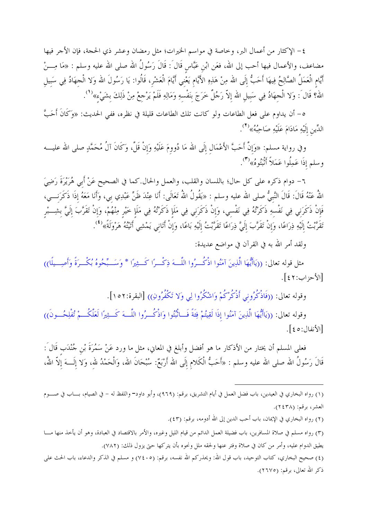٤– الإكثار من أعمال البر، وخاصة في مواسم الخيرات؛ مثل رمضان وعشر ذي الحجة، فإن الأجر فيها مضاعف، والأعمال فيها أحب إلى الله، فعَن ابْن عَبَّاس قَالَ : قَالَ رَسُولُ الله صلى الله عليه وسلم : «مَا مِـــنْ أَيَّام الْعَمَلُ الصَّالِحُ فِيهَا أَحَبُّ إِلَى الله مِنْ هَذِهِ الأَيَّامِ يَعْنِي أَيَّامَ الْعَشْرِ، قَالُوا: يَا رَسُولَ الله وَلا الْحِهَادُ فِي سَبيلِ الله؟ قَالَ : وَلا الْجِهَادُ فِي سَبِيلِ الله إِلاّ رَجُلٌ خَرَجَ بِنَفْسِهِ وَمَالِهِ فَلَمْ يَرْجِعْ مِنْ ذَلِكَ بِشَيْء»<sup>(1</sup>).

ه- أن يداوم على فعل الطاعات ولو كانت تلك الطاعات قليلة في نظره، ففي الحديث: «وَكَانَ أَحَبَّ الدِّين إِلَيْهِ مَادَامَ عَلَيْهِ صَاحِبُهُ» (٢).

وفي رواية مسلم: «وَإِنَّ أَحَبَّ الأَعْمَالِ إِلَى الله مَا دُووِمَ عَلَيْهِ وَإِنْ قَلَّ، وَكَانَ آلُ مُحَمَّدٍ صلى الله عليــــه وسلم إذَا عَمِلُوا عَمَلاً أَتْبَتُوهُ»<sup>(٣)</sup>.

٦– دوام ذكره على كل حال؛ باللسان والقلب، والعمل والحال.كما في الصحيح عَنْ أَبي هُرَيْرَةَ رَضِيَ اللهُ عَنْهُ قَالَ: قَالَ النَّبِيُّ صلى الله عليه وسلم : «يَقُولُ اللهُ تَعَالَى: أَنَا عِنْدَ ظَنِّ عَبْدِي بي، وَأَنَا مَعَهُ إِذَا ذَكَرَنـــي، فَإِنْ ذَكَرَني فِي نَفْسهِ ذَكَرْتُهُ فِي نَفْسي، وَإِنْ ذَكَرَني فِي مَلَإ ذَكَرْتُهُ فِي مَلَإ خَيْر مِنْهُمْ، وَإِنْ تَقَرَّبَ إلَيَّ بشِــبْر تَقَرَّبْتُ إلَيْهِ ذِرَاعًا، وَإنْ تَقَرَّبَ إلَيَّ ذِرَاعًا تَقَرَّبْتُ إلَيْهِ بَاعًا، وَإنْ أَتَاني يَمْشِي أَتَيْتُهُ هَرْوَلَةً»<sup>(٤</sup>).

ولقد أمر الله به في القرآن في مواضع عديدة:

مثل قوله تعالى: ((يَاأَيُّهَا الَّذِينَ آمَنُوا اذْكُــرُوا اللَّـــهَ ذِكْــرًا كَــثِيرًا \* وَسَــبِّحُوهُ بُكْــرَةً وَأَصِــيلًا)) [الأحزاب: ٤٢].

وقوله تعالى: ((فَاذْكُرُوني أَذْكُرْكُمْ وَاشْكُرُوا لِي وَلا تَكْفُرُونِ)) [البقرة:٥٢].

وقوله تعالى: ((يَاأَيُّهَا الَّذِينَ آمَنُوا إذَا لَقِيتُمْ فِئَةً فَــاتُّبُتُوا وَاذْكُـــرُوا اللّـــهَ كَــثِيرًا لَعَلَّكُـــمْ تُفْلِحُـــونَ)) [الأنفال:٥٤].

فعلى المسلم أن يختار من الأذكار ما هو أفضل وأبلغ في المعاني، مثل ما ورد عَنْ سَمُرَةَ بْن جُنْدَب قَالَ : قَالَ رَسُولُ الله صلى الله عليه وسلم : «أَحَبُّ الْكَلام إلَى الله أَرْبَعٌ: سُبْحَانَ الله، وَالْحَمْدُ لله، وَلا إلَــــهَ إلاّ اللهُ،

(٤) صحيح البخاري، كتاب التوحيد، باب قول الله: ويحذركم الله نفسه، برقم: (٧٤٠٥) و مسلم في الذكر والدعاء، باب الحث على ذكر الله تعالى، برقم: (٢٦٧٥).

<sup>(</sup>١) رواه البخاري في العيدين، باب فضل العمل في أيام التشريق، برقم: (٩٦٩)، وأبو داود= واللفظ له – في الصيام، بـــاب في صــــوم العشر، برقم: (٢٤٣٨).

<sup>(</sup>٢) رواه البخاري في الإيمان، باب أحب الدين إلى الله أدومه، برقم: (٤٣).

<sup>(</sup>٣) رواه مسلم في صلاة المسافرين، باب فضيلة العمل الدائم من قيام الليل وغيره، والأمر بالاقتصاد في العبادة، وهو أن يأخذ منها مـــا يطيق الدوام عليه، وأمر من كان في صلاة وفتر عنها ولحقه ملل ونحوه بأن يتركها حتى يزول ذلك: (٧٨٢).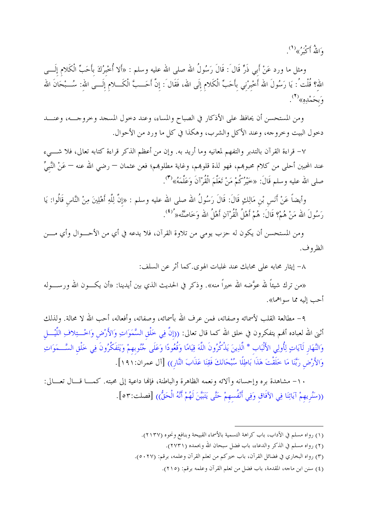وَاللَّهُ أَكْبَهُ ﴾ ( ( )

ومثل ما ورد عَنْ أبي ذَرٍّ قَالَ : قَالَ رَسُولُ الله صلى الله عليه وسلم : «ألا أُخْبِرُكَ بأَحَبِّ الْكَلام إلَـــي اللهِ؟ قُلْتُ': يَا رَسُولَ الله أَخْبِرْنِي بِأَحَبِّ الْكَلامِ إِلَى الله، فَقَالَ : إِنَّ أَحَــبَّ الْكَـــلامِ إِلَـــى اللهِ: سُـــبْحَانَ الله وَبحَمْدِهِ»<sup>(٢</sup>).

ومن المستحسن أن يحافظ على الأذكار في الصباح والمساء، وعند دحول المسحد وحروجـــه، وعنـــد دخول البيت وخروجه، وعند الأكل والشرب، وهكذا في كل ما ورد من الأحوال.

٧– قراءة القرآن بالتدبر والتفهم لمعانيه وما أريد به. وإن من أعظم الذكر قراءة كتابه تعالى، فلا شــــىء عند المحبين أحلى من كلام محبوهم، فهو لذة قلوهم، وغاية مطلوهم؛ فعن عثمان — رضي الله عنه — عَنْ النَّبيِّ صلى الله عليه وسلم قَالَ: «خَيْرُكُمْ مَنْ تَعَلَّمَ الْقُرْآنَ وَعَلَّمَهُ»<sup>(٣)</sup>.

وأيضاً عَنْ أَنَس بْنِ مَالِكٍ قَالَ: قَالَ رَسُولُ الله صلى الله عليه وسلم : «إنَّ لِلَّهِ أَهْلِينَ مِنْ النَّاس قَالُوا: يَا رَسُولَ الله مَنْ هُمْ؟ قَالَ: هُمْ أَهْلُ الْقُرْآنِ أَهْلُ الله وَخَاصَّتُه« ُ<sup>'(٤)</sup>.

ومن المستحسن أن يكون له حزب يومي من تلاوة القرآن، فلا يدعه في أي من الأحـــوال وأي مــــن الظروف.

٨– إيثار محابه على محابك عند غلبات الهوى.كما أثر عن السلف:

«من ترك شيئاً لله عوَّضه الله حيراً منه». وذكر في الحديث الذي بين أيدينا: «أن يكـــون الله ورســــوله أحب إليه مما سواهما».

٩– مطالعة القلب لأسمائه وصفاته، فمن عرف الله بأسمائه، وصفاته، وأفعاله، أحب الله لا محالة. ولذلك أتنى الله لعباده ألهم يتفكرون في حلق الله كما قال تعالى: ((إنَّ فِي حَلْقِ السَّمَوَاتِ وَالأَرْضِ وَاخْـــتِلافِ اللَّيْـــل وَالنَّهَارِ لَآيَاتٍ لِأُولِي الأَلْبَابِ \* الَّذِينَ يَذْكُرُونَ اللَّهَ قِيَامًا وَقُعُودًا وَعَلَى جُنُوبهمْ وَيَتَفَكَّرُونَ فِي خَلْق السَّـــمَوَاتِ وَالأَرْضِ رَبَّنَا مَا خَلَقْتَ هَذَا بَاطِلًا سُبْحَانَكَ فَقِنَا عَذَابَ النَّارِ)) [آل عمران:١٩١].

١٠- مشاهدة بره وإحسانه وآلائه ونعمه الظاهرة والباطنة، فإلها داعية إلى محبته. كمـــا قـــال تعـــالي: ((سَنُرِيهِمْ آيَاتِنَا فِي الآفَاق وَفِي أَنْفُسهِمْ حَتَّى يَتَبَيَّنَ لَهُمْ أَنَّهُ الْحَقُّ)) [فصلت:٥٣].

<sup>(</sup>١) رواه مسلم في الآداب، باب كراهة التسمية بالأسماء القبيحة وبنافع ونحوه (٢١٣٧).

<sup>(</sup>٢) رواه مسلم في الذكر والدعاء، باب فضل سبحان الله وبحمده (٢٧٣١).

<sup>(</sup>٣) رواه البخاري في فضائل القرآن، باب خيركم من تعلم القرآن وعلمه، برقم: (٢٧٠٥).

<sup>(</sup>٤) سنن ابن ماجه، المقدمة، باب فضل من تعلم القرآن وعلمه برقم: (٢١٥).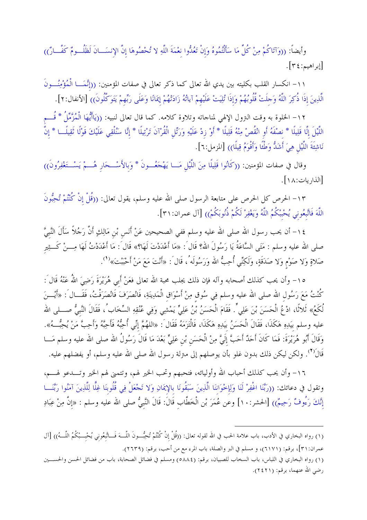وأيضاً: ((وَآتَاكُمْ مِنْ كُلِّ مَا سَأَلْتُمُوهُ وَإِنْ تَعُدُّوا نِعْمَةَ اللَّهِ لا تُحْصُوهَا إِنَّ الإِنسَــانَ لَظُلُــومٌ كَفّــارٌ)) [إبراهيم:٢٤].

١١- انكسار القلب بكليته بين يدي الله تعالى كما ذكر تعالى في صفات المؤمنين: ((إنَّمَـــا الْمُؤْمِنُـــونَ الَّذِينَ إذَا ذُكِرَ اللَّهُ وَحلَتْ قُلُوبُهُمْ وَإذَا تُلِيَتْ عَلَيْهِمْ آياتُهُ زَادَتْهُمْ إِيمَانًا وَعَلَى رَبِّهِمْ يَتَوَكَّلُونَ)) [الأنفال:٢].

١٢– الخلوة به وقت النزول الإلهي لمناجاته وتلاوة كلامه. كما قال تعالى لنبيه: ((يَاأَيُّهَا الْمُزَّمِّلُ \* قُـــم اللَّيْلَ إِلَّا قَلِيلًا \* نصْفَهُ أَو انْقُصْ مِنْهُ قَلِيلًا \* أَوْ زِدْ عَلَيْهِ وَرَتِّل الْقُرْآنَ تَرْتِيلًا \* إنَّا سَنُلْقِي عَلَيْكَ قَوْلًا تُقِيلًـــا \* إنَّ نَاشِئَةَ اللَّيْلِ هِيَ أَشَدُّ وَطْئًا وَأَقْوَمُ قِيلًا)) [المزمل:٦].

وقال في صفات المؤمنين: ((كَانُوا قَلِيلًا مِنَ اللَّيْلِ مَـــا يَهْجَعُـــونَ \* وَبالأَسْـــحَار هُــــمْ يَسْــتَغْفِرُونَ)) [الذاريات: ١٨].

١٣– الحرص كل الحرص على متابعة الرسول صلى الله عليه وسلم، يقول تعالى: ((قُلْ إنْ كُنْتُمْ تُحِبُّونَ اللَّهَ فَاتَّبِعُوني يُحْبِبْكُمُ اللَّهُ وَيَغْفِرْ لَكُمْ ذُنُوبَكُمْ)) [آل عمران:٣١].

١٤− أن يحب رسول الله صلى الله عليه وسلم ففي الصحيحين عَنْ أَنَس بْن مَالِكٍ أَنَّ رَجُلاً سَأَلَ النَّبيَّ صلى الله عليه وسلم : مَتَى السَّاعَةُ يَا رَسُولَ الله؟ قَال َ: «مَا أَعْدَدْتَ لَهَا؟» قَال َ: مَا أَعْدَدْتُ لَهَا مِـــنْ كَـــثِير صَلاةٍ وَلا صَوْمٍ وَلا صَدَقَةٍ، وَلَكِنِّي أُحِبُّ الله وَرَسُولَه ُ، قَال َ: «أَنْتَ مَعَ مَنْ أَحْبَبْتَ»<sup>(١</sup>).

٥١- وأن يحب كذلك أصحابه وآله فإن ذلك يجلب محبة الله تعالى فعَنْ أَبي هُرَيْرَةَ رَضِيَ اللهُ عَنْهُ قَالَ : كُنْتُ مَعَ رَسُول الله صلى الله عليه وسلم فِي سُوق مِنْ أَسْوَاق الْمَدِينَةِ، فَانْصَرَفَ فَانْصَرَفْتُ، فَقَـــال َ: «أَيْـــنَ لُكَعُ» ثَلاثًا، ادْعُ الْحَسَنَ بْنَ عَلِي ٌّ. فَقَامَ الْحَسَنُ بْنُ عَلِيٍّ يَمْشِي وَفِي عُنُقِهِ السِّخَابُ، فَقَالَ النَّبيُّ صــــلى الله عليه وسلم بيَدِهِ هَكَذَا، فَقَالَ الْحَسَنُ بيَدِهِ هَكَذَا، فَالْتَزَمَهُ فَقَال<sup>َ</sup> : «اللهُمَّ إنِّي أُحِبُّهُ فَأَحِبَّهُ وَأَحِبَّ مَنْ يُحِبُّــهُ». وَقَالَ أَبُو هُرَيْرَةَ: فَمَا كَانَ أَحَدٌ أَحَبَّ إلَيَّ مِنْ الْحَسَنِ بْنِ عَلِيٍّ بَعْدَ مَا قَالَ رَسُولُ الله صلى الله عليه وسلم مَـــا قَالَ<sup>(٢)</sup>. ولكن ليكن ذلك بدون غلو بأن يوصلهم إلى مىزلة رسول الله صلى الله عليه وسلم، أو يفضلهم عليه.

١٦- وأن يحب كذلك أحباب الله وأوليائه، فتحبهم وتحب الخير لهم، وتتمنى لهم الخير وتـــدعو لهــــم، وتقول في دعائك: ((رَبَّنَا اغْفِرْ لَنَا وَلِإِخْوَاننَا الَّذِينَ سَبَقُونَا بالإِيمَانِ وَلا تَجْعَلْ فِي قُلُوبنَا غِلًّا لِلَّذِينَ آمَنُوا رَبَّنَـــا إنَّكَ رَءُوفٌ رَحِيمٌ)) [الحشر: ١٠] وعن عُمَرَ بْن الْخَطَّاب قَالَ: قَالَ النَّبيُّ صلى الله عليه وسلم : «إنَّ مِنْ عِبَادِ

<sup>(</sup>١) رواه البخاري في الأدب، باب علامة الحب في الله لقوله تعالى: ((قُلْ إنْ كُنْتُمْ تُحِبُّــونَ اللَّــهَ فَـــأتَبعُوني يُحْبــبْكُمُ اللَّــهُ)) [آل عمران:٣١]، برقم: (٦١٧١)، و مسلم في البر والصلة، باب المرء مع من أحب، برقم: (٢٦٣٩).

<sup>(</sup>١) رواه البخاري في اللباس، باب السخاب للصبيان، برقم: (٥٨٨٤) ومسلم في فضائل الصحابة، باب من فضائل الحسن والحســـين رضي الله عنهما، برقم: (٢٤٢١).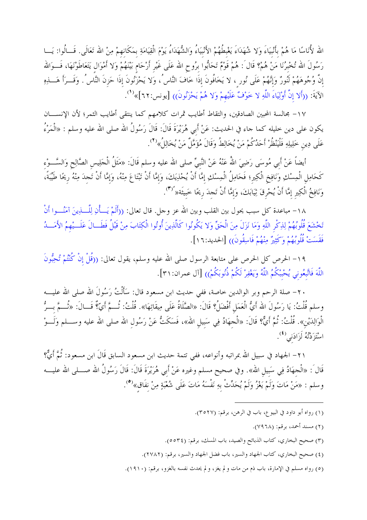الله لأُنَاسًا مَا هُمْ بأَنْبِيَاءَ وَلا شُهَدَاءَ يَغْبِطُهُمْ الأَنْبِيَاءُ وَالشُّهَدَاءُ يَوْمَ الْقِيَامَةِ بمَكَانهمْ مِنْ الله تَعَالَى. قَــالُوا: يَـــا رَسُولَ الله تُخبرُنَا مَنْ هُمْ؟ قَالَ : هُمْ قَوْمٌ تَحَابُّوا برُوحِ الله عَلَى غَيْر أَرْحَام بَيْنَهُمْ وَلا أَمْوَال يَتَعَاطَوْنَهَا، فَـــوَالله إنَّ وُجُوهَهُمْ لَنُورٌ وَإِنَّهُمْ عَلَى نُورٍ ، لا يَخَافُونَ إذَا خَافَ النَّاسُ ، وَلا يَحْزَنُونَ إذَا حَزنَ النَّاسُ . وَقَـــرَأَ هَــــذِهِ الآيَةَ: ((أَلا إنَّ أَوْلِيَاءَ اللَّهِ لا حَوْفٌ عَلَيْهِمْ وَلا هُمْ يَحْزَنُونَ)) [يونس:٢٢]»<sup>(١</sup>).

١٧– بحالسة المحبين الصادقين، والتقاط أطايب ثمرات كلامهم كما ينتقى أطايب الثمر؛ لأن الإنســـان يكون على دين خليله كما جاء في الحديث: عَنْ أَبي هُرَيْرَةَ قَالَ: قَالَ رَسُولُ الله صلى الله عليه وسلم : «الْمَرْءُ عَلَى دِين خَلِيلِهِ فَلْيَنْظُرْ أَحَدُكُمْ مَنْ يُخَالِطُ وَقَالَ مُؤَمَّلٌ مَنْ يُخَالِلُ»<sup>(٢)</sup>.

أيضاً عَنْ أَبي مُوسَى رَضِيَ اللهُ عَنْهُ عَنْ النَّبيِّ صلى الله عليه وسلم قَالَ: «مَثَلُ الْجَلِيس الصَّالِح وَالسَّــوْء كَحَامِل الْمِسْكِ وَنَافِخ الْكِير؛ فَحَامِلُ الْمِسْكِ إمَّا أَنْ يُحْذِيَكَ، وَإمَّا أَنْ تَبْتَاعَ مِنْهُ، وَإمَّا أَنْ تَجدَ مِنْهُ ريحًا طَيِّبَةً، وَنَافِخُ الْكِيرِ إمَّا أَنْ يُحْرِقَ ثِيَابَكَ، وَإِمَّا أَنْ تَجِدَ رِيحًا خَبِيثَة« ُ(٣).

١٨- مباعدة كل سبب يحول بين القلب وبين الله عز وحل. قال تعالى: ((أَلَمْ يَـــأْنِ لِلّــــٰذِينَ آمَنُــــوا أَنْ تَحْشَعَ قُلُوبُهُمْ لِذِكْرِ اللَّهِ وَمَا نَزَلَ مِنَ الْحَقِّ وَلا يَكُونُوا كَالَّذِينَ أُوتُوا الْكِتَابَ مِنْ قَبْلُ فَطَــالَ عَلَـــيْهِمُ الأَمَـــدُ فَقَسَتْ قُلُوبُهُمْ وَكَثِيرٌ مِنْهُمْ فَاسِقُونَ)) [الحديد:١٦].

١٩- الحرص كل الحرص على متابعة الرسول صلى الله عليه وسلم، يقول تعالى: ((قُلْ إنْ كُنْتُمْ تُحِبُّونَ اللَّهَ فَاتَّبِعُوني يُحْبِبْكُمُ اللَّهُ وَيَغْفِرْ لَكُمْ ذُنُوبَكُمْ)) [آل عمران:٣١].

٢٠– صلة الرحم وبر الوالدين حاصة، ففي حديث ابن مسعود قال: سَأَلْتُ رَسُولَ الله صلى الله عليــــه وسلم قُلْتُ: يَا رَسُولَ الله أَيُّ الْعَمَل أَفْضَلُ؟ قَالَ: «الصَّلَاةُ عَلَى مِيقَاتِهَا». قُلْتُ: ثُـــمَّ أيّ؟ قَـــالَ: «تُـــمَّ بـــرُّ الْوَالِدَيْنِ». قُلْتُ: ثُمَّ أَيٌّ؟ قَالَ: «الْحهَادُ فِي سَبيل الله»، فَسَكَتُّ عَنْ رَسُول الله صلى الله عليه وســــلم وَلَـــوْ اسْتَزَدْتُهُ لَزَادَنِ<sub>ى</sub> <sup>(٤</sup>).

٢١– الجهاد في سبيل الله بمراتبه وأنواعه، ففي تتمة حديث ابن مسعود السابق قَالَ ابن مسعود: ثُمَّ أَيٌّ؟ قَالَ : «الْحهَادُ فِي سَبيل الله». وفي صحيح مسلم وغيره عَنْ أَبي هُرَيْرَةَ قَالَ: قَالَ رَسُولُ الله صـــلى الله عليـــه وسلم : «مَنْ مَاتَ وَلَمْ يَغْزُ وَلَمْ يُحَدِّثْ بِهِ نَفْسَهُ مَاتَ عَلَى شُعْبَةٍ مِنْ نفَاق»<sup>(٥</sup>).

- (١) رواه أبو داود في البيوع، باب في الرهن، برقم: (٣٥٢٧).
	- (٢) مسند أحمد، برقم: (٧٩٦٨).
- (٣) صحيح البخاري، كتاب الذبائح والصيد، باب المسك، برقم: (٣٥٢٤).
- (٤) صحيح البخاري، كتاب الجهاد والسير، باب فضل الجهاد والسير، برقم: (٢٧٨٢).
- (٥) رواه مسلم في الإمارة، باب ذم من مات ولم يغز، ولم يحدث نفسه بالغزو، برقم: (١٩١٠).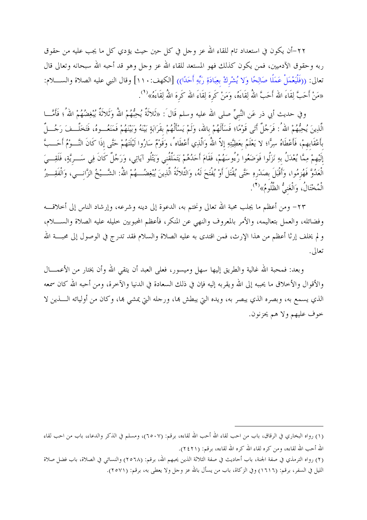٢٢-أن يكون في استعداد تام للقاء الله عز وجل في كل حين حيث يؤدي كل ما يجب عليه من حقوق ربه وحقوق الآدميين، فمن يكون كذلك فهو المستعد للقاء الله عز وحل وهو قد أحبه الله سبحانه وتعالى قال تعالى: ((فَلْيَعْمَلْ عَمَلًا صَالِحًا وَلا يُشْرِكْ بِعِبَادَةِ رَبِّهِ أَحَدًا)) [الكهف:١١٠] وقال النبي عليه الصلاة والســــلام: «مَنْ أَحَبَّ لِقَاءَ الله أَحَبَّ اللهُ لِقَاءَهُ، وَمَنْ كَرهَ لِقَاءَ الله كَرهَ اللهُ لِقَاءَهُ»<sup>(1</sup>).

وفي حديث أبي ذر عَن النَّبيِّ صلى الله عليه وسلم قَال<sup>َ</sup>: «ثَلاثَةٌ يُحِبُّهُمْ اللهُ وَثَلاثَةٌ يُبغِضُهُمْ اللهُ ُ، فَأَمَّـــا الَّذِينَ يُحِبُّهُمْ اللهُ : فَرَجُلٌ أَتَى قَوْمًا؛ فَسَأَلَهُمْ بالله، وَلَمْ يَسْأَلْهُمْ بقَرَابَةٍ بَيْنَهُ وَبَيْنَهُمْ فَمَنَعُــوهُ، فَتَخَلَّــفَ رَجُـــلٌ بأَعْقَابهمْ، فَأَعْطَاهُ سِرًّا؛ لا يَعْلَمُ بعَطِيَّتِهِ إلاّ اللهُ وَالَّذِي أَعْطَاه ُ، وَقَوْمٌ سَارُوا لَيْلَتَهُمْ حَتَّى إذَا كَانَ النَّــوْمُ أَحَــبَّ إلَيْهِمْ مِمَّا يُعْدَلُ بهِ نَزَلُوا فَوَضَعُوا رُءُوسَهُمْ، فَقَامَ أَحَدُهُمْ يَتَمَلَّقُني وَيَتْلُو آياتِي، وَرَجُلٌ كَانَ فِي سَــريَّةٍ، فَلَقِـــيَ الْعَدُوَّ فَهُزِمُوا، وَأَقْبَلَ بصَدْرهِ حَتَّى يُقْتَلَ أَوْ يُفْتَحَ لَهُ، وَالثَّلاثَةُ الَّذِينَ يُبْغِضُــهُمْ اللَّهُ: الشَّــيْخُ الزَّانِـــي، وَالْفَقِـــيرُ الْمُخْتَالُ، وَالْغَنِيُّ الظَّلُومُ»<sup>(٢)</sup>.

٢٣– ومن أعظم ما يجلب محبة الله تعالى ونختم به، الدعوة إلى دينه وشرعه، وإرشاد الناس إلى أخلاقــــه وفضائله، والعمل بتعاليمه، والأمر بالمعروف والنهي عن المنكر، فأعظم المحبوبين حليله عليه الصلاة والســــلام، و لم يخلف إرثا أعظم من هذا الإرث، فمن اقتدى به عليه الصلاة والسلام فقد تدرج في الوصول إلى محبــــة الله تعالى.

وبعد: فمحبة الله غالية والطريق إليها سهل وميسور، فعلى العبد أن يتقى الله وأن يختار من الأعمـــال والأقوال والأخلاق ما يحببه إلى الله ويقربه إليه فإن في ذلك السعادة في الدنيا والآخرة، ومن أحبه الله كان سمعه الذي يسمع به، وبصره الذي يبصر به، ويده التي يبطش ها، ورحله التي يمشي ها، وكان من أوليائه الــــذين لا حوف عليهم ولا هم يحزنون.

<sup>(</sup>١) رواه البخاري في الرقاق، باب من احب لقاء الله أحب الله لقاءه، برقم: (٦٥٠٧)، ومسلم في الذكر والدعاء، باب من احب لقاء الله أحب الله لقاءه، ومن كره لقاء الله كره الله لقاءه، برقم: (٢٤٢١).

<sup>(</sup>٢) رواه الترمذي في صفة الجنة، باب أحاديث في صفة الثلاثة الذين يحبهم الله، برقم: (٢٥٦٨) والنسائي في الصلاة، باب فضل صلاة

الليل في السفر، برقم: (١٦١٦) وفي الزكاة، باب من يسأل بالله عز وجل ولا يعطي به، برقم: (٢٥٧١).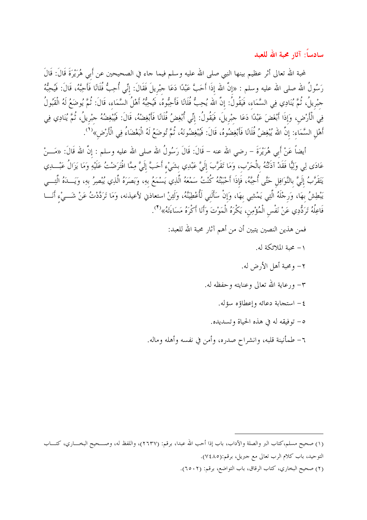سادساً: آثار محبة الله للعبد

لمحبة الله تعالى أثر عظيم بينها النبي صلى الله عليه وسلم فيما حاء في الصحيحين عن أبي هُرَيْرَةَ قَالَ: قَالَ رَسُولُ الله صلى الله عليه وسلم : «إنَّ الله إذَا أَحَبَّ عَبْدًا دَعَا جبْريلَ فَقَالَ: إنِّي أُحِبُّ فُلَانًا فَأَحِبَّهُ، قَالَ: فَيُحِبُّهُ حبْريلُ، ثُمَّ يُنَادِي فِي السَّمَاء، فَيَقُولُ: إنَّ الله يُحِبُّ فُلَانًا فَأَحِبُّوهُ، فَيُحِبُّهُ أَهْلُ السَّمَاء، قَالَ: ثُمَّ يُوضَعُ لَهُ الْقَبُولُ فِي الْأَرْضِ، وَإِذَا أَبْغَضَ عَبْدًا دَعَا جبْرِيلَ، فَيَقُولُ: إنِّي أُبْغِضُ فُلَانًا فَأَبْغِضْهُ، قَالَ: فَيُبْغِضُهُ حمْريلُ، ثُمَّ يُنَادِي فِي أَهْلِ السَّمَاء: إنَّ الله يُبْغِضُ فُلَانًا فَأَبْغِضُوهُ، قَالَ: فَيُبْغِضُونَهُ، ثُمَّ تُوضَعُ لَهُ الْبَغْضَاءُ فِي الْأَرْضِ»<sup>(١</sup>).

أيضاً عَنْ أَبِي هُرَيْرَةَ – رضي الله عنه – قَالَ: قَالَ رَسُولُ الله صلى الله عليه وسلم : إنَّ الله قَالَ: «مَـــنْ عَادَى لِي وَلِيًّا فَقَدْ آذَنْتُهُ بِالْحَرْبِ، وَمَا تَقَرَّبَ إِلَيَّ عَبْدِي بِشَيْءٍ أَحَبَّ إِلَيَّ مِمَّا افْتَرَضْتُ عَلَيْهِ وَمَا يَزَالُ عَبْـــدِي يَتَقَرَّبُ إلَيَّ بالنَّوَافِلِ حَتَّى أُحِبَّهُ، فَإِذَا أَحْبَبْتُهُ كُنْتُ سَمْعَهُ الَّذِي يَسْمَعُ بهِ، وَبَصَرَهُ الَّذِي يُبْصِرُ بهِ، وَيَـــدَهُ الَّتِـــي يَبْطِشُ بِهَا، وَرِجْلَهُ الَّتِي يَمْشِي بِهَا، وَإِنْ سَأَلَنِي لَأُعْطِيَنَّهُ، وَلَئِنْ استعاذني لأعيذنه، وَمَا تَرَدَّدْتُ عَنْ شَـــىْء أَنَـــا فَاعِلُهُ تَرَدُّدِي عَنْ نَفْس الْمُؤْمِن، يَكْرَهُ الْمَوْتَ وَأَنَا أَكْرَهُ مَسَاءَتَهُ»<sup>(٢</sup>).

> فمن هذين النصين يتبين أن من أهم آثار محبة الله للعبد: ١– محمة الملائكة له. ٢- ومحبة أهل الأرض له. ٣- ورعاية الله تعالى وعنايته وحفظه له. ٤ – استجابة دعائه وإعطاؤه سؤله. ٥- توفيقه له في هذه الحياة وتسديده. ٦– طمأنينة قلبه، وانشراح صدره، وأمن في نفسه وأهله وماله.

(٢) صحيح البخاري، كتاب الرقاق، باب التواضع، برقم: (٢٥٠٢).

<sup>(</sup>١) صحيح مسلم،كتاب البر والصلة والآداب، باب إذا أحب الله عبدا، برقم: (٢٦٣٧)، واللفظ له، وصـــحيح البخــــاري، كتــــاب التوحيد، باب كلام الرب تعالى مع حبريل، برقم:(٧٤٨٥).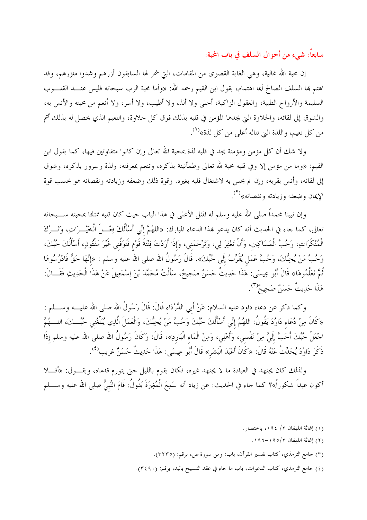سابعاً: شيء من أحوال السلف في باب المحبة:

إن محبة الله غالية، وهي الغاية القصوى من المقامات، التي شمر لها السابقون أزرهم وشدوا مئزرهم، وقد اهتم ها السلف الصالح أيما اهتمام، يقول ابن القيم رحمه الله: «وأما محبة الرب سبحانه فليس عنــــد القلــــوب السليمة والأرواح الطيبة، والعقول الزاكية، أحلي ولا ألذ، ولا أطيب، ولا أسر، ولا أنعم من محبته والأنس به، والشوق إلى لقائه، والحلاوة التي يجدها المؤمن في قلبه بذلك فوق كل حلاوة، والنعيم الذي يحصل له بذلك أتم من كل نعيم، واللذة التي تناله أعلى من كل لذة»<sup>(١)</sup>.

ولا شك أن كل مؤمن ومؤمنة يجد في قلبه لذة بمحبة الله تعالى وإن كانوا متفاوتين فيها، كما يقول ابن القيم: «وما من مؤمن إلا وفي قلبه محبة لله تعالى وطمأنينة بذكره، وتنعم بمعرفته، ولذة وسرور بذكره، وشوق إلى لقائه، وأنس بقربه، وإن لم يحس به لاشتغال قلبه بغيره. وقوة ذلك وضعفه وزيادته ونقصانه هو بحسب قوة الإيمان وضعفه وزيادته ونقصانه»<sup>(٢)</sup>.

وإن نبينا محمداً صلى الله عليه وسلم له المثل الأعلى في هذا الباب حيث كان قلبه ممتلئا بمحبته ســـبحانه تعالى، كما جاء في الحديث أنه كان يدعو هذا الدعاء المبارك: «اللهُمَّ إنِّي أَسْأَلُكَ فِعْـــلَ الْخَيْـــرَاتِ، وَتَـــرْكَ الْمُنْكَرَاتِ، وَحُبَّ الْمَسَاكِين، وَأَنْ تَغْفِرَ لِي، وَتَرْحَمَنِي، وَإِذَا أَرَدْتَ فِتْنَةَ قَوْم فَتَوَفّني غَيْرَ مَفْتُونٍ، أَسْأَلُكَ حُبَّكَ، وَحُبَّ مَنْ يُحِبُّكَ، وَحُبَّ عَمَلٍ يُقَرِّبُ إلَى حُبِّكَ». قَالَ رَسُولُ الله صلى الله عليه وسلم : «إنَّهَا حَقٌّ فَادْرُسُوهَا ثُمَّ تَعَلَّمُوهَا» قَالَ أَبُو عِيسَى: هَذَا حَدِيثٌ حَسَنٌ صَحِيحٌ، سَأَلْتُ مُحَمَّدَ بْنَ إسْمَعِيلَ عَنْ هَذَا الْحَدِيثِ فَقَـــالَ: هَذَا حَدِيتٌ حَسَنٌ صَحِيحٌ<sup>(٣)</sup>.

وكما ذكر عن دعاء داود عليه السلام: عَنْ أَبي الدَّرْدَاء قَالَ: قَالَ رَسُولُ الله صلى الله عليـــه وســـلم : «كَانَ مِنْ دُعَاء دَاوُدَ يَقُولُ: اللهُمَّ إنِّي أَسْأَلُكَ حُبَّكَ وَحُبَّ مَنْ يُحِبُّكَ، وَالْعَمَلَ الّذِي يُبَلِّغُني حُبَّــكَ، اللـــهُمَّ احْعَلْ حُبَّكَ أَحَبَّ إلَيَّ مِنْ نَفْسي، وَأَهْلِي، وَمِنْ الْمَاء الْبَارِدِ»، قَالَ: وَكَانَ رَسُولُ الله صلى الله عليه وسلم إذَا ذَكَرَ دَاوُدَ يُحَدِّثُ عَنْهُ قَالَ: «كَانَ أَعْبَدَ الْبَشَرِ» قَالَ أَبُو عِيسَى: هَذَا حَدِيثٌ حَسَنٌ غريب<sup>(٤</sup>).

ولذلك كان يجتهد في العبادة ما لا يجتهد غيره، فكان يقوم بالليل حتى يتورم قدماه، ويقـــول: «أفـــلا أكون عبداً شكوراً»؟ كما حاء في الحديث: عن زياد أنه سَمِعَ الْمُغِيرَةَ يَقُولُ: قَامَ النَّبيُّ صلى الله عليه وســـلم

- (١) إغاثة اللهفان ٢/ ١٩٤، باختصار.
	- (٢) إغاثة اللهفان ١٩٥/٢–١٩٦.
- (٣) جامع الترمذي، كتاب تفسير القرآن، باب: ومن سورة ص، برقم: (٣٢٣٥).
- (٤) حامع الترمذي، كتاب الدعوات، باب ما حاء في عقد التسبيح باليد، برقم: (٤٩٠).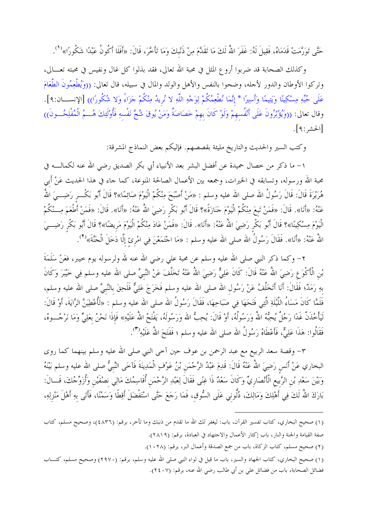حَتَّى تَوَرَّمَتْ قَدَمَاهُ، فَقِيلَ لَهُ: غَفَرَ اللهُ لَكَ مَا تَقَدَّمَ مِنْ ذَنْبكَ وَمَا تَأْخَّرَ، قَالَ: «أَفَلَا أَكُونُ عَبْدًا شَكُورًا»<sup>(١</sup>'.

وكذلك الصحابة قد ضربوا أروع المثل في محبة الله تعالى، فقد بذلوا كل غال ونفيس في محبته تعـــالى، وتركوا الأوطان والدور لأحله، وضحوا بالنفس والأهل والولد والمال في سبيله، قال تعالى: ((وَيُطْعِمُونَ الطَّعَامَ عَلَى حُبِّهِ مِسْكِينًا وَيَتِيمًا وَأَسِيرًا \* إِنَّمَا نُطْعِمُكُمْ لِوَجْهِ اللَّهِ لا نُريدُ مِنْكُمْ حَزَاءً وَلا شُكُورًا)) [الإنســـان:٩]. وقال تعالى: ((وَيُؤْثِرُونَ عَلَى أَنْفُسهمْ وَلَوْ كَانَ بهمْ خَصَاصَةٌ وَمَنْ يُوقَ شُحَّ نَفْسهِ فَأُوْلَئِكَ هُـــمُ الْمُفْلِحُـــونَ)) [الحشر:٩].

وكتب السير والحديث والتاريخ مليئة بقصصهم. فإليكم بعض النماذج المشرقة:

١– ما ذكر من خصال حميدة عن أفضل البشر بعد الأنبياء أبي بكر الصديق رضي الله عنه لكمالــــه في محبة الله ورسوله، وتسابقه في الخيرات، وجمعه بين الأعمال الصالحة المنوعة، كما حاء في هذا الحديث عَنْ أبي هُرَيْرَةَ قَالَ: قَالَ رَسُولُ الله صلى الله عليه وسلم : «مَنْ أَصْبَحَ مِنْكُمْ الْيَوْمَ صَائِمًا»؟ قَالَ أَبُو بَكْـــرٍ رَضِـــيَ اللهُ عَنْهُ: «أَنَا». قَالَ: «فَمَنْ تَبِعَ مِنْكُمْ الْيَوْمَ حَنَازَةً»؟ قَالَ أَبُو بَكْر رَضِيَ اللهُ عَنْهُ: «أَنَا». قَالَ: «فَمَنْ أَطْعَمَ مِـــنْكُمْ الْيَوْمَ مِسْكِينًا»؟ قَالَ أَبُو بَكْر رَضِيَ اللهُ عَنْهُ: «أَنَا». قَالَ: «فَمَنْ عَادَ مِنْكُمْ الْيَوْمَ مَريضًا»؟ قَالَ أَبُو بَكْر رَضِـــيَ اللهُ عَنْهُ: «أَنَا». فَقَالَ رَسُولُ الله صلى الله عليه وسلم : «مَا اجْتَمَعْنَ فِي امْرِئ إلَّا دَخَلَ الْجَنَّةَ»<sup>(٢</sup>).

٢– وكما ذكر النبي صلى الله عليه وسلم عن محبة على رضى الله عنه لله ولرسوله يوم خيبر، فعَنْ سَلَمَةَ بْنِ الْأَكْوَعِ رَضِيَ اللهُ عَنْهُ قَالَ: كَانَ عَلِيٌّ رَضِيَ اللهُ عَنْهُ تَخَلَّفَ عَنْ النَّبِيِّ صلى الله عليه وسلم فِي خَيْبَرَ وَكَانَ بهِ رَمَدٌ؛ فَقَالَ: أَنَا أَتَخَلَّفُ عَنْ رَسُول الله صلى الله عليه وسلم فَخَرَجَ عَلِيٌّ فَلَحِقَ بالنَّبيّ صلى الله عليه وسلم، فَلَمَّا كَانَ مَسَاءُ اللَّيْلَةِ الَّتِي فَتَحَهَا فِي صَبَاحِهَا، فَقَالَ رَسُولُ الله صلى الله عليه وسلم : «لَأُعْطِيَنَّ الرَّايَةَ، أَوْ قَالَ: لَيَأْخُذَنَّ غَدًا رَجُلٌ يُحِبُّهُ اللهُ وَرَسُولُهُ، أَوْ قَالَ: يُحِبُّ الله وَرَسُولَهُ، يَفْتَحُ اللهُ عَلَيْهِ» فَإِذَا نَحْنُ بِعَلِيٍّ وَمَا نَرْجُـــوهُ، فَقَالُوا: هَذَا عَلِيٌّ، فَأَعْطَاهُ رَسُولُ الله صلى الله عليه وسلم ؛ فَفَتَحَ اللهُ عَلَيْهِ'''.

٣- وقصة سعد الربيع مع عبد الرحمن بن عوف حين آخي النبي صلى الله عليه وسلم بينهما كما روى البخاري عَنْ أَنَس رَضِيَ اللَّهُ عَنْهُ قَالَ: قَدِمَ عَبْدُ الرَّحْمَنِ بْنُ عَوْفٍ الْمَدِينَةَ فَآخَى النَّبيُّ صلى الله عليه وسلم بَيْنَهُ وَبَيْنَ سَعْدِ بْنِ الرَّبيعِ الْأَنْصَارِيِّ وَكَانَ سَعْدٌ ذَا غِنًى فَقَالَ لِعَبْدِ الرَّحْمَنِ أُقَاسِمُكَ مَالِي نصْفَيْنِ وَأُزَوِّجُكَ، قَــالَ: بَارَكَ اللَّهُ لَكَ فِي أَهْلِكَ وَمَالِكَ، دُلُّوني عَلَى السُّوق، فَمَا رَحَعَ حَتَّى اسْتَفْضَلَ أَقِطًا وَسَمْنًا، فَأَتَى بهِ أَهْلَ مَنْزِلِهِ،

(٢) صحيح مسلم، كتاب الزكاة، باب من جمع الصدقة وأعمال البر، برقم: (١٠٢٨).

<sup>(</sup>١) صحيح البخاري، كتاب تفسير القرآن، باب: ليغفر لك الله ما تقدم من ذنبك وما تأخر، برقم: (٤٨٣٦)، وصحيح مسلم، كتاب صفة القيامة والجنة والنار، باب إكثار الأعمال والاحتهاد في العبادة، برقم: (٢٨١٩).

<sup>(</sup>١) صحيح البخاري، كتاب الجهاد والسير، باب ما قيل في لواء النبي صلى الله عليه وسلم، برقم: (٢٩٧٠) وصحيح مسلم، كتـــاب فضائل الصحابة، باب من فضائل على بن أبي طالب رضي الله عنه، برقم: (٢٤٠٧).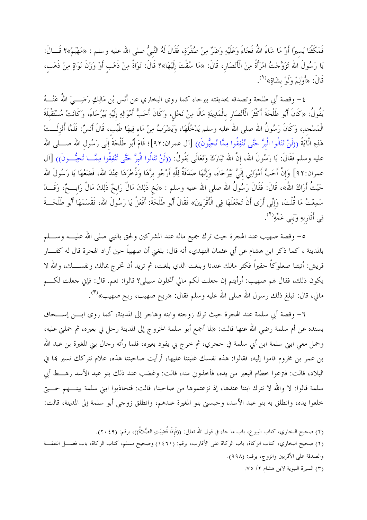فَمَكَثْنَا يَسيرًا أَوْ مَا شَاءَ اللهُ فَجَاءَ وَعَلَيْهِ وَضَرٌ مِنْ صُفْرَةٍ، فَقَالَ لَهُ النَّبيُّ صلى الله عليه وسلم : «مَهْيَمْ»؟ قَــالَ: يَا رَسُولَ الله تَزَوَّحْتُ امْرَأَةً مِنْ الْأَنْصَارِ، قَالَ: «مَا سُقْتَ إِلَيْهَا»؟ قَالَ: نَوَاةً مِنْ ذَهَبِ أَوْ وَزْنَ نَوَاةٍ مِنْ ذَهَبٍ، قَالَ: «أَوْلِمْ وَلَوْ بِشَاةٍ»<sup>(١</sup>).

٤– وقصة أبي طلحة وتصدقه بحديقته بيرحاء كما روى البخاري عن أَنَس بْن مَالِكٍ رَضِـــيَ اللَّهُ عَنْـــهُ يَقُولُ: «كَانَ أَبُو طَلْحَةَ أَكْثَرَ الْأَنْصَار بالْمَدِينَةِ مَالًا مِنْ نَخْل، وَكَانَ أَحَبُّ أَمْوَالِهِ إلَيْهِ بَيْرُحَاءَ، وَكَانَتْ مُسْتَقْبلَةَ الْمَسْجدِ، وَكَانَ رَسُولُ الله صلى الله عليه وسلم يَدْخُلُهَا، وَيَشْرَبُ مِنْ مَاء فِيهَا طَيِّب، قَالَ أَنَسْ: فَلَمَّا أُنْزِلَـــتْ هَذِهِ الْآيَةُ ((لَنْ تَنَالُوا الْبرَّ حَتَّى تُنْفِقُوا مِمَّا تُحِبُّونَ)) [آل عمران:٩٢]؛ قَامَ أَبُو طَلْحَةَ إلَى رَسُول الله صــــلى الله عليه وسلم فَقَالَ: يَا رَسُولَ الله، إنَّ الله تَبَارَكَ وَتَعَالَى يَقُولُ: ((لَنْ تَنَالُوا الْبِرَّ حَتَّى تُنْفِقُوا مِمَّــا تُحِبُّــونَ)) [آل عمران:٩٢] وَإِنَّ أَحَبَّ أَمْوَالِي إِلَيَّ بَيْرُحَاءَ، وَإِنَّهَا صَدَقَةٌ لِلَّهِ أَرْجُو برَّهَا وَذُخْرَهَا عِنْدَ الله، فَضَعْهَا يَا رَسُولَ الله حَيْثُ أَرَاكَ اللهُ»، قَالَ: فَقَالَ رَسُولُ الله صلى الله عليه وسلم : «بَخ ذَلِكَ مَالٌ رَابِحٌ ذَلِكَ مَالٌ رَابِــحٌ، وَقَـــدْ سَمِعْتُ مَا قُلْتَ، وَإِنِّي أَرَى أَنْ تَجْعَلَهَا فِي الْأَقْرَبينَ» فَقَالَ أَبُو طَلْحَةَ: أَفْعَلُ يَا رَسُولَ الله، فَقَسَمَهَا أَبُو طَلْحَـــةَ فِي أَقَارِبِهِ وَبَني عَمَّهِ (٢).

ه– وقصة صهيب عند الهجرة حيث ترك جميع ماله عند المشركين ولحق بالنبي صلى الله عليــــه وســــلم بالمدينة ، كما ذكر ابن هشام عن أبي عثمان النهدي، أنه قال: بلغني أن صهيباً حين أراد الهجرة قال له كفـــار قريش: أتيتنا صعلوكاً حقيراً فكثر مالك عندنا وبلغت الذي بلغت، ثم تريد أن تخرج بمالك ونفســـك، والله لا يكون ذلك، فقال لهم صهيب: أرأيتم إن جعلت لكم مالي أتخلون سبيلي؟ قالوا: نعم. قال: فإني جعلت لكــــم مالي، قال: فبلغ ذلك رسول الله صلى الله عليه وسلم فقال: «ربح صهيب، ربح صهيب»<sup>(٣)</sup>.

٦- وقصة أبي سلمة عند الهجرة حيث ترك زوجته وابنه وهاجر إلى المدينة، كما روى ابـــن إســـحاق بسنده عن أم سلمة رضي الله عنها قالت: «لما أجمع أبو سلمة الخروج إلى المدينة رحل لي بعيره، ثم حملني عليه، وحمل معي ابني سلمة ابن أبي سلمة في حجري، ثم خرج بي يقود بعيره، فلما رأته رحال بني المغيرة بن عبد الله بن عمر بن مخزوم قاموا إليه، فقالوا: هذه نفسك غلبتنا عليها، أرأيت صاحبتنا هذه، علام نتركك تسير هما في البلاد، قالت: فترعوا خطام البعير من يده، فأخذوني منه، قالت: وغضب عند ذلك بنو عبد الأسد رهـــط أبي سلمة قالوا: لا والله لا نترك ابننا عندها، إذ نزعتموها من صاحبنا، قالت: فتجاذبوا ابني سلمة بينــــهم حـــــيّ خلعوا يده، وانطلق به بنو عبد الأسد، وحبسني بنو المغيرة عندهم، وانطلق زوجي أبو سلمة إلى المدينة، قالت:

(٢) صحيح البخاري، كتاب البيو ع، باب ما حاء في قول الله تعالى: ((فَإِذَا قُضِيَتِ الصَّلاةُ))، برقم: (٢٠٤٩).

(٣) السيرة النبوية لابن هشام ٢/ ٧٥.

<sup>(</sup>٢) صحيح البخاري، كتاب الزكاة، باب الزكاة على الأقارب، برقم: (١٤٦١) وصحيح مسلم، كتاب الزكاة، باب فضــــل النفقـــة والصدقة على الأقربين والزوج، برقم: (٩٩٨).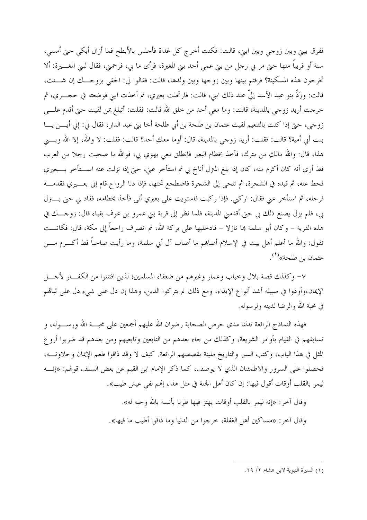ففرق بيني وبين زوجي وبين ابني، قالت: فكنت أخرج كل غداة فأجلس بالأبطح فما أزال أبكي حتى أمسي، سنة أو قريباً منها حتى مر بي رحل من بني عمي أحد بني المغيرة، فرأى ما بي، فرحمني، فقال لبني المغــــيرة: ألا تخرجون هذه المسكينة؟ فرقتم بينها وبين زوجها وبين ولدها، قالت: فقالوا لي: الحقي بزوجـــك إن شـــئت، قالت: ورَدِّ بنو عبد الأسد إلىّ عند ذلك ابني، قالت: فارتحلت بعيري، ثم أحذت ابني فوضعته في ححـــري، ثم حرجت أريد زوجي بالمدينة، قالت: وما معي أحد من حلق الله قالت: فقلت: أتبلغ بمن لقيت حبيّ أقدم علـــي زوجي، حتى إذا كنت بالتنعيم لقيت عثمان بن طلحة بن أبي طلحة أخا بني عبد الدار، فقال لي: إلى أيــــن يــــا بنت أبي أمية؟ قالت: فقلت: أريد زوجي بالمدينة، قال: أوما معكِ أحد؟ قالت: فقلت: لا والله، إلا الله وبسـني هذا، قال: والله مالكِ من مترك، فأخذ بخطام البعير فانطلق معي يهوي بي، فوالله ما صحبت رحلاً من العرب قط أرى أنه كان أكرم منه، كان إذا بلغ المترل أناخ بي ثم استأخر عني، حتى إذا نزلت عنه اســـتأخر بــــبعيري فحط عنه، ثم قيده في الشجرة، ثم تنحي إلى الشجرة فاضطجع تحتها، فإذا دنا الرواح قام إلى بعـــيري فقدمــــه فرحله، ثم استأخر عني فقال: اركبي. فإذا ركبت فاستويت على بعيري أتى فأخذ بخطامه، فقاد بي حتى يـــــترل بي، فلم يزل يصنع ذلك بي حتى أقدمني المدينة، فلما نظر إلى قرية بني عمرو بن عوف بقباء قال: زوجـــك في هذه القرية – وكان أبو سلمة بما نازلا – فادخليها على بركة الله، ثم انصرف راجعاً إلى مكة، قال: فكانـــت تقول: والله ما أعلم أهل بيت في الإسلام أصاهِم ما أصاب آل أبي سلمة، وما رأيت صاحباً قط أكــرم مـــن عثمان بن طلحة»<sup>(١</sup>).

٧- وكذلك قصة بلال وخباب وعمار وغيرهم من ضعفاء المسلمين؛ لذين افتتنوا من الكفـــار لأحــــل الإيمان،وأوذوا في سبيله أشد أنواع الإيذاء، ومع ذلك لم يتركوا الدين، وهذا إن دل على شيء دل على ثباهم في محبة الله والرضا لدينه ولرسوله.

فهذه النماذج الرائعة تدلنا مدى حرص الصحابة رضوان الله عليهم أجمعين على محبـــة الله ورســــوله، و تسابقهم في القيام بأوامر الشريعة، وكذلك من حاء بعدهم من التابعين وتابعيهم ومن بعدهم قد ضربوا أروع المثل في هذا الباب، وكتب السير والتاريخ مليئة بقصصهم الرائعة. كيف لا وقد ذاقوا طعم الإيمان وحلاوتـــه، فحصلوا على السرور والاطمئنان الذي لا يوصف، كما ذكر الإمام ابن القيم عن بعض السلف قولهم: «إنــــه ليمر بالقلب أوقات أقول فيها: إن كان أهل الجنة في مثل هذا، إلهم لفي عيش طيب».

> وقال آخر: «إنه ليمر بالقلب أوقات يهتز فيها طربا بأنسه بالله وحبه له». وقال آخر : «مساكين أهل الغفلة، خرجوا من الدنيا وما ذاقوا أطيب ما فيها».

<sup>(</sup>١) السيرة النبوية لابن هشام ٢/ ٦٩.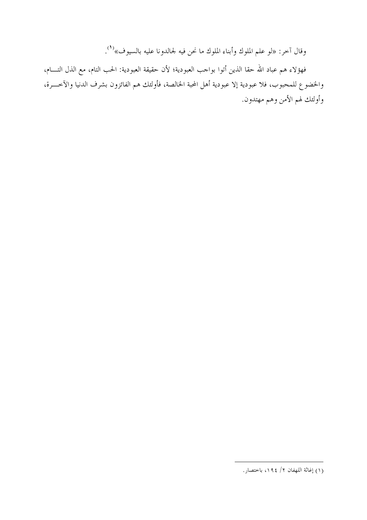وقال آخر: «لو علم الملوك وأبناء الملوك ما نحن فيه لجالدونا عليه بالسيوف»<sup>(١</sup>).

فهؤلاء هم عباد الله حقا الذين أتوا بواحب العبودية؛ لأن حقيقة العبودية: الحب التام، مع الذل التــــام، والخضوع للمحبوب، فلا عبودية إلا عبودية أهل المحبة الخالصة، فأولئك هم الفائزون بشرف الدنيا والآخـــرة، وأولئك لهم الأمن وهم مهتدون.

<sup>(</sup>١) إغاثة اللهفان ٢/ ١٩٤، باختصار .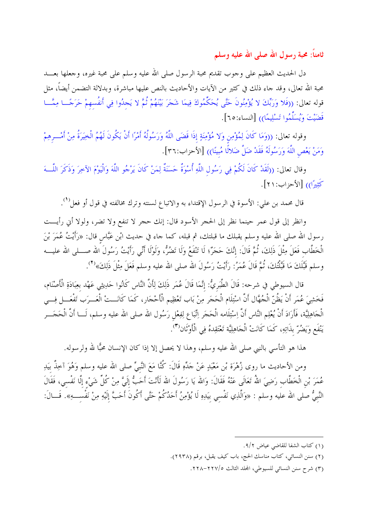ثامناً: محبة رسول الله صلى الله عليه وسلم

دل الحديث العظيم على وجوب تقديم محبة الرسول صلى الله عليه وسلم على محبة غيره، وجعلها بعـــد محبة الله تعالى، وقد حاء ذلك في كثير من الآيات والأحاديث بالنص عليها مباشرة، وبدلالة التضمن أيضاً، مثل قوله تعالى: ((فَلا وَرَبِّكَ لا يُؤْمِنُونَ حَتَّى يُحَكِّمُوكَ فِيمَا شَجَرَ بَيْنَهُمْ ثُمَّ لا يَحدُوا فِي أنفُسهمْ حَرَجًـــا مِمَّـــا قَضَيْتَ وَيُسَلِّمُوا تَسْلِيمًا)) [النساء:٦٥].

وقوله تعالى: ((وَمَا كَانَ لِمُؤْمِنِ وَلا مُؤْمِنَةٍ إِذَا قَضَى اللَّهُ وَرَسُولُهُ أَمْرًا أَنْ يَكُونَ لَهُمُ الْخِيَرَةُ مِنْ أَمْـــرهِمْ وَمَنْ يَعْصِ اللَّهَ وَرَسُولَهُ فَقَدْ ضَلَّ ضَلالًا مُبينًا)) [الأحزاب:٣٦].

وقال تعالى: ((لَقَدْ كَانَ لَكُمْ فِي رَسُول اللَّهِ أُسْوَةٌ حَسَنَةٌ لِمَنْ كَانَ يَرْجُو اللَّهَ وَالْيَوْمَ الآخِرَ وَذَكَرَ اللَّـــهَ كَثِيرًا)) [الأحزاب: ٢١].

قال محمد بن علي: الأسوة في الرسول الإقتداء به والاتباع لسنته وترك مخالفته في قول أو فعل``.

وانظر إلى قول عمر حينما نظر إلى الحجر الأسود قال: إنك حجر لا تنفع ولا تضر، ولولا أني رأيـــت رسول الله صلى الله عليه وسلم يقبلك ما قبلتك، ثم قبله، كما جاء في حديث ابْن عَبَّاس قال: «رَأَيْتُ عُمَرَ بْنَ الْخَطَّاب فَعَلَ مِثْلَ ذَلِكَ، ثُمَّ قَالَ: إنَّكَ حَجَرٌ؛ لَا تَنْفَعُ وَلَا تَضُرُّ، وَلَوْلَا أَنِّي رَأيْتُ رَسُولَ الله صــــلى الله عليــــه وسلم قَبَّلَكَ مَا قَبَّلْتُكَ، ثُمَّ قَالَ عُمَرُ: رَأَيْتُ رَسُولَ الله صلى الله عليه وسلم فَعَلَ مِثْلَ ذَلِكَ»<sup>(٢)</sup>.

قال السيوطي في شرحه: قَالَ الطَّبَريُّ: إنَّمَا قَالَ عُمَر ذَلِكَ لِأَنَّ النَّاس كَانُوا حَدِيثِي عَهْد بعِبَادَةِ الْأَصْنَام، فَخَشِيَ عُمَرٍ أَنْ يَظُنّ الْجُهَّال أَنَّ اسْتِلَام الْحَجَر مِنْ بَاب تَعْظِيم الْأَحْجَار، كَمَا كَانَـــتْ الْعَـــرَب تَفْعَـــل فِـــي الْحَاهِلِيَّة، فَأَرَادَ أَنْ يُعْلِم النَّاس أَنَّ اِسْتِلَامه الْحَحَر اِتِّبَاع لِفِعْل رَسُول الله صلى الله عليه وسلم، لَـــا أَنَّ الْحَحَـــر يَنْفَع وَيَضُرّ بذَاتِهِ، كَمَا كَانَتْ الْجَاهِلِيَّة تَعْتَقِدهُ فِي الْأَوْثَانْ(٣).

هذا هو التأسى بالنبي صلى الله عليه وسلم، وهذا لا يحصل إلا إذا كان الإنسان محبًّا لله ولرسوله.

ومن الأحاديث ما روى زُهْرَة بْن مَعْبَدٍ عَنْ حَدِّهِ قَالَ: كُنَّا مَعَ النَّبيِّ صلى الله عليه وسلم وَهُوَ آخِذٌ بيَدِ عُمَرَ بْنِ الْخَطَّابِ رَضِيَ اللهُ تَعَالَى عَنْهُ فَقَالَ: وَالله يَا رَسُولَ الله لَأَنْتَ أَحَبُّ إلَيَّ مِنْ كُلِّ شَيْء إلَّا نَفْسى، فَقَالَ النَّبِيُّ صلى الله عليه وسلم : «وَالَّذِي نَفْسِي بيَدِهِ لَا يُؤْمِنُ أَحَدُكُمْ حَتَّى أَكُونَ أَحَبَّ إِلَيْهِ مِنْ نَفْسِــهِ». قَــالَ:

<sup>(</sup>١) كتاب الشفا للقاضي عياض ٩/٢.

<sup>(</sup>٢) سنن النسائي، كتاب مناسك الحج، باب كيف يقبل، برقم (٢٩٣٨).

<sup>(</sup>٣) شرح سنن النسائي للسيوطي، المحلد الثالث ٢٢٧/٥-٢٢٨.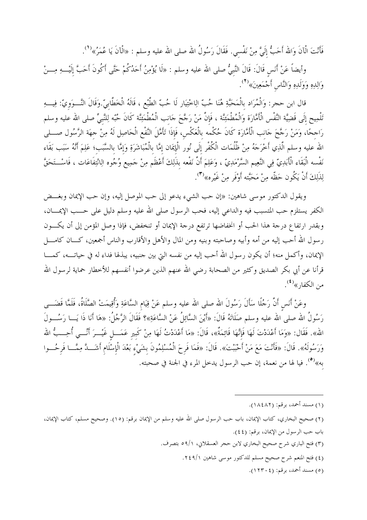فَأَنْتَ الْآنَ وَالله أَحَبُّ إِلَيَّ مِنْ نَفْسي. فَقَالَ رَسُولُ الله صلى الله عليه وسلم : «الْآنَ يَا عُمَرُ»<sup>(1</sup>).

وأيضاً عَنْ أَنَس قَالَ: قَالَ النَّبيُّ صلى الله عليه وسلم : «لَا يُؤْمِنُ أَحَدُكُمْ حَتَّى أَكُونَ أَحَبَّ إلَيْـــهِ مِـــنْ وَالِدِهِ وَوَلَدِهِ وَالنَّاس أَحْمَعِينَ»<sup>(٢)</sup>.

قال ابن حجر: وَالْمُرَاد بالْمَحَبَّةِ هُنَا حُبّ الِاخْتِيَار لَا حُبّ الطَّبْع ، قَالَهُ الْخَطَّابيّ.وَقَالَ النَّـــوَويّ: فِيـــهِ تَلْمِيح إِلَى قَضِيَّة النَّفْس الْأَمَّارَة وَالْمُطْمَئِنَّة ، فَإِنَّ مَنْ رَجَّحَ حَانب الْمُطْمَئِنَّة كَانَ حُبّه لِلنَّبِيِّ صلى الله عليه وسلم رَاحِحًا، وَمَنْ رَحَّحَ حَانب الْأَمَّارَة كَانَ حُكْمه بالْعَكْس، فَإِذَا تَأَمَّلَ النَّفْعِ الْحَاصِل لَهُ مِنْ حهَة الرَّسُول صـــلي الله عليه وسلم الَّذِي أَخْرَجَهُ مِنْ ظُلُمَات الْكُفْر إلَى نُور الْإِيمَان إمَّا بالْمُبَاشَرَةِ وَإِمَّا بِالسَّبَبِ؛ عَلِمَ أَنَّهُ سَبَب بَقَاء نَفْسه الْبَقَاء الْأَبَدِيّ فِي النَّعِيم السَّرْمَدِيّ ، وَعَلِمَ أَنَّ نَفْعه بذَلِكَ أَعْظَم مِنْ حَمِيع وُجُوه الِانْتِفاعَات ، فَاسْــتَحَقَّ لِذَلِكَ أَنْ يَكُون حَظَّه مِنْ مَحَبَّته أَوْفَر مِنْ غَيْرِه»<sup>(٣</sup>).

ويقول الدكتور موسى شاهين: «إن حب الشيء يدعو إلى حب الموصل إليه، وإن حب الإيمان وبغـــض الكفر يستلزم حب المتسبب فيه والداعي إليه، فحب الرسول صلى الله عليه وسلم دليل على حـــب الإيمــــان، وبقدر ارتفاع درجة هذا الحب أو انخفاضها ترتفع درجة الإيمان أو تنخفض، فإذا وصل المؤمن إلى أن يكسون رسول الله أحب إليه من أمه وأبيه وصاحبته وبنيه ومن المال والأهل والأقارب والناس أجمعين، كـــان كامــــل الإيمان، وأكمل منه؛ أن يكون رسول الله أحب إليه من نفسه التي بين حنبيه، يبذلها فداء له في حياتـــه، كمــــا قرأنا عن أبي بكر الصديق وكثير من الصحابة رضي الله عنهم الذين عرضوا أنفسهم للأخطار حماية لرسول الله من الكفار» (<sup>٤)</sup>.

وعَنْ أَنَس أَنَّ رَجُلًا سَأَلَ رَسُولَ الله صلى الله عليه وسلم عَنْ قِيَام السَّاعَةِ وَأُقِيمَتْ الصَّلَاةُ، فَلَمَّا قَضَـــى رَسُولُ الله صلى الله عليه وسلم صَلَاتَهُ قَالَ: «أَيْنَ السَّائِلُ عَنْ السَّاعَةِ»؟ فَقَالَ الرَّجُلُ: «هَا أَنَا ذَا يَـــا رَسُـــولَ الله». فَقَال: «وَمَا أَعْدَدْتَ لَهَا فَإِنَّهَا قَائِمَةٌ»، قَالَ: «مَا أَعْدَدْتُ لَهَا مِنْ كَبير عَمَـــل غَيْـــرَ أَنَّـــي أُحِـــبُّ الله وَرَسُولَهُ». قَالَ: «فَأَنْتَ مَعَ مَنْ أَحْبَبْتَ». قَالَ: «فَمَا فَرحَ الْمُسْلِمُونَ بشَيْءِ بَعْدَ الْإسْلَام أشَـــدَّ مِمَّـــا فَرحُـــوا به»<sup>(٥)</sup>. فيا لها من نعمة، إن حب الرسول يدخل المرء في الجنة في صحبته.

- (٣) فتح الباري شرح صحيح البخاري لابن حجر العسقلاني، ٥٩/١ بتصرف.
	- (٤) فتح المنعم شرح صحيح مسلم للدكتور موسى شاهين ٢٤٩/١.
		- (٥) مسند أحمد، برقم: (١٢٣٠٤).

<sup>(</sup>١) مسند أحمد، برقم: (١٨٤٨٢).

<sup>(</sup>٢) صحيح البخاري، كتاب الإيمان، باب حب الرسول صلى الله عليه وسلم من الإيمان برقم: (١٥). وصحيح مسلم، كتاب الإيمان، باب حب الرسول من الإيمان، برقم: (٤٤).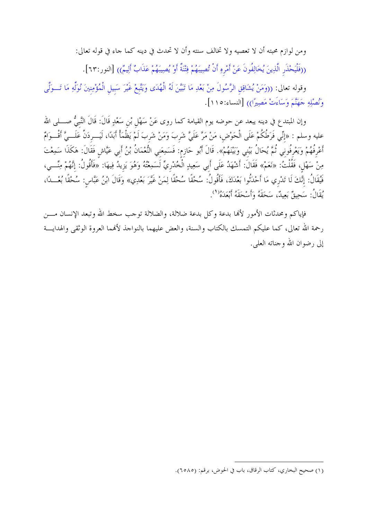ومن لوازم محبته أن لا تعصيه ولا تخالف سنته وأن لا تحدث في دينه كما جاء في قوله تعالى:

((فَلْيَحْذَرِ الَّذِينَ يُخَالِفُونَ عَنْ أَمْرِهِ أَنْ تُصِيبَهُمْ فِتْنَةٌ أَوْ يُصِيبَهُمْ عَذَابٌ أَلِيمٌ)) [النور:٦٣].

وقوله تعالى: ((وَمَنْ يُشَاقِقِ الرَّسُولَ مِنْ بَعْدِ مَا تَبَيَّنَ لَهُ الْهُدَى وَيَتَّبعْ غَيْرَ سَبيل الْمُؤْمِنينَ نُوَلِّهِ مَا تَــوَلَّى وَنُصْلِهِ حَهَنَّمَ وَسَاءَتْ مَصِيرًا)) [النساء:١١٥].

وإن المبتدع في دينه يبعد عن حوضه يوم القيامة كما روى عَنْ سَهْل بْن سَعْدٍ قَالَ: قَالَ النَّبيُّ صــــلى الله عليه وسلم : «إنِّي فَرَطُكُمْ عَلَى الْحَوْضِ، مَنْ مَرَّ عَلَىَّ شَربَ وَمَنْ شَربَ لَمْ يَظْمَأْ أَبَدًا، لَيَـــردَنَّ عَلَـــيَّ أَقْـــوَامٌ أَعْرِفُهُمْ وَيَعْرِفُوني ثُمَّ يُحَالُ بَيْني وَبَيْنَهُمْ». قَالَ أَبُو حَازِم: فَسَمِعَني النُّعْمَانُ بْنُ أَبي عَيَّاش فَقَالَ: هَكَذَا سَمِعْتَ مِنْ سَهْلٍ، فَقُلْتُ: «نَعَمْ» فَقَالَ: أَشْهَدُ عَلَى أَبِي سَعِيدٍ الْخُدْرِيِّ لَسَمِعْتُهُ وَهُوَ يَزيدُ فِيهَا: «فَأَقُولُ: إنَّهُمْ مِنِّـــى، فَيُقَالُ: إنَّكَ لَا تَدْرِي مَا أَحْدَثُوا بَعْدَكَ، فَأَقُولُ: سُحْقًا سُحْقًا لِمَنْ غَيَّرَ بَعْدِي» وَقَالَ ابْنُ عَبَّاس: سُحْقًا بُعْـــدًا، يُقَالُ: سَحِيقٌ بَعِيدٌ، سَحَقَهُ وَأَسْحَقَهُ أَبْعَدَهُ''.

فإياكم ومحدثات الأمور لألها بدعة وكل بدعة ضلالة، والضلالة توجب سخط الله وتبعد الإنسان مـــن رحمة الله تعالى، كما عليكم التمسك بالكتاب والسنة، والعض عليهما بالنواجذ لأفمما العروة الوثقى والهدايـــة إلى رضوان الله وجناته العلي.

<sup>(</sup>١) صحيح البخاري، كتاب الرقاق، باب في الحوض، برقم: (٦٥٨٥).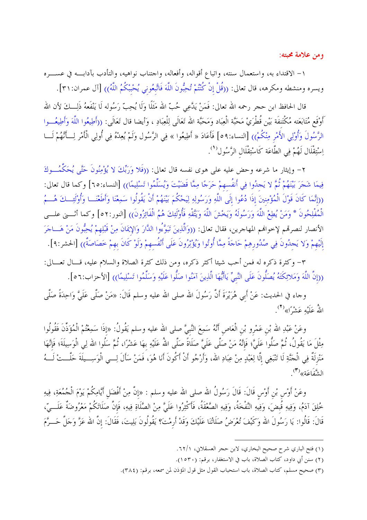ومن علامة محبته:

١– الاقتداء به، واستعمال سنته، واتباع أقواله، وأفعاله، واحتناب نواهيه، والتأدب بآدابـــه في عســــره ويسره ومنشطه ومكرهه، قال تعالى: ((قُلْ إنْ كُنْتُمْ تُحِبُّونَ اللَّهَ فَاتَّبِعُوني يُحْبْكُمُ اللَّهُ)) [آل عمران:٣١].

قال الحافظ ابن حجر رحمه الله تعالى: فَمَنْ يَدَّعِي حُبّ الله مَثَلًا وَلَا يُحِبّ رَسُوله لَا يَنْفَعهُ ذَلِـــكَ لأن الله أَوْقَع مُتَابَعَته مُكْتَنفَة بَيْن قُطْرَيْ مَحَبَّة الْعِبَاد وَمَحَبَّة الله تَعَالَى لِلْعِبَادِ ، وَأيضا قال تَعَالَى: ((أَطِيعُوا اللَّهَ وَأَطِيعُــوا الرَّسُولَ وَأُوْلِي الأَمْرِ مِنْكُمْ)) [النساء:٩٩] فَأَعَادَ « أَطِيعُوا » فِي الرَّسُول وَلَمْ يُعِدْهُ فِي أُولِي الْأَمْرِ لِـــأَنَّهُمْ لَـــا اِسْتِقْلَال لَهُمْ فِي الطَّاعَة كَاسْتِقْلَال الرَّسُول<sup>(١</sup>).

٢– وإيثار ما شرعه وحض عليه على هوى نفسه قال تعالى: ((فَلا وَرَبِّكَ لا يُؤْمِنُونَ حَتَّى يُحَكِّمُـــوكَ فِيمَا شَجَرَ بَيْنَهُمْ ثُمَّ لا يَجدُوا فِي أَنفُسهمْ حَرَجًا مِمَّا قَضَيْتَ وَيُسَلِّمُوا تَسْلِيمًا)) [النساء:٦٥] وكما قال تعالى: ((إِنَّمَا كَانَ قَوْلَ الْمُؤْمِنِينَ إِذَا دُعُوا إِلَى اللَّهِ وَرَسُولِهِ لِيَحْكُمَ بَيْنَهُمْ أَنْ يَقُولُوا سَمِعْنَا وَأَطْعْنَــا وَأُوْلَٰئِــكَ هُـــمُ الْمُفْلِحُونَ \* وَمَنْ يُطِعْ اللَّهَ وَرَسُولَهُ وَيَخْشَ اللَّهَ وَيَتَّقْهِ فَأُوْلَئِكَ هُمُ الْفَائِزُونَ)) [النور:٥٢] وكما أثــــني علـــي الأنصار لنصرتهم لإخواهم المهاجرين، فقال تعالى: ((وَالَّذِينَ تَبَوَّءُوا الدَّارَ وَالإِيمَانَ مِنْ قَبْلِهِمْ يُحِبُّونَ مَنْ هَــاجَرَ إلَيْهِمْ وَلا يَحدُونَ فِي صُدُورهِمْ حَاجَةً مِمَّا أُوتُوا وَيُؤْثِرُونَ عَلَى أَنْفُسهمْ وَلَوْ كَانَ بهمْ خَصَاصَةٌ)) [الحشر:٩].

٣- وكثرة ذكره له فمن أحب شيئا أكثر ذكره، ومن ذلك كثرة الصلاة والسلام عليه، قــال تعــالي: ((إنَّ اللَّهَ وَمَلائِكَتَهُ يُصَلُّونَ عَلَى النَّبِيِّ يَاأَيُّهَا الَّذِينَ آمَنُوا صَلُّوا عَلَيْهِ وَسَلِّمُوا تَسْلِيمًا)) [الأحزاب:٥٦].

وحاء في الحديث: عَنْ أَبي هُرَيْرَةَ أَنَّ رَسُولَ الله صلى الله عليه وسلم قَالَ: «مَنْ صَلَّى عَلَيَّ وَاحِدَةً صَلَّى اللهُ عَلَيْهِ عَشْرًا»<sup>(٢</sup>).

وعَنْ عَبْدِ الله بْن عَمْرو بْن الْعَاص أَنَّهُ سَمِعَ النَّبيَّ صلى الله عليه وسلم يَقُولُ: «إذَا سَمِعْتُمْ الْمُؤَذِّنَ فَقُولُوا مِثْلَ مَا يَقُولُ، ثُمَّ صَلُّوا عَلَيَّ؛ فَإِنَّهُ مَنْ صَلَّى عَلَيَّ صَلَاةً صَلَّى اللهُ عَلَيْهِ بهَا عَشْرًا، ثُمَّ سَلُوا الله لِى الْوَسِيلَةَ؛ فَإِنَّهَا مَنْزِلَةٌ فِي الْحَنَّةِ لَا تَنْبَغِي إِلَّا لِعَبْدٍ مِنْ عِبَادِ الله، وَأَرْجُو أَنْ أَكُونَ أَنَا هُوَ، فَمَنْ سَأَلَ لِـــي الْوَسِـــيلَةَ حَلَّــتْ لَـــهُ الشَّفَاعَةِ»<sup>(٣)</sup>.

وعَنْ أَوْسٍ بْنِ أَوْسٍ قَالَ: قَالَ رَسُولُ الله صلى الله عليه وسلم : «إنَّ مِنْ أَفْضَل أَيَّامِكُمْ يَوْمَ الْحُمُعَةِ، فِيهِ خُلِقَ آدَمُ، وَفِيهِ قُبضَ، وَفِيهِ النَّفْخَةُ، وَفِيهِ الصَّعْقَةُ، فَأَكْثِرُوا عَلَيَّ مِنْ الصَّلَاةِ فِيهِ، فَإِنَّ صَلَاتَكُمْ مَعْرُوضَةٌ عَلَـــيّ، قَالَ: قَالُوا: يَا رَسُولَ الله وَكَيْفَ تُعْرَضُ صَلَاتُنَا عَلَيْكَ وَقَدْ أَرمْتَ؟ يَقُولُونَ بَلِيتَ، فَقَالَ: إنَّ الله عَزَّ وَجَلَّ حَـــرَّمَ

<sup>(</sup>١) فتح الباري شرح صحيح البخاري، لابن حجر العسقلاني، ٦٢/١.

<sup>(</sup>٢) سنن أبي داود، كتاب الصلاة، باب في الاستغفار، برقم: (١٥٣٠).

<sup>(</sup>٣) صحيح مسلم، كتاب الصلاة، باب استحباب القول مثل قول المؤذن لمن سمعه، برقم: (٣٨٤).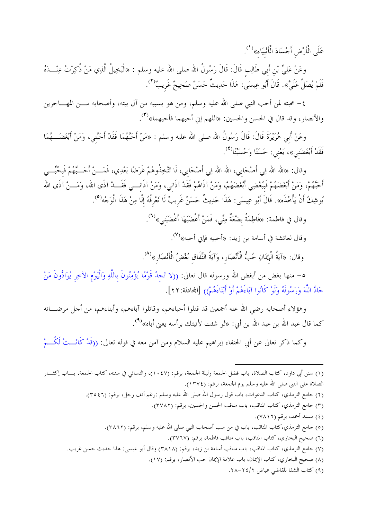عَلَى الْأَرْضِ أَجْسَادَ الْأَنْبِيَاءِ»<sup>(1</sup>).

وعَنْ عَلِيٍّ بْنِ أَبِي طَالِبٍ قَالَ: قَالَ رَسُولُ الله صلى الله عليه وسلم : «الْبَخِيلُ الَّذِي مَنْ ذُكِرْتُ عِنْـــدَهُ فَلَمْ يُصَلِّ عَلَيَّ». قَالَ أَبُو عِيسَى: هَذَا حَدِيثٌ حَسَنٌ صَحِيحٌ غَريبٌ<sup>(٢</sup>).

٤– محبته لمن أحب النبي صلى الله عليه وسلم، ومن هو بسببه من آل بيته، وأصحابه مــــن المهــــاجرين والأنصار، وقد قال في الحسن والحسين: «اللهم إني أحبهما فأحبهما»<sup>(٣)</sup>.

وعَنْ أَبِي هُرَيْرَةَ قَالَ: قَالَ رَسُولُ الله صلى الله عليه وسلم : «مَنْ أَحَبَّهُمَا فَقَدْ أَحَبَّني، وَمَنْ أَبْغَضَــهُمَا فَقَدْ أَبْغَضَني»، يَعْني: حَسَنًا وَحُسَيْنَا لَا مُ يَنْ اللهُ .

وقال: «الله الله فِي أَصْحَابي، الله الله فِي أَصْحَابي، لَا تَتَّخِذُوهُمْ غَرَضًا بَعْدِي، فَمَـــنْ أَحَــبَّهُمْ فَبحُبِّـــي أَحَبَّهُمْ، وَمَنْ أَبْغَضَهُمْ فَبَبُغْضِي أَبْغَضَهُمْ، وَمَنْ آذَاهُمْ فَقَدْ آذَاني، وَمَنْ آذَانـــي فَقَـــدْ آذَى الله، وَمَـــنْ آذَى الله يُوشِكُ أَنْ يَأْخُذَه». قَالَ أَبُو عِيسَى: هَذَا حَدِيتٌ حَسَنٌ غَرِيبٌ لَا نَعْرِفُهُ إِلَّا مِنْ هَذَا الْوَجْه<sup>ِ(٥</sup>).

وقال في فاطمة: «فَاطِمَةُ بضْعَةٌ مِنِّي، فَمَنْ أَغْضَبَهَا أَغْضَبَنى»<sup>(٦)</sup>.

وقال لعائشة في أسامة بن زيد: «أحبيه فإني أحبه»<sup>(٧)</sup>.

وقال: «آيةُ الْإِيمَانِ حُبُّ الْأَنْصَارِ، وَآيَةُ النِّفَاق بُغْضُ الْأَنْصَارِ»<sup>(٨)</sup>.

٥– منها بغض من أبغض الله ورسوله قال تعالى: ((لا تَجدُ قَوْمًا يُؤْمِنُونَ باللَّهِ وَالْيَوْمِ الآخِر يُوَادُّونَ مَنْ حَادَّ اللَّهَ وَرَسُولَهُ وَلَوْ كَانُوا آبَاءَهُمْ أَوْ أَبْنَاءَهُمْ)) [المحادلة:٢٢].

وهؤلاء أصحابه رضي الله عنه أجمعين قد قتلوا أحباءهم، وقاتلوا آباءهم، وأبناءهم، من أحل مرضـــاته كما قال عبد الله بن عبد الله بن أبي: «لو شئت لأتيتك برأسه يعني أباه»<sup>(٩)</sup>.

وكما ذكر تعالى عن أبي الحنفاء إبراهيم عليه السلام ومن آمن معه في قوله تعالى: ((قَدْ كَانَـــتْ لَكُـــمْ

- (٢) جامع الترمذي، كتاب الدعوات، باب قول رسول الله صلى الله عليه وسلم :رغم أنف رجل، برقم: (٣٥٤٦).
	- (٣) جامع الترمذي، كتاب المناقب، باب مناقب الحسن والحسين، برقم: (٣٧٨٢).
		- (٤) مسند أحمد، برقم (٧٨١٦).
	- (٥) جامع الترمذي،كتاب المناقب، باب في من سب أصحاب النبي صلى الله عليه وسلم، برقم: (٣٨٦٢).
		- (٦) صحيح البخاري، كتاب المناقب، باب مناقب فاطمة، برقم: (٣٧٦٧).
- (٧) جامع الترمذي، كتاب المناقب، باب مناقب أسامة بن زيد، برقم: (٣٨١٨) وقال أبو عيسى: هذا حديث حسن غريب.
	- (٨) صحيح البخاري، كتاب الإيمان، باب علامة الإيمان حب الأنصار، برقم: (١٧).
		- (٩) كتاب الشفا للقاضي عياض ٢/٤/٢-٢٨.

<sup>(</sup>١) سنن أبي داود، كتاب الصلاة، باب فضل الجمعة وليلة الجمعة، برقم: (١٠٤٧)، والنسائي في سننه، كتاب الجمعة، بساب إكثسار الصلاة على النبي صلى الله عليه وسلم يوم الجمعة، برقم: (١٣٧٤).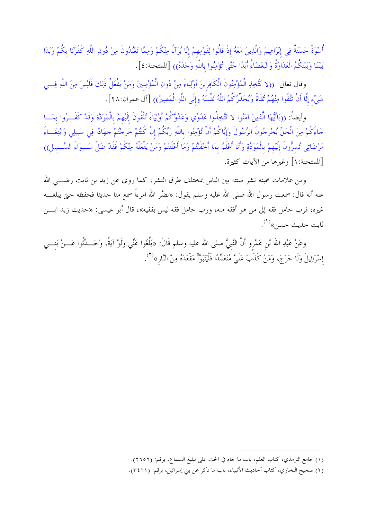أُسْوَةٌ حَسَنَةٌ فِي إِبْرَاهِيمَ وَالَّذِينَ مَعَهُ إذْ قَالُوا لِقَوْمِهِمْ إِنَّا بُرَآءُ مِنْكُمْ وَمِمَّا تَعْبُدُونَ مِنْ دُونِ اللَّهِ كَفَرْنَا بكُمْ وَبَدَا بَيْنَنَا وَبَيْنَكُمُ الْعَدَاوَةُ وَالْبَغْضَاءُ أَبَدًا حَتَّى تُؤْمِنُوا باللَّهِ وَحْدَهُ)) [الممتحنة: ٤].

وقال تعالى: ((لا يَتَّخِذِ الْمُؤْمِنُونَ الْكَافِرِينَ أَوْلِيَاءَ مِنْ دُونِ الْمُؤْمِنِينَ وَمَنْ يَفْعَلْ ذَلِكَ فَلَيْسَ مِنَ اللَّهِ فِسي شَيْءٍ إِلَّا أَنْ تَتَّقُوا مِنْهُمْ تُقَاةً وَيُحَذِّرُكُمُ اللَّهُ نَفْسَهُ وَإِلَى اللَّهِ الْمَصِيرُ)) [آل عمران:٢٨].

وأيضاً: ((يَاأَيُّهَا الَّذِينَ آمَنُوا لا تَتَّخِذُوا عَدُوِّي وَعَدُوَّكُمْ أَوْلِيَاءَ تُلْقُونَ إلَيْهِمْ بالْمَوَدَّةِ وَقَدْ كَفَــرُوا بمَــا حَاءَكُمْ مِنَ الْحَقِّ يُخْرِجُونَ الرَّسُولَ وَإِيَّاكُمْ أَنْ تُؤْمِنُوا باللَّهِ رَبِّكُمْ إنْ كُنتُمْ خَرَجْتُمْ حهَادًا فِي سَبيلِي وَابْتِغَــاءَ مَرْضَاتِي تُسرُّونَ إلَيْهِمْ بِالْمَوَدَّةِ وَأَنَا أَعْلَمُ بِمَا أَحْفَيْتُمْ وَمَا أَعْلَنتُمْ وَمَنْ يَفْعَلْهُ مِنْكُمْ فَقَدْ ضَلَّ سَــوَاءَ السَّــبيل)) [الممتحنة: ١] وغيرها من الآيات كثيرة.

ومن علامات محبته نشر سنته بين الناس بمختلف طرق النشر، كما روى عن زيد بن ثابت رضــــى الله عنه أنه قال: سمعت رسول الله صلى الله عليه وسلم يقول: «نضَّر الله امرءًا سمع منا حديثا فحفظه حتى يبلغـــه غيره، فرب حامل فقه إلى من هو أفقه منه، ورب حامل فقه ليس بفقيه»، قال أبو عيسى: «حديث زيد ابـــن ثابت حديث حسن»<sup>(۱</sup>).

وعَنْ عَبْدِ الله بْنِ عَمْرِو أَنَّ النَّبيَّ صلى الله عليه وسلم قَالَ: «بَلِّغُوا عَنِّي وَلَوْ آيَةً، وَحَـــدِّثُوا عَـــنْ بَنــــى إِسْرَائِيلَ وَلَا حَرَجَ، وَمَنْ كَذَبَ عَلَيَّ مُتَعَمِّدًا فَلْيَتَبَوَّأُ مَقْعَدَهُ مِنْ النَّارِ»<sup>(٢)</sup>.

<sup>(</sup>١) جامع الترمذي، كتاب العلم، باب ما حاء في الحث على تبليغ السماع، برقم: (٢٦٥٦).

<sup>(</sup>٢) صحيح البخاري، كتاب أحاديث الأنبياء، باب ما ذكر عن بني إسرائيل، برقم: (٣٤٦١).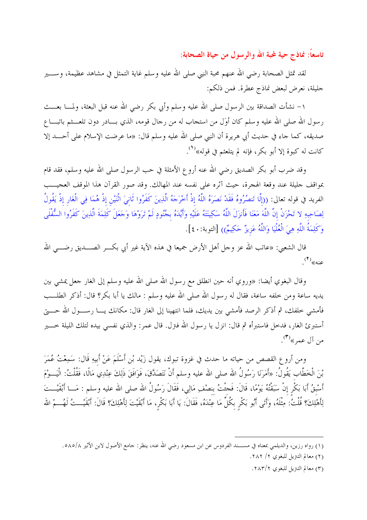تاسعاً: نماذج حية لمجة الله والرسول من حياة الصحابة:

لقد تمثل الصحابة رضي الله عنهم محبة النبي صلى الله عليه وسلم غاية التمثل في مشاهد عظيمة، وســــير جليلة، نعرض لبعض نماذج عطرة. فمن ذلكم:

١– نشأت الصداقة بين الرسول صلى الله عليه وسلم وأبي بكر رضى الله عنه قبل البعثة، ولمــــا بعــــث رسول الله صلى الله عليه وسلم كان أوَل من استجاب له من رحال قومه، الذي بـــادر دون تلعـــثم باتبـــا ع صديقه، كما جاء في حديث أبي هريرة أن النبي صلى الله عليه وسلم قال: «ما عرضت الإسلام على أحــــد إلا كانت له كبوة إلا أبو بكر، فإنه لم يتلعثم في قوله»<sup>(١</sup>).

وقد ضرب أبو بكر الصديق رضي الله عنه أروع الأمثلة في حب الرسول صلى الله عليه وسلم، فقد قام بمواقف جليلة عند وقعة الهجرة، حيث آثره على نفسه عند المهالك. وقد صور القرآن هذا الموقف العجيـــب الفريد في قوله تعالى: ((إلَّا تَنصُرُوهُ فَقَدْ نَصَرَهُ اللَّهُ إذْ أَخْرَجَهُ الَّذِينَ كَفَرُوا ثَانىَ اثْنَيْن إذْ هُمَا فِي الْغَارِ إذْ يَقُولُ لِصَاحِبِهِ لا تَحْزَنْ إنَّ اللَّهَ مَعَنَا فَأَنزَلَ اللَّهُ سَكِينَتَهُ عَلَيْهِ وَأَيَّدَهُ بحُنُودٍ لَمْ تَرَوْهَا وَحَعَلَ كَلِمَةَ الَّذِينَ كَفَرُوا السُّفْلَى وَكَلِمَةُ اللَّهِ هِيَ الْعُلْيَا وَاللَّهُ عَزِيزٌ حَكِيمٌ)) [التوبة:٤٠].

قال الشعبي: «عاتب الله عز وحل أهل الأرض جميعا في هذه الآية غير أبي بكــــر الصـــــديق رضـــــي الله  $\cdot^{(\mathsf{1})}$ عنه»

وقال البغوي أيضا: «وروي أنه حين انطلق مع رسول الله صلى الله عليه وسلم إلى الغار حعل يمشي بين يديه ساعة ومن خلفه ساعة، فقال له رسول الله صلى الله عليه وسلم : مالك يا أبا بكر؟ قال: أذكر الطلـــب فأمشى خلفك، ثم أذكر الرصد فأمشى بين يديك، فلما انتهينا إلى الغار قال: مكانك يـــا رســــول الله حـــــتي أستبرئ الغار، فدخل فاستبرأه ثم قال: انزل يا رسول الله فترل. قال عمر: والذي نفسي بيده لتلك الليلة خــــير من آل عمر» $\left( \begin{smallmatrix} \mathfrak{v} \end{smallmatrix} \right)$ .

ومن أروع القصص من حياته ما حدث في غزوة تبوك، يقول زَيْد بْنِ أَسْلَمَ عَنْ أَبِيهِ قَال: سَمِعْتُ عُمَرَ بْنَ الْخَطَّابِ يَقُولُ: «أَمَرَنَا رَسُولُ الله صلى الله عليه وسلم أنْ نَتَصَدَّقَ، فَوَافَقَ ذَلِكَ عِنْدِي مَالًا، فَقُلْتُ: الْيَـــوْمَ أَسْبِقُ أَبَا بَكْرٍ إنْ سَبَقْتُهُ يَوْمًا، قَالَ: فَجئْتُ بنصْفِ مَالِي، فَقَالَ رَسُولُ الله صلى الله عليه وسلم : مَـــا أَبْقَيْـــتَ لِأَهْلِكَ؟ قُلْتُ: مِثْلَهُ، وَأَتَى أَبُو بَكْر بكُلِّ مَا عِنْدَهُ، فَقَالَ: يَا أَبَا بَكْرٍ، مَا أَبْقَيْتَ لِأَهْلِكَ؟ قَالَ: أَبْقَيْــتُ لَهُـــمْ الله

(٢) معالم التنزيل للبغوي ٢/ ٢٨٢.

(٣) معالم التتزيل للبغوي ٢٨٣/٢.

<sup>(</sup>١) رواه رزين، والديلمي بمعناه في مســــند الفردوس عن ابن مسعود رضي الله عنه، ينظر: جامع الأصول لابن الأثير ٥٨٥/٨.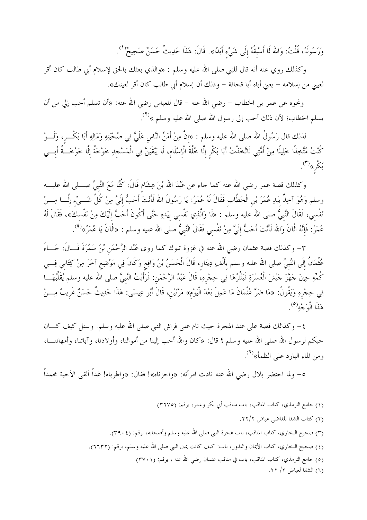وَرَسُولَهُ، قُلْتُ: وَالله لَا أَسْبَقُهُ إِلَى شَيْء أَبَدًا». قَالَ: هَذَا حَدِيتٌ حَسَنٌ صَحِيحٌ<sup>(١</sup>'.

وكذلك روي عنه أنه قال للنبي صلى الله عليه وسلم : «والذي بعثك بالحق لإسلام أبي طالب كان أقر لعيني من إسلامه – يعني أباه أبا قحافة – وذلك أن إسلام أبي طالب كان أقر لعينك».

ونحوه عن عمر بن الخطاب – رضي الله عنه – قال للعباس رضي الله عنه: «أن تسلم أحب إلي من أن يسلم الخطاب؛ لأن ذلك أحب إلى رسول الله صلى الله عليه وسلم »<sup>(٢)</sup>.

لذلك قال رَسُولُ الله صلى الله عليه وسلم : «إنَّ مِنْ أَمَنِّ النَّاس عَلَميَّ فِي صُحْبَتِهِ وَمَالِهِ أَبَا بَكْـــر، وَلَـــوْ كُنْتُ مُتَّخِذًا خَلِيلًا مِنْ أُمَّتِي لَاتَّخَذْتُ أَبَا بَكْرِ إِلَّا خُلَّةَ الْإِسْلَامِ، لَا يَبْقَيَنَّ فِي الْمَسْجِدِ خَوْخَةً إِلَّا خَوْخَــةُ أَبـــي بَكْر»<sup>(٣)</sup>.

وكذلك قصة عمر رضي الله عنه كما جاء عن عَبْدَ الله بْنَ هِشَام قَالَ: كُنَّا مَعَ النَّبيِّ صــــلى الله عليـــه وسلم وَهُوَ آخِذٌ بيَدِ عُمَرَ بْنِ الْخَطَّابِ فَقَالَ لَهُ عُمَرُ: يَا رَسُولَ الله لَأَنْتَ أَحَبُّ إلَيَّ مِنْ كُلِّ شَـــيْء إلَــا مِــــنْ نَفْسي، فَقَالَ النَّبيُّ صلى الله عليه وسلم : «لَا وَالَّذِي نَفْسي بيَدِهِ حَتَّى أَكُونَ أَحَبَّ إلَيْكَ مِنْ نَفْسكَ»، فَقَالَ لَهُ عُمَرُ: فَإِنَّهُ الْآنَ وَالله لَأَنْتَ أَحَبُّ إلَيَّ مِنْ نَفْسي فَقَالَ النَّبيُّ صلى الله عليه وسلم : «الْآنَ يَا عُمَرُ»<sup>(٤)</sup>.

٣- وكذلك قصة عثمان رضى الله عنه في غزوة تبوك كما روى عَبْد الرَّحْمَن بْنُ سَمُرَةَ قَــالَ: جَـــاءَ عُثْمَانُ إِلَى النَّبِيِّ صلى الله عليه وسلم بأَلْفِ دِينَارٍ، قَالَ الْحَسَنُ بْنُ وَاقِعٍ وَكَانَ فِي مَوْضِعِ آخَرَ مِنْ كِتَابِي فِسي كُمِّهِ حِينَ حَهَّزَ حَيْشَ الْعُسْرَةِ فَيَنْثُرُهَا فِي حِجْرِهِ، قَالَ عَبْدُ الرَّحْمَنِ: فَرَأيْتُ النَّبيَّ صلى الله عليه وسلم يُقَلِّبُهَـــا فِي حِجْرهِ وَيَقُولُ: «مَا ضَرَّ عُثْمَانَ مَا عَمِلَ بَعْدَ الْيَوْم» مَرَّتَيْن، قَالَ أَبُو عِيسَى: هَذَا حَدِيثٌ حَسَنٌ غَريبٌ مِـــنْ هَذَا الْوَجْه<sup>(٥</sup>).

٤– وكذالك قصة على عند الهجرة حيث نام على فراش النبي صلى الله عليه وسلم. وسئل كيف كــــان حبكم لرسول الله صلى الله عليه وسلم ؟ قال: «كان والله أحب إلينا من أموالنا، وأولادنا، وآبائنا، وأمهاتنـــا، ومن الماء البارد على الظمأ»<sup>(٦)</sup>.

٥– ولما احتضر بلال رضي الله عنه نادت امرأته: «واحزناه»! فقال: «واطرباه! غداً ألقي الأحبة محمداً

- (١) جامع الترمذي، كتاب المناقب، باب مناقب أبي بكر وعمر، برقم: (٣٦٧٥).
	- (٢) كتاب الشفا للقاضي عياض ٢/٢.
- (٣) صحيح البخاري، كتاب المناقب، باب هجرة النبي صلى الله عليه وسلم وأصحابه، برقم: (٣٩٠٤).
- (٤) صحيح البخاري، كتاب الأيمان والنذور، باب: كيف كانت يمين النبي صلى الله عليه وسلم، برقم: (٦٦٣٢).
	- (٥) جامع الترمذي، كتاب المناقب، باب في مناقب عثمان رضي الله عنه ، برقم: (٣٧٠١).
		- (٦) الشفا لعياض ٢/ ٢٢.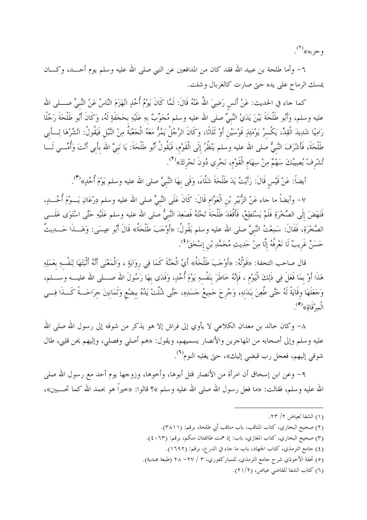وحزبه»<sup>(۱</sup>).

٦– وأما طلحة بن عبيد الله فقد كان من المدافعين عن النبي صلى الله عليه وسلم يوم أحـــد، وكــــان يمسك الرماح على يده حتى صارت كالغربال وشلت.

كما جاء في الحديث: عَنْ أَنَس رَضِيَ اللهُ عَنْهُ قَالَ: لَمَّا كَانَ يَوْمُ أُحُدٍ انْهَزَمَ النَّاسُ عَنْ النَّبىِّ صـــلمى الله عليه وسلم، وَأَبُو طَلْحَةَ بَيْنَ يَدَيْ النَّبِيِّ صلى الله عليه وسلم مُجَوِّبٌ بهِ عَلَيْهِ بحَجَفَةٍ لَهُ، وَكَانَ أَبُو طَلْحَةَ رَجُلًا رَامِيًا شَدِيدَ الْقِدِّ، يَكْسِرُ يَوْمَئِذٍ قَوْسَيْنِ أَوْ ثَلَاثًا، وَكَانَ الرَّحُلُ يَمُرُّ مَعَهُ الْجَعْبَةُ مِنْ النَّبْلِ فَيَقُولُ: انْشُرْهَا لِـــأَبِي طَلْحَةَ، فَأَشْرَفَ النَّبيُّ صلى الله عليه وسلم يَنْظُرُ إلَى الْقَوْم، فَيَقُولُ أَبُو طَلْحَةَ: يَا نَبيّ الله بأبي أنْتَ وَأُمِّـــي لَـــا تُشْرفْ يُصِيبُكَ سَهْمٌ مِنْ سِهَام الْقَوْم، نَحْري دُونَ نَحْركَ»<sup>(٢)</sup>.

أيضاً: عَنْ قَيْس قَالَ: رَأَيْتُ يَدَ طَلْحَةَ شَلَّاءَ، وَقَى بهَا النَّبيَّ صلى الله عليه وسلم يَوْمَ أُحُدٍ»(٣).

٧– وأيضاً ما حاء عَنْ الزُّبَيْر بْن الْعَوَّام قَالَ: كَانَ عَلَى النَّبيِّ صلى الله عليه وسلم دِرْعَانِ يَـــوْمَ أُحُــــلهِ، فَنَهَضَ إلَى الصَّخْرَةِ فَلَمْ يَسْتَطِعْ، فَأَقْعَدَ طَلْحَةَ تَحْتَهُ فَصَعِدَ النَّبيُّ صلى الله عليه وسلم عَلَيْهِ حَتَّى اسْتَوَى عَلَـــى الصَّخْرَةِ، فَقَالَ: سَمِعْتُ النَّبيَّ صلى الله عليه وسلم يَقُولُ: «أَوْجَبَ طَلْحَةُ» قَالَ أَبُو عِيسَى: وَهَـــذَا حَــــدِيتٌ حَسَنٌ غَرِيبٌ لَا نَعْرِفُهُ إِلَّا مِنْ حَدِيثِ مُحَمَّدِ بْنِ إِسْحَقَ<sup>(٤</sup>).

قال صاحب التحفة: «قَوْلُهُ: «أَوْجَبَ طَلْحَةُ» أَيْ الْجَنَّةَ كَمَا فِي روَايَةٍ ، وَالْمَعْنَى أَنَّهُ أَثْبَتَهَا لِنَفْسهِ بعَمَلِهِ هَذَا أَوْ بمَا فَعَلَ فِي ذَلِكَ الْيَوْم ، فَإِنَّهُ خَاطَرَ بنَفْسهِ يَوْمَ أُحُدٍ، وَفَدَى بهَا رَسُولَ الله صـــلمى الله عليـــه وســـلم، وَجَعَلَهَا وقَايَةً لَهُ حَتَّى طُعِنَ بَبَدَنهِ، وَجُرحَ حَمِيعُ حَسَدِهِ، حَتَّى شُلَّتْ يَدُهُ بِبضْع وَثَمَانِينَ جرَاحَــةً كَـــذَا فِـــي الْعِرْقَاقِ»<sup>(٥</sup>).

٨– وكان خالد بن معدان الكلاعى لا يأوي إلى فراش إلا هو يذكر من شوقه إلى رسول الله صلى الله عليه وسلم وإلى أصحابه من المهاجرين والأنصار يسميهم، ويقول: «هم أصلي وفصلي، وإليهم يحن قلبي، طال شوقي إليهم، فعجل رب قبضي إليك»، حتى يغلبه النوم<sup>(٢)</sup>.

٩- وعن ابن إسحاق أن امرأة من الأنصار قتل أبوها، وأخوها، وزوجها يوم أحد مع رسول الله صلى الله عليه وسلم، فقالت: «ما فعل رسول الله صلى الله عليه وسلم »؟ قالوا: «خيراً هو بحمد الله كما تحـــبين»،

<sup>(</sup>١) الشفا لعياض ٢/ ٢٣.

<sup>(</sup>٢) صحيح البخاري، كتاب المناقب، باب مناقب أبي طلحة، برقم: (٣٨١١).

<sup>(</sup>٣) صحيح البخاري، كتاب المغازي، باب: إذ همت طائفتان منكم، برقم: (٢٠٦٣).

<sup>(</sup>٤) جامع الترمذي، كتاب الجهاد، باب ما جاء في الدرع، برقم: (١٦٩٢).

<sup>(</sup>٥) تحفة الأحوذي شرح حامع الترمذي، للمباركفوري، ٣ / ٢٧- ٢٨ (طبعة هندية).

<sup>(</sup>٦) كتاب الشفا للقاضي عياض، (٢١/٢).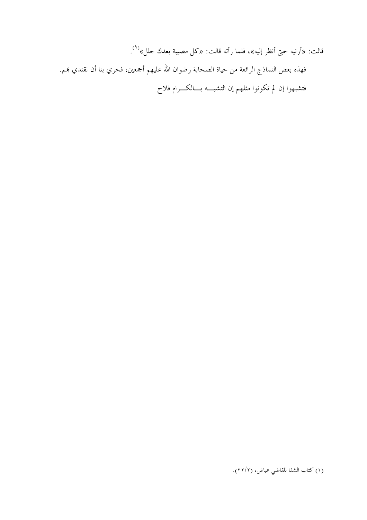قالت: «أرنيه حتى أنظر إليه»، فلما رأته قالت: «كل مصيبة بعدك حلل»<sup>(١)</sup>. فهذه بعض النماذج الرائعة من حياة الصحابة رضوان الله عليهم أجمعين، فحري بنا أن نقتدي بمم. فتشبهوا إن لم تكونوا مثلهم إن التشبـــه بـــالكــــرام فلاح

<sup>(</sup>١) كتاب الشفا للقاضي عياض، (٢٢/٢).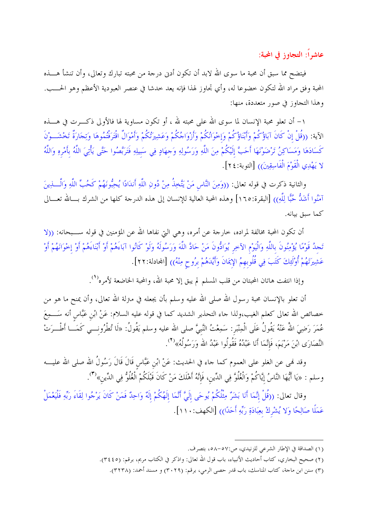عاشراً: التجاوز في المحبة:

فيتضح مما سبق أن محبة ما سوى الله لابد أن تكون أدبى درجة من محبته تبارك وتعالى، وأن تنشأ هــــذه المحبة وفق مراد الله لتكون حضوعا له، وأي تجاوز لهذا فإنه يعد حدشا في عنصر العبودية الأعظم وهو الحـــب. وهذا التجاوز في صور متعددة، منها:

١– أن تعلو محبة الإنسان لما سوى الله على محبته لله ، أو تكون مساوية لها فالأولى ذكـــرت في هــــذه الآية: ((قُلْ إِنْ كَانَ آبَاؤُكُمْ وَأَبْنَاؤُكُمْ وَإِحْوَانُكُمْ وَأَزْوَاجُكُمْ وَعَشِيرَتُكُمْ وَأَمْوَالٌ اقْتَرَفْتُمُوهَا وَتِجَارَةٌ تَحْشَــوْنَ كَسَادَهَا وَمَسَاكِنُ تَرْضَوْنَهَا أَحَبَّ إِلَيْكُمْ مِنَ اللَّهِ وَرَسُولِهِ وَجهَادٍ فِي سَبيلِهِ فَتَرَبَّصُوا حَتَّى يَأْتِيَ اللَّهُ بأَمْرِهِ وَاللَّهُ لا يَهْدِي الْقَوْمَ الْفَاسِقِينَ)) [التوبة:٢٤].

والثانية ذكرت في قوله تعالى: ((وَمِنَ النَّاسِ مَنْ يَتَّخِذُ مِنْ دُونِ اللَّهِ أَندَادًا يُحِبُّونَهُمْ كَحُبِّ اللَّهِ وَالْــــٰذِينَ آمَنُوا أَشَدُّ حُبًّا لِلَّهِ)) [البقرة:١٦٥] وهذه المحبة العالية للإنسان إلى هذه الدرجة كلها من الشرك بـــالله تعـــالى كما سىق بيانە.

أن تكون المحبة مخالفة لمراده، خارجة عن أمره، وهي التي نفاها الله عن المؤمنين في قوله ســـبحانه: ((لا تَحِدُ قَوْمًا يُؤْمِنُونَ باللَّهِ وَالْيَوْمِ الآخِرِ يُوَادُّونَ مَنْ حَادَّ اللَّهَ وَرَسُولَهُ وَلَوْ كَانُوا آبَاءَهُمْ أَوْ أَبْنَاءَهُمْ أَوْ إخْوَانَهُمْ أَوْ عَشِيرَتَهُمْ أُوْلَئِكَ كَتَبَ فِي قُلُوبِهِمُ الإِبمَانَ وَأَيَّدَهُمْ بِرُوحٍ مِنْهُ)) [المحادلة:٢٢].

وإذا انتفت هاتان المحبتان من قلب المسلم لم يبق إلا محبة الله، والمحبة الخاضعة لأمره<sup>(١</sup>).

أن تعلو بالإنسان محبة رسول الله صلى الله عليه وسلم بأن يجعله في منزلة الله تعالى، وأن يمنح ما هو من خصائص الله تعالى كعلم الغيب،ولذا حاء التحذير الشديد كما في قوله عليه السلام: عَنْ ابْن عَبَّاس أنه سَـــمِعَ عُمَرَ رَضِيَ اللهُ عَنْهُ يَقُولُ عَلَى الْمِنْبَر: سَمِعْتُ النَّبيَّ صلى الله عليه وسلم يَقُولُ: «لَا تُطْرُونـــي كَمَـــا أطْـــرَتْ النَّصَارَى ابْنَ مَرْيَمَ، فَإِنَّمَا أَنَا عَبْدُهُ فَقُولُوا عَبْدُ الله وَرَسُولُهُ»<sup>(٢</sup>).

وقد نمي عن الغلو على العموم كما جاء في الحديث: عَنْ ابْن عَبَّاس قَالَ قَالَ رَسُولُ الله صلى الله عليــــه وسلم : «يَا أَيُّهَا النَّاسُ إيَّاكُمْ وَالْغُلُوَّ فِي الدِّينِ، فَإِنَّهُ أَهْلَكَ مَنْ كَانَ قَبْلَكُمْ الْغُلُوُّ فِي الدِّينِ»<sup>(٣)</sup>.

وقال تعالى: ((قُلْ إنَّمَا أَنَا بَشَرٌ مِثْلُكُمْ يُوحَى إِلَيَّ أَنَّمَا إِلَهُكُمْ إِلَهٌ وَاحِدٌ فَمَنْ كَانَ يَرْجُوا لِقَاءَ رَبِّهِ فَلْيَعْمَلْ عَمَلًا صَالِحًا وَلا يُشْرِكْ بِعِبَادَةِ رَبِّهِ أَحَدًا)) [الكهف:١١٠].

<sup>(</sup>١) الصداقة في الإطار الشرعي للزنيدي، ص:٥٧-٥٨، بتصرف.

<sup>(</sup>٢) صحيح البخاري، كتاب أحاديث الأنبياء، باب قول الله تعالى: واذكر في الكتاب مريم، برقم: (٣٤٤٥).

<sup>(</sup>٣) سنن ابن ماجة، كتاب المناسك، باب قدر حصى الرمي، برقم: (٣٠٢٩) و مسند أحمد: (٣٢٣٨).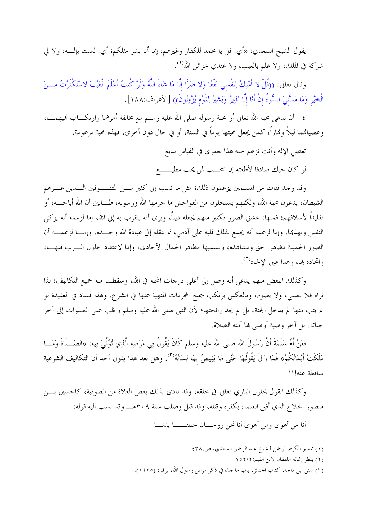يقول الشيخ السعدي: «أي: قل يا محمد للكفار وغيرهم: إنما أنا بشر مثلكم؛ أي: لست بإلــــه، ولا لي شركة في الملك، ولا علم بالغيب، ولا عندي خزائن الله<sup>(١</sup>).

وقال تعالى: ((قُلْ لا أَمْلِكُ لِنَفْسى نَفْعًا وَلا ضَرًّا إِلَّا مَا شَاءَ اللَّهُ وَلَوْ كُنتُ أَعْلَمُ الْغَيْبَ لاسْتَكْثَرْتُ مِسنَ الْخَيْرِ وَمَا مَسَّنيَ السُّوءُ إنْ أَنَا إِلَّا نَذِيرٌ وَبَشِيرٌ لِقَوْمٍ يُؤْمِنُونَ)) [الأعراف:١٨٨].

٤– أن تدعى محبة الله تعالى أو محبة رسوله صلى الله عليه وسلم مع مخالفة أمرهما وارتكـــاب لهيهمــــا، وعصيالهما ليلاً ولهاراً، كمن يجعل محبتها يوماً في السنة، أو في حال دون أخرى، فهذه محبة مزعومة.

تعصى الإله وأنت تزعم حبه هذا لعمري في القياس بديع

لو كان حبك صادقا لأطعته إن المحـــب لمن يحب مطيـــــــع

وقد وجد فئات من المسلمين يزعمون ذلك؛ مثل ما نسب إلى كثير مـــن المتصـــوفين الــــذين غــــرهم الشيطان، يدعون محبة الله، ولكنهم يستحلون من الفواحش ما حرمها الله ورسوله، ظـــانين أن الله أباحــــه، أو تقليداً لأسلافهم؛ فمنها: عشق الصور فكثير منهم يجعله ديناً، ويرى أنه يتقرب به إلى الله، إما لزعمه أنه يزكي النفس ويهذها، وإما لزعمه أنه يجمع بذلك قلبه على آدمي، ثم ينقله إلى عبادة الله وحـــده، وإمــــا لزعمــــه أن الصور الجميلة مظاهر الحق ومشاهده، ويسميها مظاهر الجمال الأحادي، وإما لاعتقاد حلول الـــرب فيهــــا، واتحاده ها، وهذا عين الإلحاد<sup>(٢)</sup>.

وكذلك البعض منهم يدعى أنه وصل إلى أعلى درجات المحبة في الله، وسقطت منه جميع التكاليف؛ لذا تراه فلا يصلي، ولا يصوم، وبالعكس يرتكب جميع المحرمات المنهية عنها في الشرع، وهذا فساد في العقيدة لو لم يتب منها لم يدخل الجنة، بل لم يجد رائحتها؛ لأن النبي صلى الله عليه وسلم واظب على الصلوات إلى آخر حياته. بل آخر وصية أوصى ها أمته الصلاة.

فعَنْ أُمِّ سَلَمَةَ أَنَّ رَسُولَ الله صلى الله عليه وسلم كَانَ يَقُولُ فِي مَرَضِهِ الَّذِي تُوُفِّيَ فِيهِ: «الصَّــلَاةَ وَمَـــا مَلَكَتْ أَيْمَانُكُمْ» فَمَا زَالَ يَقُولُهَا حَتَّى مَا يَفِيضُ بهَا لِسَانُهُ<sup>(٣)</sup>. وهل بعد هذا يقول أحد أن التكاليف الشرعية ساقطة عنه!!!

وكذلك القول بحلول الباري تعالى في خلقه، وقد نادى بذلك بعض الغلاة من الصوفية، كالحسين بسن منصور الحلاج الذي أفتى العلماء بكفره وقتله، وقد قتل وصلب سنة ٣٠٩هـــ وقد نسب إليه قوله:

أنا من أهوى ومن أهوى أنا نحن روحـــان حللنـــــــا بدنــــا

<sup>(</sup>١) تيسير الكريم الرحمن للشيخ عبد الرحمن السعدي، ص:٣٨.

<sup>(</sup>٢) ينظر إغاثة اللهفان لابن القيم: ١٥٢/٢.

<sup>(</sup>٣) سنن ابن ماجه، كتاب الجنائز، باب ما جاء في ذكر مرض رسول الله، برقم: (١٦٢٥).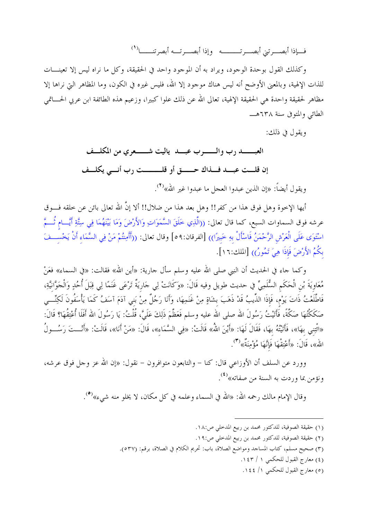فسإذا أبصب تيّ أبصب تسسسه – وإذا أبصب تسه أبصر تنسسـا<sup>( \</sup> )

وكذلك القول بوحدة الوجود، ويراد به أن الموجود واحد في الحقيقة، وكل ما نراه ليس إلا تعينـــات للذات الإلهية، وبالمعنى الأوضح أنه ليس هناك موجود إلا الله، فليس غيره في الكون، وما المظاهر التي نراها إلا مظاهر لحقيقة واحدة هي الحقيقة الإلهية، تعالى الله عن ذلك علوا كبيرا، وزعيم هذه الطائفة ابن عربي الحساتمي الطائبي والمتوفى سنة ٦٣٨هـ

ويقول في ذلك:

إن قلــت عبــد فــذاك حـــــق أو قلـــــــت رب أنــى يكلــف

ويقول أيضاً: «إن الذين عبدوا العجل ما عبدوا غير الله»<sup>(٢</sup>).

أيها الإخوة وهل فوق هذا من كفر!! وهل بعد هذا من ضلال!! ألا إنَّ الله تعالى بائن عن خلقه فـــوق عرشه فوق السماوات السبع، كما قال تعالى: ((الَّذِي خَلَقَ السَّمَوَاتِ وَالأَرْضَ وَمَا بَيْنَهُمَا فِي سِتَّةِ أَيَّـــام ثُـــمَّ اسْتَوَى عَلَى الْعَرْش الرَّحْمَنُ فَاسْأَلْ بهِ خَبيرًا)) [الفرقان:٥٩] وقال تعالى: ((أَأَمِنتُمْ مَنْ فِي السَّمَاء أَنْ يَخْســفَ بكُمُ الأَرْضَ فَإِذَا هِيَ تَمُورُ)) [الملك: ١٦].

وكما جاء في الحديث أن النبي صلى الله عليه وسلم سأل جارية: «أين الله» فقالت: «في السماء» فعَنْ مُعَاويَةَ بْنِ الْحَكَمِ السُّلَمِيِّ في حديث طويل وفيه قَالَ: «وَكَانَتْ لِي حَارِيَةٌ تَرْعَى غَنَمًا لِي قِبَلَ أُحُدٍ وَالْحَوَّانيَّةِ، فَاطَّلَعْتُ ذَاتَ يَوْم، فَإِذَا الذِّيبُ قَدْ ذَهَبَ بشَاةٍ مِنْ غَنَمِهَا، وَأَنَا رَجُلٌ مِنْ بَنى آذَمَ آسَفُ كَمَا يَأْسَفُونَ لَكِنِّـــى صَكَكْتُهَا صَكَّةً، فَأَتَيْتُ رَسُولَ الله صلى الله عليه وسلم فَعَظَّمَ ذَلِكَ عَلَىَّ، قُلْتُ: يَا رَسُولَ الله أَفَلا أُعْتِقُهَا؟ قَالَ: «اثْتِني بهَا»، فَأَتَيْتُهُ بهَا، فَقَالَ لَهَا: «أَيْنَ اللهُ» قَالَتْ: «فِي السَّمَاء»، قَالَ: «مَنْ أَنَا»، قَالَتْ: «أَنْــتَ رَسُـــولُ الله»، قَالَ: «أَعْتِقْهَا فَإِنَّهَا مُؤْمِنَةٌ»<sup>(٣)</sup>.

وورد عن السلف أن الأوزاعي قال: كنا – والتابعون متوافرون – نقول: «إن الله عز وحل فوق عرشه، ونؤمن بما وردت به السنة من صفاته»<sup>(٤)</sup>.

وقال الإمام مالك رحمه الله: «الله في السماء وعلمه في كل مكان، لا يخلو منه شيء»<sup>(٥</sup>).

- (١) حقيقة الصوفية، للدكتور محمد بن ربيع المدخلي ص:١٨.
- (٢) حقيقة الصوفية، للدكتور محمد بن ربيع المدخلي ص:١٩.
- (٣) صحيح مسلم، كتاب المساحد ومواضع الصلاة، باب: تحريم الكلام في الصلاة، برقم: (٥٣٧).
	- (٤) معارج القبول للحكمي ١ / ١٤٣.
	- (٥) معارج القبول للحكمي ١/ ١٤٤.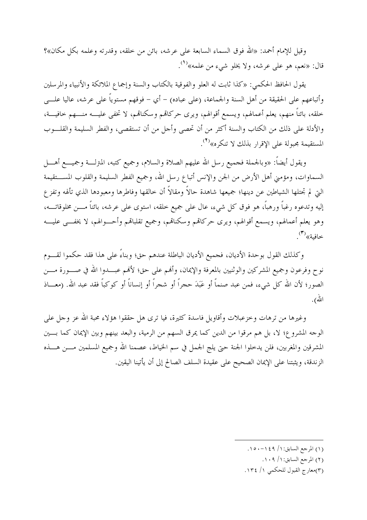وقيل للإمام أحمد: «الله فوق السماء السابعة على عرشه، بائن من خلقه، وقدرته وعلمه بكل مكان»؟ قال: «نعم، هو علي عرشه، ولا يخلو شيءِ من علمه»<sup>(١</sup>).

يقول الحافظ الحكمي: «كذا ثابت له العلو والفوقية بالكتاب والسنة وإجماع الملائكة والأنبياء والمرسلين وأتباعهم على الحقيقة من أهل السنة والجماعة، (على عباده) – أي – فوقهم مستوياً على عرشه، عاليا علــــى خلقه، بائناً منهم، يعلم أعمالهم، ويسمع أقوالهم، ويرى حركالهم وسكنالهم، لا تخفى عليــــه منــــهم خافيــــة، والأدلة على ذلك من الكتاب والسنة أكثر من أن تحصى وأحل من أن تستقصي، والفطر السليمة والقلـــوب المستقيمة مجبولة على الإقرار بذلك لا تنكره»<sup>(٢)</sup>.

ويقول أيضاً: «وبالجملة فجميع رسل الله عليهم الصلاة والسلام، وجميع كتبه، المترلـــة وجميــــع أهــــل السماوات، ومؤمني أهل الأرض من الجن والإنس أتباع رسل الله، وجميع الفطر السليمة والقلوب المســـتقيمة التي لم تجتلها الشياطين عن دينها؛ جميعها شاهدة حالاً ومقالاً أن خالقها وفاطرها ومعبودها الذي تألهه وتفزع إليه وتدعوه رغباً ورهباً، هو فوق كل شيء، عال على جميع حلقه، استوى على عرشه، بائناً مـــن مخلوقاتـــه، وهو يعلم أعمالهم، ويسمع أقوالهم، ويرى حركالهم وسكنالهم، وجميع تقلبالهم وأحـــوالهم، لا يخفــــى عليــــه خافية»<sup>(۳)</sup>.

وكذلك القول بوحدة الأديان، فجميع الأديان الباطلة عندهم حق؛ وبناءً على هذا فقد حكموا لقسوم نوح وفرعون وجميع المشركين والوثنيين بالمعرفة والإيمان، وألهم على حق؛ لألهم عبــــدوا الله في صــــورة مــــن الصور؛ لأن الله كل شيء، فمن عبد صنماً أو عَبَدَ حجراً أو شجراً أو إنساناً أو كوكباً فقد عبد الله. (معـــاذ الله).

وغيرها من ترهات وحزعبلات وأقاويل فاسدة كثيرة، فيا ترى هل حققوا هؤلاء محبة الله عز وحل على الوجه المشروع؛ لا، بل هم مرقوا من الدين كما يمرق السهم من الرمية، والبعد بينهم وبين الإيمان كما بسين المشرقين والمغربين، فلن يدخلوا الجنة حتى يلج الجمل في سم الخياط، عصمنا الله وجميع المسلمين مــــن هــــذه الزندقة، ويثبتنا على الإيمان الصحيح على عقيدة السلف الصالح إلى أن يأتينا اليقين.

- (٢) المرجع السابق: ١ / ١٠٩.
- (٣)معارج القبول للحكمي ١/ ١٣٤.

<sup>(</sup>١) المرجع السابق: ١/ ١٤٩-١٥.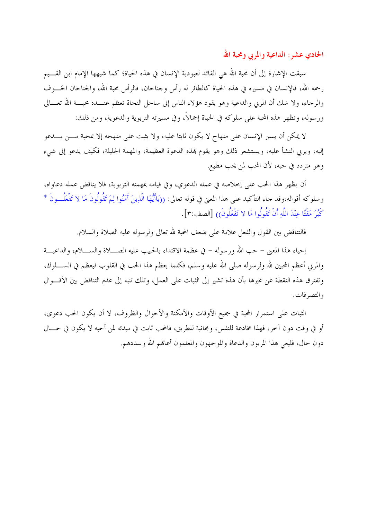الحادي عشر : الداعية والمربى ومحبة الله

سبقت الإشارة إلى أن محبة الله هي القائد لعبودية الإنسان في هذه الحياة؛ كما شبهها الإمام ابن القسيم رحمه الله، فالإنسان في مسيره في هذه الحياة كالطائر له رأس وجناحان، فالرأس محبة الله، والجناحان الخــــوف والرجاء، ولا شك أن المربي والداعية وهو يقود هؤلاء الناس إلى ساحل النجاة تعظم عنـــده محبـــة الله تعـــالي ورسوله، وتظهر هذه المحبة على سلوكه في الحياة إجمالًا، وفي مسيرته التربوية والدعوية، ومن ذلك:

لا يمكن أن يسير الإنسان على منهاج لا يكون ثابتا عليه، ولا يثبت على منهجه إلا بمحبة مــــن يــــدعو إليه، ويربى النشأ عليه، ويستشعر ذلك وهو يقوم بمذه الدعوة العظيمة، والمهمة الجليلة، فكيف يدعو إلى شيء وهو متردد في حبه، لأن المحب لمن يحب مطيع.

أن يظهر هذا الحب على إحلاصه في عمله الدعوي، وفي قيامه بمهمته التربوية، فلا يناقض عمله دعاواه، وسلوكه أقواله،وقد جاء التأكيد على هذا المعنى في قوله تعالى: ((يَاأَيُّهَا الَّذِينَ آَمَنُوا لِمَ تَقُولُونَ مَا لا تَفْعَلُــونَ \* كُبُرَ مَقْتًا عِنْدَ اللَّهِ أَنْ تَقُولُوا مَا لا تَفْعَلُونَ)) [الصف:٣].

فالتناقض بين القول والفعل علامة على ضعف المحبة لله تعالى ولرسوله عليه الصلاة والسلام.

إحياء هذا المعن – حب الله ورسوله – في عظمة الاقتداء بالحبيب عليه الصــــلاة والســــلام، والداعيــــة والمربي أعظم المحبين لله ولرسوله صلى الله عليه وسلم، فكلما يعظم هذا الحب في القلوب فيعظم في الســــلوك، وتفترق هذه النقطة عن غيرها بأن هذه تشير إلى الثبات على العمل، وتلك تنبه إلى عدم التناقض بين الأقسوال والتصرفات.

الثبات على استمرار المحبة في جميع الأوقات والأمكنة والأحوال والظروف، لا أن يكون الحب دعوى، أو في وقت دون آخر، فهذا مخادعة للنفس، ومجانبة للطريق، فالمحب ثابت في مبدئه لمن أحبه لا يكون في حــــال دون حال، فليعي هذا المربون والدعاة والموجهون والمعلمون أعالهم الله وسددهم.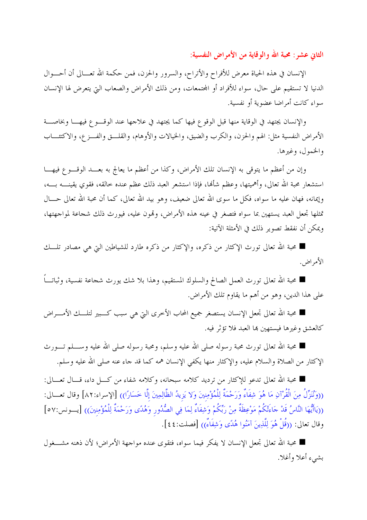الثاني عشر : محبة الله والوقاية من الأمراض النفسية:

الإنسان في هذه الحياة معرض للأفراح والأتراح، والسرور والحزن، فمن حكمة الله تعــالي أن أحـــوال الدنيا لا تستقيم على حال، سواء للأفراد أو المحتمعات، ومن ذلك الأمراض والصعاب التي يتعرض لها الإنسان سواء كانت أمراضا عضوية أو نفسية.

والإنسان يجتهد في الوقاية منها قبل الوقوع فيها كما يجتهد في علاجها عند الوقـــوع فيهـــا وبخاصـــة الأمراض النفسية مثل: الهم والحزن، والكرب والضيق، والخيالات والأوهام، والقلـــق والفـــز ع، والاكتئــــاب والخمول، وغيرها.

وإن من أعظم ما يتوقى به الإنسان تلك الأمراض، وكذا من أعظم ما يعالج به بعـــد الوقــــو ع فيهــــا استشعار محبة الله تعالى، وأهميتها، وعظم شألها، فإذا استشعر العبد ذلك عظم عنده حالقه، فقوي يقينـــــه بــــه، وإيمانه، فهان عليه ما سواه، فكل ما سوى الله تعالى ضعيف، وهو بيد الله تعالى، كما أن محبة الله تعالى حـــال تمثلها تجعل العبد يستهين بما سواه فتصغر في عينه هذه الأمراض، وقمون عليه، فيورث ذلك شجاعة لمواجهتها، ويمكن أن نفقط تصوير ذلك في الأمثلة الآتية:

■ محبة الله تعالى تورث الإكثار من ذكره، والإكثار من ذكره طارد للشياطين التي هي مصادر تلــــك الأمراض.

■ محبة الله تعالى تورث العمل الصالح والسلوك المستقيم، وهذا بلا شك يورث شجاعة نفسية، وثباتـــاً على هذا الدين، وهو من أهم ما يقاوم تلك الأمراض.

■ محبة الله تعالى تجعل الإنسان يستصغر جميع المحاب الأخرى التي هي سبب كـــبير لتلــــك الأمـــــراض كالعشق وغيرها فيستهين بما العبد فلا تؤثر فيه.

■ محبة الله تعالى تورث محبة رسوله صلى الله عليه وسلم، ومحبة رسوله صلى الله عليه وســــلم تــــورث الإكثار من الصلاة والسلام عليه، والإكثار منها يكفي الإنسان همه كما قد جاء عنه صلى الله عليه وسلم.

■ محبة الله تعالى تدعو للإكثار من ترديد كلامه سبحانه، وكلامه شفاء من كــــل داء، قــــال تعــــالي: ((وَنُنَزِّلُ مِنَ الْقُرْآنِ مَا هُوَ شِفَاءٌ وَرَحْمَةٌ لِلْمُؤْمِنِينَ وَلا يَزِيدُ الظَّالِمِينَ إلَّا خَسَارًا)) [الإسراء:٨٢] وقال تعـــالى: ((يَاأَيُّهَا النَّاسُ قَدْ حَاءَتْكُمْ مَوْعِظَةٌ مِنْ رَبِّكُمْ وَشِفَاءٌ لِمَا فِي الصُّدُور وَهُدًى وَرَحْمَةٌ لِلْمُؤْمِنِينَ)) [يــونس:٥٧] وقال تعالى: ((قُلْ هُوَ لِلَّذِينَ آمَنُوا هُدًى وَشِفَاءٌ)) [فصلت:٤٤].

■ محبة الله تعالى تجعل الإنسان لا يفكر فيما سواه، فتقوى عنده مواجهة الأمراض؛ لأن ذهنه مشــــغول بشيء أعلا وأغلا.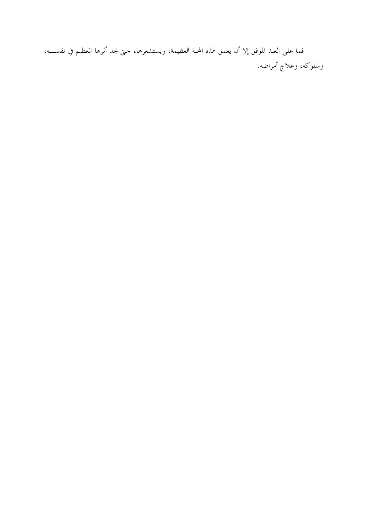فما على العبد الموفق إلا أن يعمق هذه المحبة العظيمة، ويستشعرها، حتى يجد أثرها العظيم في نفســــه، وسلوكه، وعلاج أمراضه.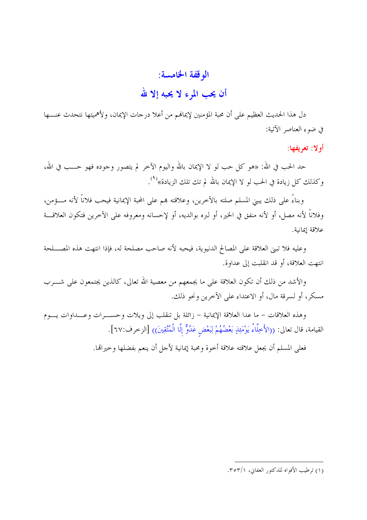## الوقفة الخامسة:

## أن يحب المرء لا يحبه إلا لله

دل هذا الحديث العظيم على أن محبة المؤمنين لإيمانهم من أعلا درجات الإيمان، ولأهميتها نتحدث عنــــها في ضوء العناصر الآتية:

أولا: تعريفها:

حد الحب في الله: «هو كل حب لو لا الإيمان بالله واليوم الآخر لم يتصور وجوده فهو حـــب في الله، وكذلك كل زيادة في الحب لو لا الإيمان بالله لم تك تلك الزيادة»<sup>(١</sup>).

وبناءً على ذلك يبني المسلم صلته بالآخرين، وعلاقته همم على المحبة الإيمانية فيحب فلاناً لأنه مــــؤمن، وفلاناً لأنه مصل، أو لأنه منفق في الخير، أو لبره بوالديه، أو لإحسانه ومعروفه على الآخرين فتكون العلاقـــة علاقة إيمانية.

وعليه فلا تبني العلاقة على المصالح الدنيوية، فيحبه لأنه صاحب مصلحة له، فإذا انتهت هذه المصـــلحة انتهت العلاقة، أو قد انقلبت إلى عداوة.

والأشد من ذلك أن تكون العلاقة على ما يجمعهم من معصية الله تعالى، كالذين يجتمعون على شــــرب مسكرٍ، أو لسرقة مال، أو الاعتداء على الآخرين ونحو ذلك.

وهذه العلاقات – ما عدا العلاقة الإيمانية – زائلة بل تنقلب إلى ويلات وحســـرات وعـــداوات يـــوم القيامة، قال تعالى: ((الأَخِلَّاءُ يَوْمَئِذٍ بَعْضُهُمْ لِبَعْضٍ عَدُوٌّ إِلَّا الْمُتَّقِينَ)) [الزخرف:٦٧].

فعلى المسلم أن يجعل علاقته علاقة أحوة ومحبة إيمانية لأجل أن ينعم بفضلها وحيرالها.

<sup>(</sup>١) ترطيب الأفواه للدكتور العفايي، ٣٥٣/١.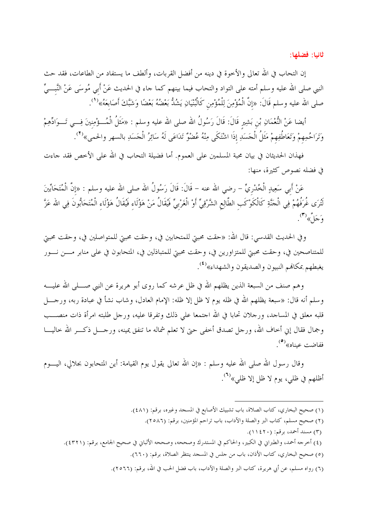ثانيا: فضلها:

إن التحاب في الله تعالى والأخوة في دينه من أفضل القربات، وألطف ما يستفاد من الطاعات، فقد حث النبي صلى الله عليه وسلم أمته على التواد والتحاب فيما بينهم كما حاء في الحديث عَنْ أَبي مُوسَى عَنْ النَّبـــيّ صلى الله عليه وسلم قَالَ: «إنَّ الْمُؤْمِنَ لِلْمُؤْمِن كَالْبُنْيَانِ يَشُكُّ بَعْضُهُ بَعْضًا وَشَبَّكَ أَصَابعَهُ»<sup>(1</sup>).

أيضا عَنْ النُّعْمَانِ بْن بَشِيرٍ قَالَ: قَالَ رَسُولُ الله صلى الله عليه وسلم : «مَثَلُ الْمُـــؤْمِنينَ فِـــى تَـــوَادِّهِمْ وَتَرَاحُمِهِمْ وَتَعَاطُفِهِمْ مَثَلُ الْجَسَدِ إذَا اشْتَكَى مِنْهُ عُضْوٌ تَدَاعَى لَهُ سَائِرُ الْجَسَدِ بالسهر والحمى»<sup>(٢)</sup>.

فهذان الحديثان في بيان محبة المسلمين على العموم. أما فضيلة التحاب في الله على الأخص فقد حاءت في فضله نصوص كثيرة، منها:

عَنْ أَبِي سَعِيدٍ الْخُدْرِيِّ – رضي الله عنه – قَالَ: قَالَ رَسُولُ الله صلى الله عليه وسلم : «إنَّ الْمُتَحَابِّينَ لَتُرَى غُرَفُهُمْ فِي الْجَنَّةِ كَالْكَوْكَبِ الطَّالِعِ الشَّرْقِيِّ أَوْ الْغَرْبِيِّ فَيُقَالُ مَنْ هَؤُلَاءِ فَيُقَالُ هَؤُلَاءِ الْمُتَحَابُّونَ فِي الله عَزَّ وَجَلٌ»<sup>(٣)</sup>.

وفي الحديث القدسي: قال الله: «حقت محبتي للمتحابين في، وحقت محبتي للمتواصلين في، وحقت محبتي للمتناصحين في، وحقت محبتي للمتزاورين في، وحقت محبتي للمتباذلين في، المتحابون في على منابر مــــن نــــور يغبطهم بمكافحم النبيون والصديقون والشهداء»<sup>(٤)</sup>.

وهم صنف من السبعة الذين يظلهم الله في ظل عرشه كما روى أبو هريرة عن النبي صـــــلى الله عليـــــه وسلم أنه قال: «سبعة يظلهم الله في ظله يوم لا ظل إلا ظله: الإمام العادل، وشاب نشأ في عبادة ربه، ورحــــل قلبه معلق في المساحد، ورجلان تحابا في الله اجتمعا على ذلك وتفرقا عليه، ورجل طلبته امرأة ذات منصـــب وجمال فقال إين أخاف الله، ورجل تصدق أخفى حتى لا تعلم شماله ما تنفق يمينه، ورجــــل ذكــــر الله حاليـــــا ففاضت عيناه»<sup>(0</sup>).

وقال رسول الله صلى الله عليه وسلم : «إن الله تعالى يقول يوم القيامة: أين المتحابون بجلالي، اليــــوم أظلهم في ظلبي، يوم لا ظل إلا ظلمي»<sup>(٢)</sup>.

- (١) صحيح البخاري، كتاب الصلاة، باب تشبيك الأصابع في المسجد وغيره، برقم: (٤٨١).
	- (٢) صحيح مسلم، كتاب البر والصلة والأداب، باب تراحم المؤمنين، برقم: (٢٥٨٦).
		- (٣) مسند أحمد، برقم: (١١٤٢٠).
- (٤) أخرجه أحمد، والطبراني في الكبير، والحاكم في المستدرك وصححه، وصححه الألباني في صحيح الجامع، برقم: (٤٣٢١).
	- (٥) صحيح البخاري، كتاب الأذان، باب من حلس في المسجد ينتظر الصلاة، برقم: (٦٦٠).
	- (٦) رواه مسلم، عن أبي هريرة، كتاب البر والصلة والآداب، باب فضل الحب في الله، برقم: (٢٥٦٦).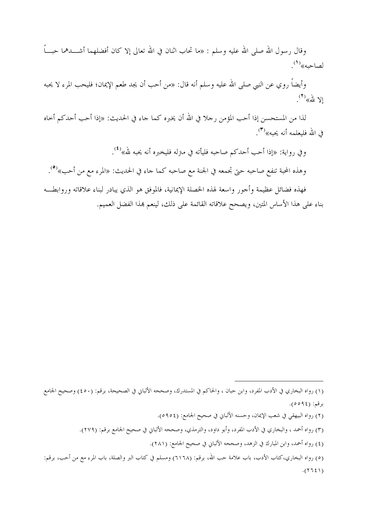وقال , سول الله صلى الله عليه وسلم : «ما تحاب اثنان في الله تعالى إلا كان أفضلهما أشــــدهما حبــــاً لصاحبه»<sup>(۱</sup>).

وأيضاً روي عن النبي صلى الله عليه وسلم أنه قال: «من أحب أن يجد طعم الإيمان؛ فليحب المرء لا يحبه  $\mathbb{R}^{(7)}$ 

لذا من المستحسن إذا أحب المؤمن , حلا في الله أن يخبره كما جاء في الحديث: «إذا أحب أحدكم أحاه في الله فليعلمه أنه يجيه»<sup>(٣)</sup>.

وفي رواية: «إذا أحب أحدكم صاحبه فليأته في مترله فليخبره أنه يحبه لله»<sup>(٤)</sup>.

وهذه المحبة تنفع صاحبه حتى تجمعه في الجنة مع صاحبه كما حاء في الحديث: «المرء مع من أحب»<sup>(٥</sup>).

فهذه فضائل عظيمة وأجور واسعة لهذه الخصلة الإيمانية، فالموفق هو الذي يبادر لبناء علاقاته وروابطـــه بناء على هذا الأساس المتين، ويصحح علاقاته القائمة على ذلك، لينعم هذا الفضل العميم.

<sup>(</sup>١) رواه البخاري في الأدب المفرد، وابن حبان ، والحاكم في المستدرك، وصححه الألباني في الصحيحة، برقم: (٤٥٠) وصحيح الجامع برقم: (٩٤٥٥٩).

<sup>(</sup>٢) رواه البيهقي في شعب الإيمان، وحسنه الألباني في صحيح الجامع: (٥٩٥٤).

<sup>(</sup>٣) رواه أحمد ، والبخاري في الأدب المفرد، وأبو داود، والترمذي، وصححه الألباني في صحيح الجامع برقم: (٢٧٩).

<sup>(</sup>٤) رواه أحمد، وابن المبارك في الزهد، وصححه الألباني في صحيح الجامع: (٢٨١).

<sup>(</sup>٥) رواه البخاري،كتاب الأدب، باب علامة حب الله، برقم: (٦١٦٨) ومسلم في كتاب البر والصلة، باب المرء مع من أحب، برقم:  $(1375)$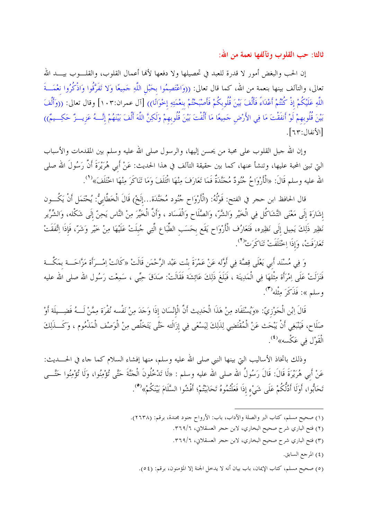ثالثا: حب القلوب وتآلفها نعمة من الله:

إن الحب والبغض أمور لا قدرة للعبد في تحصيلها ولا دفعها لألها أعمال القلوب، والقلـــوب بيــــد الله تعالى، والتآلف بينها بنعمة من الله، كما قال تعالى: ((وَاعْتَصِمُوا بحَبْل اللَّهِ حَمِيعًا وَلا تَفَرَّقُوا وَاذْكُرُوا نعْمَـــةَ اللَّهِ عَلَيْكُمْ إِذْ كُنْتُمْ أَعْدَاءً فَأَلَّفَ بَيْنَ قُلُوبكُمْ فَأَصْبَحْتُمْ بنعْمَتِهِ إخْوَانًا)) [آل عمران:١٠٣] وقال تعالى: ((وَأَلْفَ بَيْنَ قُلُوبهمْ لَوْ أَنفَقْتَ مَا فِي الأَرْض حَمِيعًا مَا أَلَّفْتَ بَيْنَ قُلُوبهمْ وَلَكِنَّ اللَّهَ أَلَّفَ بَيْنَهُمْ إِنَّــهُ عَزِيـــزٌ حَكِـــيمٌ)) [الأنفال:٦٣].

وإن الله حبل القلوب على محبة من يحسن إليها، والرسول صلى الله عليه وسلم بين المقدمات والأسباب التي تبني المحبة عليها، وتنشأ عنها، كما بين حقيقة التآلف في هذا الحديث: عَنْ أَبي هُرَيْرَةَ أَنَّ رَسُولَ الله صلى الله عليه وسلم قَالَ: «الْأَرْوَاحُ جُنُودٌ مُجَنَّدَةٌ فَمَا تَعَارَفَ مِنْهَا اتْتَلَفَ وَمَا تَنَاكَرَ مِنْهَا اخْتَلَفَ»<sup>(١</sup>).

قال الحافظ ابن حجر في الفتح: قَوْلُهُ: (الْأَرْوَاحِ جُنُود مُجَنَّدَة...إلَخْ) قَالَ الْخَطَّابِيُّ: يُحْتَمَل أَنْ يَكُــون إشَارَة إِلَى مَعْنَى التَّشَاكُل فِي الْخَيْرِ وَالشَّرِّ، وَالصَّلَاحِ وَالْفَسَادِ ، وَأَنَّ الْخَيِّرَ مِنْ النَّاس يَحِنَّ إِلَى شَكْله، وَالشِّرِّيرِ نَظِير ذَلِكَ يَمِيل إلَى نَظِيره، فَتَعَارُف الْأَرْوَاح يَقَع بحَسَب الطِّبَاع الَّتِي جُبلَتْ عَلَيْهَا مِنْ خَيْر وَشَرّ، فَإذَا اِتَّفَقَتْ تَعَارَفَتْ، وَإِذَا اِحْتَلَفَتْ تَنَاكَرَتْ<sup>(٢</sup>).

وَ فِي مُسْنَد أَبي يَعْلَى قِصَّة فِي أَوَّله عَنْ عَمْرَةَ بنْت عَبْد الرَّحْمَن قَالَتْ «كَانَتْ اِمْــرَأة مَزَّاحَـــة بمَكَّـــة فَنَزَلَتْ عَلَى اِمْرَأَة مِثْلهَا فِي الْمَدِينَة ، فَبَلَغَ ذَلِكَ عَائِشَة فَقَالَتْ: صَدَقَ حِبِّي ، سَمِعْت رَسُول الله صلى الله عليه وسلم»: فَذَكَرَ مِثْله<sup>(٣)</sup>.

قَالَ اِبْنِ الْجَوْزِيِّ: «وَيُسْتَفَاد مِنْ هَذَا الْحَدِيث أَنَّ الْإِنْسَان إذَا وَجَدَ مِنْ نَفْسه نُفْرَة مِمَّنْ لَـــهُ فَضِـــيلَة أَوْ صَلَاح، فَيَنْبَغِي أَنْ يَبْحَث عَنْ الْمُقْتَضِي لِذَلِكَ لِيَسْعَى فِي إزَالَته حَتَّى يَتَخَلَّص مِنْ الْوَصْف الْمَذْمُوم ، وَكَـــذَلِكَ الْقَوْلِ فِي عَكْسه»<sup>(٤)</sup>.

وذلك باتخاذ الأساليب التي بينها النبي صلى الله عليه وسلم، منها إفشاء السلام كما حاء في الحــــديث: عَنْ أَبِي هُرَيْرَةَ قَالَ: قَالَ رَسُولُ الله صلى الله عليه وسلم : «لَا تَدْخُلُونَ الْجَنَّةَ حَتَّى تُؤْمِنُوا، وَلَا تُؤْمِنُوا حَتَّـــى تَحَابُّوا، أَوَلَا أَدُلَّكُمْ عَلَى شَيْء إذَا فَعَلْتُمُوهُ تَحَابَبْتُمْ؛ أَفْشُوا السَّلَامَ بَيْنَكُمْ». <sup>(0</sup>).

- (١) صحيح مسلم، كتاب البر والصلة والآداب، باب: الأرواح حنود مجندة، برقم: (٢٦٣٨).
	- (٢) فتح الباري شرح صحيح البخاري، لابن حجر العسقلاني، ٣٦٩/٦.
	- (٣) فتح الباري شرح صحيح البخاري، لابن حجر العسقلاني، ٣٦٩/٦.
		- (٤) المرجع السابق.
	- (٥) صحيح مسلم، كتاب الإيمان، باب بيان أنه لا يدخل الجنة إلا المؤمنون، برقم: (٥٤).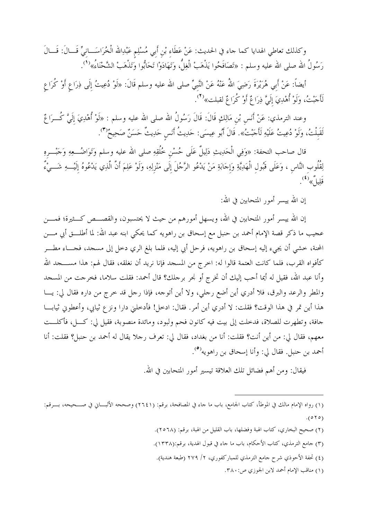وكذلك تعاطي الهدايا كما حاء في الحديث: عَنْ عَطَاءِ بْنِ أَبي مُسْلِمٍ عَبْدِالله الْخُرَاسَـــانِيِّ قَـــالَ: قَـــالَ رَسُولُ الله صلى الله عليه وسلم : «تَصَافَحُوا يَذْهَبْ الْغِلُّ، وَتَهَادَوْا تَحَابُّوا وَتَذْهَبْ الشَّحْنَاءُ»''.

أيضا: عَنْ أَبِي هُرَيْرَة رَضِيَ اللَّه عَنْهُ عَنْ النَّبِيِّ صلَّى الله عليه وسلَّم قال: «لَوْ دُعِيتُ إِلَى ذِرَاعٍ أَوْ كرَاعٍ لَأَحَبْتُ، وَلَوْ أُهْدِيَ إلَيَّ ذِرَاعٌ أَوْ كُرَاعٌ لقبلت»<sup>(٢)</sup>.

وعند الترمذي: عَنْ أنَسٍ بْنِ مَالِكٍ قال: قال رَسُول الله صلى الله عليه وسلم : «لوْ أَهْدِيَ إِليَّ كـــرَاغٌ لَقَبلْتُ، وَلَوْ دُعِيتُ عَلَيْهِ لَأَجَبْتُ». قَالَ أَبُو عِيسَى: حَدِيثُ أَنَس حَدِيثٌ حَسَنٌ صَحِيحٌ'".

قال صاحب التحفة: «وَفِي الحَدِيثِ دَلِيل عَلى حُسْنِ خُلقِهِ صلى الله عليه وسلم وَتَوَاضُـــعِهِ وَحَبْـــرِهِ لِقُلُوب النَّاسِ ، وَعَلَى قَبُولِ الْهَدِيَّةِ وَإِحَابَةِ مَنْ يَدْعُو الرَّجُلَ إِلَى مَنْزِلِهِ، وَلَوْ عَلِمَ أَنَّ الَّذِي يَدْعُوهُ إِلَيْــــهِ شَــــيْءٌ قَلِيلٌ»<sup>(٤)</sup>.

إن الله ييسر أمور المتحابين في الله:

إن الله ييسر أمور المتحابين في الله، ويسهل أمورهم من حيث لا يحتسبون، والقصـــص كـــثيرة؛ فمــــن عجيب ما ذكر قصة الإمام أحمد بن حنبل مع إسحاق بن راهويه كما يحكي ابنه عبد الله: لما أطلــــق أبي مــــن المحنة، خشي أن يجيء إليه إسحاق بن راهويه، فرحل أبي إليه، فلما بلغ الري دخل إلى مسجد، فجــــاء مطــــر كأفواه القرب، فلما كانت العتمة قالوا له: اخرج من المسجد فإنا نريد أن نغلقه، فقال لهم: هذا مســــجد الله وأنا عبد الله، فقيل له أيما أحب إليك أن تخرج أو نحر برحلك؟ قال أحمد: فقلت سلاما، فخرجت من المسجد والمطر والرعد والبرق، فلا أدري أين أضع رحلي، ولا أين أتوحه، فإذا رحل قد حرج من داره فقال لي: يـــا هذا أين تمر في هذا الوقت؟ فقلت: لا أدري أين أمر . فقال: ادحل! فأدحلني دارا ونزع ثيابي، وأعطوني ثيابـــا حافة، وتطهرت للصلاة، فدخلت إلى بيت فيه كانون فحم ولبود، ومائدة منصوبة، فقيل لي: كـــل، فأكلـــت معهم، فقال لي: من أين أنت؟ فقلت: أنا من بغداد، فقال لي: تعرف رحلا يقال له أحمد بن حنبل؟ فقلت: أنا أحمد بن حنبل. فقال لي: وأنا إسحاق بن راهويه<sup>(٥</sup>).

فيقال: ومن أهم فضائل تلك العلاقة تيسير أمور المتحابين في الله.

 $\overline{a}$ 

(١) مناقب الإمام أحمد لابن الجوزي ص: ٣٨٠.

<sup>(</sup>١) رواه الإمام مالك في الموطأ، كتاب الجامع، باب ما حاء في المصافحة، برقم: (٢٦٤١) وصححه الألبـــاني في صــــحيحه، بــــرقم:  $(010)$ 

<sup>(</sup>۲) صحيح البخاري، كتاب الهبة وفضلها، باب القليل من الهبة، برقم: (۲۰٦۸).

<sup>(</sup>٣) جامع الترمذي، كتاب الأحكام، باب ما جاء في قبول الهدية، برقم:(١٣٣٨).

<sup>(</sup>٤) تحفة الأحوذي شرح جامع الترمذي للمباركفوري، ٢/ ٢٧٩ (طبعة هندية).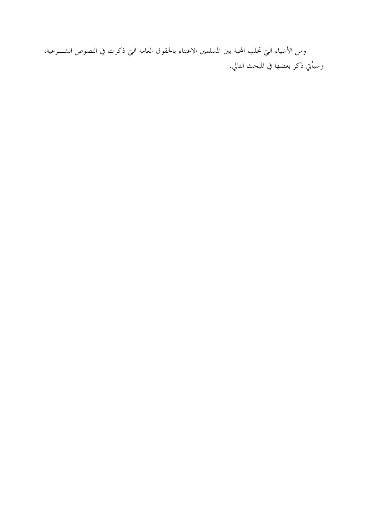ومن الأشياء التي تحلب المحبة بين المسلمين الاعتناء بالحقوق العامة التي ذكرت في النصوص الشــــرعية، وسيأتي ذكر بعضها في المبحث التالي.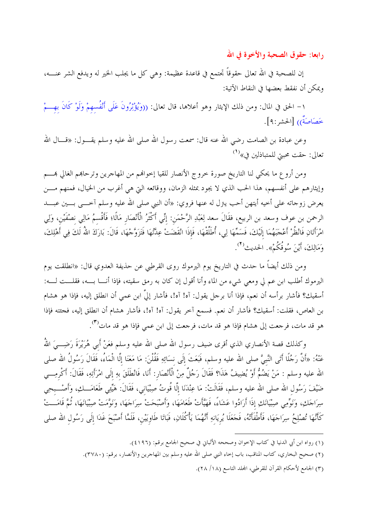رابعا: حقوق الصحبة والأخوة في الله

إن للصحبة في الله تعالى حقوقاً تجتمع في قاعدة عظيمة: وهي كل ما يجلب الخير له ويدفع الشر عنــــه، ويمكن أن نفقط بعضها في النقاط الآتية:

١– الحق في المال: ومن ذلك الإيثار وهو أعلاها، قال تعالى: ((وَيُؤْثِرُونَ عَلَى أَنْفُسهمْ وَلَوْ كَانَ بهـــمْ خَصَاصَةٌ)) [الحشر:٩].

وعن عبادة بن الصامت رضي الله عنه قال: سمعت رسول الله صلى الله عليه وسلم يقــــول: «قــــال الله تعالى: حقت محبتي للمتباذلين في»<sup>(١</sup>)

ومن أروع ما يحكي لنا التاريخ صورة خروج الأنصار للقيا إخوالهم من المهاجرين وترحاهم الغالي هــــم وإيثارهم على أنفسهم، هذا الحب الذي لا يجود بمثله الزمان، ووقائعه التي هي أغرب من الخيال، فمنهم مــــن يعرض زوجاته على أخيه أيتهن أحب يترل له عنها فروي: «أن النبي صلى الله عليه وسلم آخـــي بـــين عبــــد الرحمن بن عوف وسعد بن الربيع، فقَالَ سعد لِعَبْدِ الرَّحْمَنِ: إنِّي أَكْثَرُ الْأَنْصَارِ مَالًا؛ فَأَقْسمُ مَالِي نصْفَيْن، وَلِي امْرَأَتَانِ فَانْظُرْ أَعْجَبَهُمَا إِلَيْكَ، فَسَمِّهَا لِي، أُطَلِّقْهَا، فَإِذَا انْقَضَتْ عِدَّتْهَا فَتَزَوَّجْهَا، قَالَ: بَارَكَ اللهُ لَكَ فِي أَهْلِكَ، وَمَالِكَ، أَيْنَ سُوقُكُمْ». الحديث<sup>(٢</sup>).

ومن ذلك أيضاً ما حدث في التاريخ يوم اليرموك روى القرطبي عن حذيفة العدوي قال: «انطلقت يوم اليرموك أطلب ابن عم لي ومعي شيءٍ من الماء وأنا أقول إن كان به رمق سقيته، فإذا أنــــا بــــه، فقلــــت لــــه: أسقيك؟ فأشار برأسه أن نعم، فإذا أنا برحل يقول: آه! آه!، فأشار إليَّ ابن عمي أن انطلق إليه، فإذا هو هشام بن العاص، فقلت: أسقيك؟ فأشار أن نعم. فسمع آخر يقول: آه! آه!، فأشار هشام أن انطلق إليه، فجئته فإذا هو قد مات، فرجعت إلى هشام فإذا هو قد مات، فرجعت إلى ابن عمي فإذا هو قد مات'٣).

وكذلك قصة الأنصاري الذي أقرى ضيف رسول الله صلى الله عليه وسلم فعَنْ أَبى هُرَيْرَةَ رَضِـــيَ اللهُ عَنْهُ: «أَنَّ رَجُلًا أَتَى النَّبيَّ صلى الله عليه وسلم، فَبَعَثَ إلَى نسَائِهِ فَقُلْنَ: مَا مَعَنَا إلَّا الْمَاءُ، فَقَالَ رَسُولُ الله صلى الله عليه وسلم : مَنْ يَضُمُّ أَوْ يُضِيفُ هَذَا؟ فَقَالَ رَجُلٌ مِنْ الْأَنْصَارِ: أَنَا، فَانْطَلَقَ بهِ إلَى امْرَأتِهِ، فَقَالَ: أَكْرمِـــى ضَيْفَ رَسُول الله صلى الله عليه وسلم، فَقَالَتْ: مَا عِنْدَنَا إِلَّا قُوتُ صِبْيَاني، فَقَالَ: هَيِّبي طَعَامَـــكِ، وَأَصْـــبحِي سِرَاجَكِ، وَنَوِّمِي صِبْيَانَكِ إذَا أَرَادُوا عَشَاءً، فَهَيَّأَتْ طَعَامَهَا، وَأَصْبَحَتْ سِرَاجَهَا، وَنَوَّمَتْ صِبْيَانَهَا، ثُمَّ قَامَـــتْ كَأَنَّهَا تُصْلِحُ سِرَاحَهَا، فَأَطْفَأَتْهُ، فَحَعَلَا يُريَانهِ أَنَّهُمَا يَأْكُلَانِ، فَبَاتَا طَاوِيَيْن، فَلَمَّا أَصْبَحَ غَدَا إلَى رَسُول الله صلى

- (٢) صحيح البخاري، كتاب المناقب، باب إخاء النبي صلى الله عليه وسلم بين المهاجرين والأنصار، برقم: (٣٧٨٠).
	- (٣) الجامع لأحكام القرآن للقرطبي، المجلد التاسع (١٨/ ٢٨).

<sup>(</sup>١) رواه ابن أبي الدنيا في كتاب الإخوان وصححه الألباني في صحيح الجامع برقم: (٤١٩٦).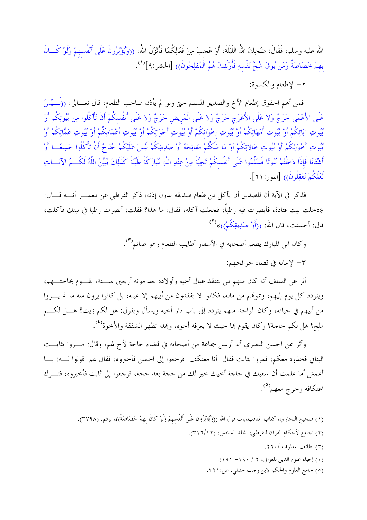الله عليه وسلم، فَقَالَ: ضَحِكَ اللَّهُ اللَّيْلَةَ، أَوْ عَجبَ مِنْ فَعَالِكُمَا فَأَنْزَلَ اللَّهُ: ((وَيُؤْثِرُونَ عَلَى أَنْفُسهمْ وَلَوْ كَــانَ بهمْ حَصَاصَةٌ وَمَنْ يُوقَ شُحَّ نَفْسِهِ فَأُوْلَئِكَ هُمُ الْمُفْلِحُونَ)) [الحشر:٩]'<sup>(٩</sup>.

٢- الاطعام والكسوة:

فمن أهم الحقوق إطعام الأخ والصديق المسلم حتى ولو لم يأذن صاحب الطعام، قال تعـــالي: ((لَـــيْسَ عَلَى الأَعْمَى حَرَجٌ وَلا عَلَى الأَعْرَجِ حَرَجٌ وَلا عَلَى الْمَريض حَرَجٌ وَلا عَلَى أَنفُسكُمْ أَنْ تَأكُلُوا مِنْ بُيُوتِكُمْ أَوْ بُيُوتِ آبَائِكُمْ أَوْ بُيُوتِ أُمَّهَاتِكُمْ أَوْ بُيُوتِ إخْوَانكُمْ أَوْ بُيُوتِ أَخَوَاتِكُمْ أَوْ بُيُوتِ فَمَامِكُمْ أَوْ بُيُوتِ عَمَّاتِكُمْ أَوْ بُيُوتِ أَخْوَالِكُمْ أَوْ بُيُوتِ خَالاتِكُمْ أَوْ مَا مَلَكْتُمْ مَفَاتِحَهُ أَوْ صَدِيقِكُمْ لَيْسَ عَلَيْكُمْ جُنَاحٌ أَنْ تَأْكُلُوا جَمِيعًــا أَوْ أَشْتَاتًا فَإِذَا دَخَلْتُمْ بُيُوتًا فَسَلِّمُوا عَلَى أَنفُسكُمْ تَحِيَّةً مِنْ عِنْدِ اللَّهِ مُبَارَكَةً طَيِّبَةً كَذَلِكَ يُبَيِّنُ اللَّهُ لَكُــمُ الآيَـــاتِ لَعَلَّكُمْ تَعْقِلُونَ)) [النور:٢١].

فذكر في الآية أن للصديق أن يأكل من طعام صديقه بدون إذنه، ذكر القرطبي عن معمـــر أنــــه قــــال: «دخلت بيت قتادة، فأبصرت فيه رطباً، فجعلت آكله، فقال: ما هذا؟ فقلت: أبصرت رطبا في بيتك فأكلت، قال: أحسنت، قال الله: ((أَوْ صَدِيقِكُمْ))»<sup>(٢)</sup>.

وكان ابن المبارك يطعم أصحابه في الأسفار أطايب الطعام وهو صائم<sup>(٣)</sup>.

٣- الإعانة في قضاء حوائجهم:

أثر عن السلف أنه كان منهم من يتفقد عيال أحيه وأولاده بعد موته أربعين ســـنة، يقـــوم بحاجتـــهم، ويتردد كل يوم إليهم، ويمونهم من ماله، فكانوا لا يفقدون من أبيهم إلا عينه، بل كانوا يرون منه ما لم يـــروا من أبيهم في حياته، وكان الواحد منهم يتردد إلى باب دار أخيه ويسأل ويقول: هل لكم زيت؟ هــــل لكــــم ملح؟ هل لكم حاجة؟ وكان يقوم هما حيث لا يعرفه أخوه، وهذا تظهر الشفقة والأخوة<sup>(٤)</sup>.

وأثر عن الحسن البصري أنه أرسل جماعة من أصحابه في قضاء حاجة لأخ لهم، وقال: مـــروا بثابـــت البناني فخذوه معكم، فمروا بثابت فقال: أنا معتكف. فرجعوا إلى الحسن فأخبروه، فقال لهم: قولوا لــــه: يــــا أعمش أما علمت أن سعيك في حاجة أخيك خير لك من حجة بعد حجة، فرجعوا إلى ثابت فأخبروه، فتــــرك اعتكافه وخرج معهم``.

- (١) صحيح البخاري، كتاب المناقب،باب قول الله ((وَيُؤْثِرُونَ عَلَى أَنْفُسهمْ وَلَوْ كَانَ بهمْ خَصَاصَةٌ))، برقم: (٣٧٩٨).
	- (٢) الجامع لأحكام القرآن للقرطبي، المجلد السادس، (١٢/٦/١٢).
		- (٣) لطائف المعارف /٢٦٠.
		- (٤) إحياء علوم الدين للغزالي، ٢ / ١٩٠- ١٩١).
		- (٥) جامع العلوم والحكم لابن رجب حنبلي، ص:٢٢١.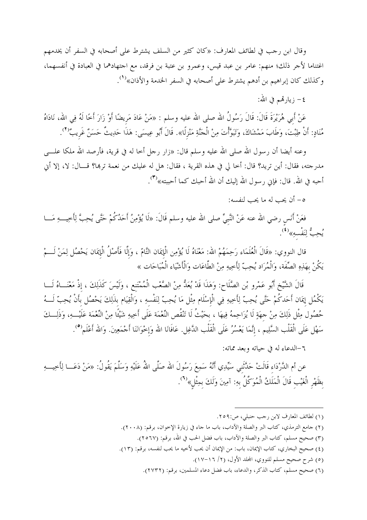وقال ابن رحب في لطائف المعارف: «كان كثير من السلف يشترط على أصحابه في السفر أن يخدمهم اغتناما لأجر ذلك؛ منهم: عامر بن عبد قيس، وعمرو بن عتبة بن فرقد، مع احتهادهما في العبادة في أنفسهما، وكذلك كان إبراهيم بن أدهم يشترط على أصحابه في السفر الخدمة والأذان»<sup>(1)</sup>.

٤– زيارتمحم في الله:

عَنْ أَبِي هُرَيْرَةَ قَالَ: قَالَ رَسُولُ الله صلى الله عليه وسلم : «مَنْ عَادَ مَريضًا أَوْ زَارَ أخًا لَهُ فِي الله، نَادَاهُ مُنَادٍ: أَنْ طِبْتَ، وَطَابَ مَمْشَاكَ، وَتَبَوَّأْتَ مِنْ الْحَنَّةِ مَنْزِلًا». قَالَ أَبُو عِيسَى: هَذَا حَدِيثٌ حَسَنٌ غَريبٌ<sup>(٢</sup>).

وعنه أيضا أن رسول الله صلى الله عليه وسلم قال: «زار رحل أخا له في قرية، فأرصد الله ملكا علــــى مدرجته، فقال: أين تريد؟ قال: أخا لي في هذه القرية ، فقال: هل له عليك من نعمة تربما؟ قــــال: لا، إلا أني أحبه في الله. قال: فإني رسول الله إليك أن الله أحبك كما أحببته»<sup>(٣)</sup>.

٥- أن يحب له ما يحب لنفسه:

فعَنْ أَنس رضي الله عنه عَنْ النَّبيِّ صلى الله عليه وسلم قَالَ: «لَا يُؤْمِنُ أَحَدُكُمْ حَتَّى يُحِبَّ لِأخيــــهِ مَـــا يُحِبُّ لِنَفْسهِ»<sup>(٤)</sup>.

قال النووي: «قَالَ الْعُلَمَاء رَحِمَهُمْ الله: مَعْنَاهُ لَا يُؤْمِن الْإِيمَان التَّامّ ، وَإِلَّا فَأَصْلُ الْإيمَان يَحْصُل لِمَنْ لَـــمْ يَكُنْ بهَذِهِ الصِّفَة، وَالْمُرَاد يُحِبّ لِأَخِيهِ مِنْ الطَّاعَات وَالْأَشْيَاء الْمُبَاحَات »

قَالَ الشَّيْخِ أَبُو عَمْرو بْنِ الصَّلَاحِ: وَهَذَا قَدْ يُعَدُّ مِنْ الصَّعْبِ الْمُمْتَنعِ ، وَلَيْسَ كَذَلِكَ ، إذْ مَعْنَــاهُ لَـــا يَكْمُل إِيمَان أَحَدكُمْ حَتَّى يُحِبّ لِأَخِيهِ فِي الْإِسْلَامِ مِثْلِ مَا يُحِبّ لِنَفْسهِ ، وَالْقِيَامِ بذَلِكَ يَحْصُل بأَنْ يُحِبّ لَـــهُ حُصُول مِثْل ذَلِكَ مِنْ حهَةٍ لَا يُزَاحِمهُ فِيهَا ، بحَيْثُ لَا تَنْقُص النِّعْمَة عَلَى أَخِيهِ شَيْئًا مِنْ النِّعْمَة عَلَيْـــهِ، وَذَلِـــكَ سَهْل عَلَى الْقَلْب السَّلِيم ، إنَّمَا يَعْسُرُ عَلَى الْقَلْب الدَّغِل. عَافَانَا الله وَإخْوَانَنَا أَجْمَعِينَ. وَالله أَعْلَم<sup>(0</sup>).

## ٦-الدعاء له في حياته وبعد مماته:

عن أم الدَّرْدَاء قَالَتْ حَدَّثَني سَيِّدِي أَنَّهُ سَمِعَ رَسُولَ الله صَلَّى اللهُ عَلَيْهِ وَسَلَّمَ يَقُولُ: «مَنْ دَعَـــا لِأَخِيــــهِ بظَهْرِ الْغَيْبِ قَالَ الْمَلَكُ الْمُوَكَّلُ بِهِ: آمِينَ وَلَكَ بِمِثْلِ»<sup>(٦)</sup>.

- (١) لطائف المعارف لابن رحب حنبلي، ص:٢٥٩.
- (٢) جامع الترمذي، كتاب البر والصلة والآداب، باب ما حاء في زيارة الإخوان، برقم: (٢٠٠٨).
	- (٣) صحيح مسلم، كتاب البر والصلة والآداب، باب فضل الحب في الله، برقم: (٢٥٦٧).
- (٤) صحيح البخاري، كتاب الإيمان، باب: من الإيمان أن يحب لأخيه ما يحب لنفسه، برقم: (١٣).
	- (٥) شرح صحيح مسلم للنووي، المحلد الأول، (٢/ ١٦-١٧).
	- (٦) صحيح مسلم، كتاب الذكر، والدعاء، باب فضل دعاء المسلمين، برقم: (٢٧٣٢).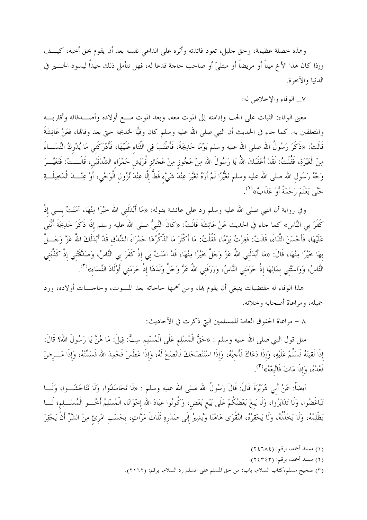وهذه خصلة عظيمة، وحق حليل، تعود فائدته وأثره على الداعى نفسه بعد أن يقوم بحق أخيه، كيـــف وإذا كان هذا الأخ ميتاً أو مريضاً أو مبتلىً أو صاحب حاجة فدعا له، فهل نتأمل ذلك جيداً ليسود الخــــير في الدنيا والآخرة.

٧\_ الوفاء والإخلاص له:

معنى الوفاء: الثبات على الحب وإدامته إلى الموت معه، وبعد الموت مـــع أولاده وأصـــدقائه وأقاربـــه والمتعلقين به. كما جاء في الحديث أن النبي صلى الله عليه وسلم كان وفيًّا لحديجة حتى بعد وفاقما، فعَنْ عَائِشَةَ قَالَتْ: «ذَكَرَ رَسُولُ الله صلى الله عليه وسلم يَوْمًا خَدِيجَةَ، فَأَطْنَبَ فِي الثَّنَاء عَلَيْهَا، فَأَدْرَكَني مَا يُدْركُ النِّسَـــاءَ مِنْ الْغَيْرَةِ، فَقُلْتُ: لَقَدْ أَعْقَبَكَ اللّهُ يَا رَسُولَ الله مِنْ عَجُوز مِنْ عَجَائِز قُرَيْش حَمْرَاء الشِّدْقَيْن، قَالَـــتْ: فَتَغَيَّـــرَ وَجْهُ رَسُولِ الله صلى الله عليه وسلم تَغَيُّرًا لَمْ أَرَهُ تَغَيَّرَ عِنْدَ شَيْءٍ قَطُّ إِلَّا عِنْدَ نُزُولِ الْوَحْيِ، أَوْ عِنْـــدَ الْمَخِيلَـــةِ حَتَّى يَعْلَمَ رَحْمَةٌ أَوْ عَذَابٌ» (').

وفي رواية أن النبي صلى الله عليه وسلم رد على عائشة بقوله: «مَا أَبْدَلَني الله خَيْرًا مِنْهَا، آمَنَتْ بـــى إذْ كَفَرَ بي النَّاس» كما جاء في الحديث عَنْ عَائِشَةَ قَالَتْ: «كَانَ النَّبيُّ صلى الله عليه وسلم إذَا ذَكَرَ خَدِيجَةَ أَنْنَى عَلَيْهَا، فَأَحْسَنَ الثَّنَاءَ، قَالَتْ: فَغِرْتُ يَوْمًا، فَقُلْتُ: مَا أَكْثَرَ مَا تَذْكُرُهَا حَمْرَاءَ الشِّدْق قَدْ أَبْدَلَكَ اللهُ عَزَّ وَجَـــلَّ بهَا خَيْرًا مِنْهَا، قَالَ: «مَا أَبْدَلَني اللَّهُ عَزَّ وَحَلَّ خَيْرًا مِنْهَا، قَدْ آمَنَتْ بي إذْ كَفَرَ بي النَّاسُ، وَصَدَّقَتْني إذْ كَذَّبَني النَّاسُ، وَوَاسَتْني بمَالِهَا إذْ حَرَمَني النَّاسُ، وَرَزَقَني اللهُ عَزَّ وَحَلَّ وَلَدَهَا إذْ حَرَمَني أوْلَادَ النِّسَاء»<sup>(٢</sup>).

هذا الوفاء له مقتضيات ينبغي أن يقوم هما، ومن أهمها حاجاته بعد المـــوت، وحاجــــات أولاده، ورد جميله، ومراعاة أصحابه وخلانه.

٨ – مراعاة الحقوق العامة للمسلمين التي ذكرت في الأحاديث:

مثل قول النبي صلى الله عليه وسلم : «حَقُّ الْمُسْلِم عَلَى الْمُسْلِم سِتٌّ: قِيلَ: مَا هُنَّ يَا رَسُولَ الله؟ قَالَ: إذَا لَقِيتَهُ فَسَلِّمْ عَلَيْهِ، وَإذَا دَعَاكَ فَأَحبْهُ، وَإذَا اسْتَنْصَحَكَ فَانْصَحْ لَهُ، وَإذَا عَطَسَ فَحَمِدَ الله فَسَمِّتْهُ، وَإذَا مَـــرضَ فَعُدْهُ، وَإِذَا مَاتَ فَاتَّبِعْهُ»<sup>(٣</sup>).

أيضاً: عَنْ أَبِي هُرَيْرَةَ قَالَ: قَالَ رَسُولُ الله صلى الله عليه وسلم : «لَا تَحَاسَدُوا، وَلَا تَنَاجَشُــوا، وَلَـــا تَبَاغَضُوا، وَلَا تَدَابَرُوا، وَلَا يَبعْ بَعْضُكُمْ عَلَى بَيْعٍ بَعْض، وَكُونُوا عِبَادَ الله إخْوَانًا، الْمُسْلِمُ أَخُـــو الْمُسْـــلِم؛ لَـــا يَظْلِمُهُ، وَلَا يَخْذُلُهُ، وَلَا يَحْقِرُهُ، التَّقْوَى هَاهُنَا وَيُشِيرُ إِلَى صَدْرِهِ ثَلَاثَ مَرَّاتٍ، بِحَسْبِ امْرِئٍ مِنْ الشَّرِّ أَنْ يَحْقِرَ

<sup>(</sup>۱) مسند أحمد، برقم: (۲۸۲٤۲).

<sup>(</sup>٢) مسند أحمد، برقم: (٢٤٣٤٣).

<sup>(</sup>٣) صحيح مسلم،كتاب السلام، باب: من حق المسلم على المسلم رد السلام، برقم: (٢١٦٢).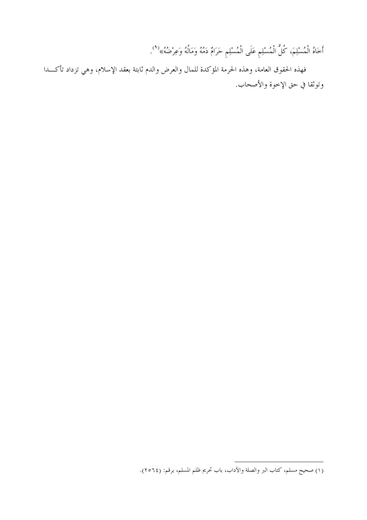أَخَاهُ الْمُسْلِمَ، كُلُّ الْمُسْلِمِ عَلَى الْمُسْلِمِ حَرَامٌ دَمُهُ وَمَالُهُ وَعِرْضُهُ» <sup>(1</sup>).

فهذه الحقوق العامة، وهذه الحرمة المؤكدة للمال والعرض والدم ثابتة بعقد الإسلام، وهي تزداد تأكـــدا وتوثقا في حق الإخوة والأصحاب.

<sup>(</sup>١) صحيح مسلم، كتاب البر والصلة والآداب، باب تحريم ظلم المسلم، برقم: (٢٥٦٤).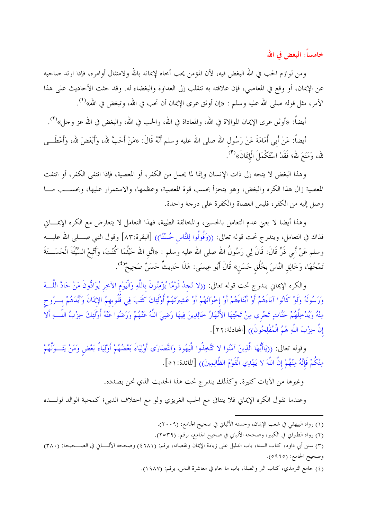خامساً: البغض في الله

ومن لوازم الحب في الله البغض فيه، لأن المؤمن يحب أحاه لإيمانه بالله ولامتثال أوامره، فإذا ارتد صاحبه عن الإيمان، أو وقع في المعاصي، فإن علاقته به تنقلب إلى العداوة والبغضاء له. وقد حثت الأحاديث على هذا الأمر، مثل قوله صلى الله عليه وسلم : «إن أوثق عرى الإيمان أن تحب في الله، وتبغض في الله»<sup>(١)</sup>.

أيضاً: «أوثق عرى الإيمان الموالاة في الله، والمعاداة في الله، والحب في الله، والبغض في الله عز وحل»<sup>(٢)</sup>.

أيضاً: عَنْ أَبي أُمَامَةَ عَنْ رَسُول الله صلى الله عليه وسلم أنَّهُ قَالَ: «مَنْ أَحَبَّ لله، وَأَبْغَضَ لله، وأعْطَـــى لله، وَمَنَعَ لله؛ فَقَدْ اسْتَكْمَلَ الْإِيمَانَ»<sup>(٣)</sup>.

وهذا البغض لا يتجه إلى ذات الإنسان وإنما لما يحمل من الكفر، أو المعصية، فإذا انتفى الكفر، أو انتفت المعصية زال هذا الكره والبغض، وهو يتجزأ بحسب قوة المعصية، وعظمها، والاستمرار عليها، وبحســب مـــا وصل إليه من الكفر، فليس العصاة والكفرة على درجة واحدة.

وهذا أيضا لا يعني عدم التعامل بالحسني، والمخالقة الطيبة، فهذا التعامل لا يتعارض مع الكره الإيمـــاني فذاك في التعامل، ويندرج تحت قوله تعالى: ((وَقُولُوا لِلنَّاس حُسْنًا)) [البقرة:٨٣] وقول النبي صــــلى الله عليــــه وسلم عَنْ أَبِي ذَرٍّ قَالَ: قَالَ لِي رَسُولُ الله صلى الله عليه وسلم : «اتَّق الله حَيْثُمَا كُنْتَ، وَأَتْبعْ السَّيِّئَةَ الْحَسَـــنَةَ تَمْحُهَا، وَخَالِقِ النَّاسَ بخُلُقِ حَسَنٍ» قَالَ أَبُو عِيسَى: هَذَا حَدِيثٌ حَسَنٌ صَحِيحٌ''.

والكره الإيماني يندرج تحت قوله تعالى: ((لا تَجدُ قَوْمًا يُؤْمِنُونَ باللَّهِ وَالْيَوْمِ الآخِرِ يُوَادُّونَ مَنْ حَادَّ اللَّـــهَ وَرَسُولَهُ وَلَوْ كَانُوا آبَاءَهُمْ أَوْ أَبْنَاءَهُمْ أَوْ إخْوَانَهُمْ أَوْ عَشِيرَتَهُمْ أُوْلَئِكَ كَتَبَ فِي قُلُوبهمُ الإيمَانَ وَأَيَّدَهُمْ بِسرُوحِ مِنْهُ وَيُدْخِلُهُمْ حَنَّاتٍ تَحْرِي مِنْ تَحْتِهَا الأَنْهَارُ خَالِدِينَ فِيهَا رَضِيَ اللَّهُ عَنْهُمْ وَرَضُوا عَنْهُ أُوْلَئِكَ حِزْبُ اللَّــهِ أَلا إِنَّ حِزْبَ اللَّهِ هُمُ الْمُفْلِحُونَ)) [المحادلة:٢٢].

وقوله تعالى: ((يَاأَيُّهَا الَّذِينَ آمَنُوا لا تَتَّخِذُوا الْيَهُودَ وَالنَّصَارَى أَوْلِيَاءَ بَعْضُهُمْ أَوْلِيَاءُ بَعْض وَمَنْ يَتَــوَلَّهُمْ مِنْكُمْ فَإِنَّهُ مِنْهُمْ إِنَّ اللَّهَ لا يَهْدِي الْقَوْمَ الظَّالِمِينَ)) [المائدة:١٥].

وغيرها من الآيات كثيرة. وكذلك يندرج تحت هذا الحديث الذي نحن بصدده.

وعندما نقول الكره الإيماني فلا يتنافى مع الحب الغريزي ولو مع اختلاف الدين؛ كمحبة الوالد لولــــده

<sup>(</sup>١) رواه البيهقي في شعب الإيمان، وحسنه الألباني في صحيح الجامع: (٢٠٠٩).

<sup>(</sup>٢) رواه الطبراني في الكبير، وصححه الألباني في صحيح الجامع، برقم: (٢٥٣٩).

<sup>(</sup>٣) سنن أبي داود، كتاب السنة، باب الدليل على زيادة الإيمان ونقصانه، برقم: (٦٨١١) وصححه الألبـــاني في الصـــحيحة: (٣٨٠) وصحيح الجامع: (٥٩٦٥).

<sup>(</sup>٤) جامع الترمذي، كتاب البر والصلة، باب ما جاء في معاشرة الناس، برقم: (١٩٨٧).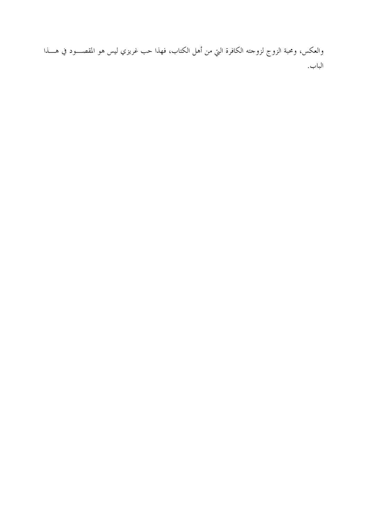والعكس، ومحبة الزوج لزوجته الكافرة التي من أهل الكتاب، فهذا حب غريزي ليس هو المقصـــود في هــــذا الباب.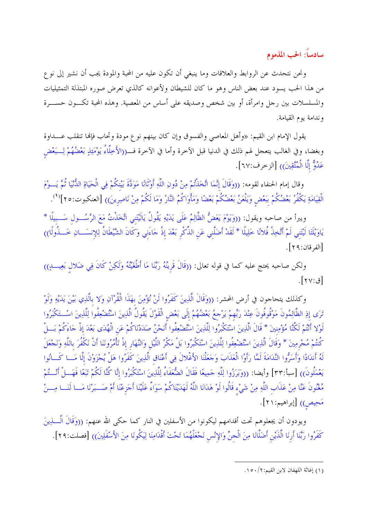سادساً: الحب المذموم

ونحن نتحدث عن الروابط والعلاقات وما ينبغي أن تكون عليه من المحبة والمودة يجب أن نشير إلى نوع من هذا الحب يسود عند بعض الناس وهو ما كان للشيطان ولأعوانه كالذي تعرض صوره المبتذلة التمثيليات والمسلسلات بين رحل وامرأة، أو بين شخص وصديقه على أساس من المعصية. وهذه المحبة تكـــون حســــرة وندامة يوم القيامة.

يقول الإمام ابن القيم: «وأهل المعاصي والفسوق وإن كان بينهم نوع مودة وتحاب فإنها تنقلب عــــداوة وبغضا، وفي الغالب يتعجل لهم ذلك في الدنيا قبل الآخرة وأما في الآخرة فـــــــــــــــــــــــــــــــ وصمِّله بمحضُهُمْ لِـــــبَعْض عَدُوٌّ إِلَّا الْمُتَّقِينَ)) [الزخرف:٢٧].

وقال إمام الحنفاء لقومه: ((وَقَالَ إِنَّمَا اتَّخَذْتُمْ مِنْ دُونِ اللَّهِ أَوْثَانًا مَوَدَّةَ بَيْنكُمْ فِي الْحَيَاةِ الدُّنْيَا ثُمَّ يَـــوْمَ الْقِيَامَةِ يَكْفُرُ بَعْضُكُمْ بَبَعْض وَيَلْعَنُ بَعْضُكُمْ بَعْضًا وَمَأْوَاكُمُ النَّارُ وَمَا لَكُمْ مِنْ نَاصِرينَ)) [العنكبوت:٢٥]''.

ويبرأ من صاحبه ويقول: ((وَيَوْمَ يَعَضُّ الظَّالِمُ عَلَى يَدَيْهِ يَقُولُ يَالَيْتَني اتَّخَذْتُ مَعَ الرَّسُــول سَـــبيلًا \* يَاوَيْلَتَا لَيْتَني لَمْ أَتَّخِذْ فُلائًا حَلِيلًا \* لَقَدْ أَضَلَّني عَن الذِّكْر بَعْدَ إذْ حَاءَني وَكَانَ الشَّيْطَانُ لِلإنسَـــانِ خَـــذُولًا)) [الفرقان:٢٩].

ولكن صاحبه يحتج عليه كما في قوله تعالى: ((قَالَ قَرِينُهُ رَبَّنَا مَا أَطْغَيْتُهُ وَلَكِنْ كَانَ فِي ضَلال بَعِيبٍ)) [ق:٢٧].

وكذلك يتحاجون في أرض المحشر: ((وَقَالَ الَّذِينَ كَفَرُوا لَنْ نُؤْمِنَ بهَذَا الْقُرْآنِ وَلا بالَّذِي بَيْنَ يَدَيْهِ وَلَوْ تَرَى إِذِ الظَّالِمُونَ مَوْقُوفُونَ عِنْدَ رَبِّهِمْ يَرْجِعُ بَعْضُهُمْ إِلَى بَعْض الْقَوْلَ يَقُولُ الَّذِينَ اسْتُضْعِفُوا لِلَّذِينَ اسْتَكْبَرُوا لَوْلا أَنْتُمْ لَكُنَّا مُؤْمِنِينَ \* قَالَ الَّذِينَ اسْتَكْبَرُوا لِلَّذِينَ اسْتُضْعِفُوا أَنَحْنُ صَدَدْنَاكُمْ عَن الْهُدَى بَعْدَ إذْ حَاءَكُمْ بَسلْ كُنتُمْ مُحْرمِينَ \* وَقَالَ الَّذِينَ اسْتُضْعِفُوا لِلَّذِينَ اسْتَكْبَرُوا بَلْ مَكْرُ اللَّيْل وَالنَّهَار إذْ تَأْمُرُونَنَا أَنْ نَكْفُرَ باللَّهِ وَنَحْعَلَ لَهُ أَندَادًا وَأَسَرُّوا النَّدَامَةَ لَمَّا رَأَوُا الْعَذَابَ وَحَعَلْنَا الأَغْلالَ فِي أَعْنَاق الَّذِينَ كَفَرُوا هَلْ يُجْزَوْنَ إلَّا مَــا كَــانُوا يَعْمَلُونَ)) [سبأ:٣٣] وأيضا: ((وَبَرَزُوا لِلَّهِ حَمِيعًا فَقَالَ الضُّعَفَاءُ لِلَّذِينَ اسْتَكْبَرُوا إنَّا كُنَّا لَكُمْ تَبَعًا فَهَـــلْ أَنْـــتُمْ مُغْنُونَ عَنَّا مِنْ عَذَابِ اللَّهِ مِنْ شَيْءٍ قَالُوا لَوْ هَدَانَا اللَّهُ لَهَدَيْنَاكُمْ سَوَاءٌ عَلَيْنَا أَجَزعْنَا أَمْ صَـــبَرْنَا مَـــا لَنَـــا مِـــنْ مَحِيص)) [إبراهيم:٢١].

ويودون أن يجعلوهم تحت أقدامهم ليكونوا من الأسفلين في النار كما حكي الله عنهم: ((وَقَالَ الَّــــٰذِينَ كَفَرُوا رَبَّنَا أَرنَا الَّذَيْنِ أَضَلَّانَا مِنَ الْحِنِّ وَالإِنْس نَجْعَلْهُمَا تَحْتَ أَقْدَامِنَا لِيَكُونَا مِنَ الأَسْفَلِينَ)) [فصلت:٢٩].

<sup>(</sup>١) إغاثة اللهفان لابن القيم: ١٥٠/٢.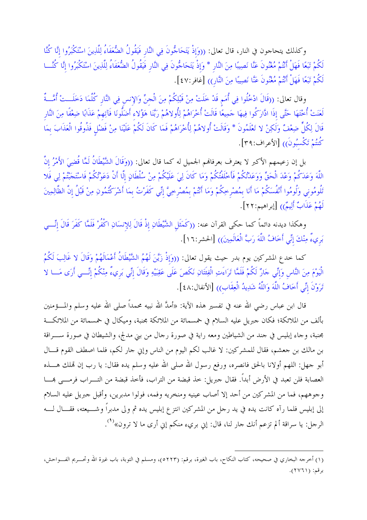وكذلك يتحاجون في النار، قال تعالى: ((وَإِذْ يَتَحَاجُّونَ فِي النَّارِ فَيَقُولُ الضُّعَفَاءُ لِلَّذِينَ اسْتَكْبَرُوا إِنَّا كُنَّا لَكُمْ تَبَعًا فَهَلْ أَنْتُمْ مُغْنُونَ عَنَّا نَصِيبًا مِنَ النَّار \* وَإِذْ يَتَحَاجُّونَ فِي النَّار فَيَقُولُ الضُّعَفَاءُ لِلَّذِينَ اسْتَكْبَرُوا إنَّا كُنَّـــا لَكُمْ تَبَعًا فَهَلْ أَنْتُمْ مُغْنُونَ عَنَّا نَصِيبًا مِنَ النَّارِ)) [غافر:٤٧ ].

وقال تعالى: ((قَالَ ادْخُلُوا فِي أُمَم قَدْ خَلَتْ مِنْ قَبْلِكُمْ مِنَ الْحِنِّ وَالإنس فِي النَّار كُلّمَا دَخَلَــتْ أُمَّــةٌ لَعَنَتْ أُحْتَهَا حَتَّى إذَا ادَّارَكُوا فِيهَا حَمِيعًا قَالَتْ أُحْرَاهُمْ لِأُولاهُمْ رَبَّنَا هَؤُلاء أَضَلُّونَا فَآتِهمْ عَذَابًا ضِعْفًا مِنَ النَّار قَالَ لِكُلٍّ ضِعْفٌ وَلَكِنْ لا تَعْلَمُونَ \* وَقَالَتْ أُولاهُمْ لِأُخْرَاهُمْ فَمَا كَانَ لَكُمْ عَلَيْنَا مِنْ فَضْل فَذُوقُوا الْعَذَابَ بمَا كُنتُمْ تَكْسُبُونَ)) [الأعراف:٣٩].

بل إن زعيمهم الأكبر لا يعترف بعرفالهم الجميل له كما قال تعالى: ((وَقَالَ الشَّيْطَانُ لَمَّا قُضِيَ الأَمْرُ إنّ اللَّهَ وَعَدَكُمْ وَعْدَ الْحَقِّ وَوَعَدْتُكُمْ فَأَخْلَفْتُكُمْ وَمَا كَانَ لِيَ عَلَيْكُمْ مِنْ سُلْطَانٍ إلَّا أَنْ دَعَوْتُكُمْ فَاسْتَحَبّْتُمْ لِي فَلا تَلُومُوني وَلُومُوا أَنْفُسَكُمْ مَا أَنَا بمُصْرِحِكُمْ وَمَا أَنْتُمْ بمُصْرخِيَّ إنِّي كَفَرْتُ بمَا أشْرَكْتُمُونِ مِنْ قَبْلُ إنَّ الظَّالِمِينَ لَهُمْ عَذَابٌ أَلِيمٌ)) [إبراهيم:٢٢].

وهكذا ديدنه دائماً كما حكى القرآن عنه: ((كَمَثَل الشَّيْطَانِ إذْ قَالَ لِلإنسَانِ اكْفُرْ فَلَمَّا كَفَرَ قَالَ إنِّـــى بَرِيءٌ مِنْكَ إِنِّي أَخَافُ اللَّهَ رَبَّ الْعَالَمِينَ)) [الحشر:١٦].

كما حدع المشركين يوم بدر حيث يقول تعالى: ((وَإِذْ زَيَّنَ لَهُمُ الشَّيْطَانُ أَعْمَالَهُمْ وَقَالَ لا غَالِبَ لَكُمُ الْيَوْمَ مِنَ النَّاسِ وَإِنِّي حَارٌ لَكُمْ فَلَمَّا تَرَاءَتِ الْفِئَتَانِ نَكَصَ عَلَى عَقِبَيْهِ وَقَالَ إتِّي بَريءٌ مِنْكُمْ إنِّسي أَرَى مَسا لا تَرَوْنَ إِنِّي أَخَافُ اللَّهَ وَاللَّهُ شَدِيدُ الْعِقَابِ)) [الأنفال:٤٨].

قال ابن عباس رضي الله عنه في تفسير هذه الآية: «أمدَّ الله نبيه محمداً صلى الله عليه وسلم والمــــؤمنين بألف من الملائكة؛ فكان جبريل عليه السلام في خمسمائة من الملائكة مجنبة، وميكال في خمسمائة من الملائكـــة مجنبة، وجاء إبليس في حند من الشياطين ومعه راية في صورة رحال من بني مدلج، والشيطان في صورة ســـراقة بن مالك بن جعشم، فقال للمشركين: لا غالب لكم اليوم من الناس وإي جار لكم، فلما اصطف القوم قـــال أبو جهل: اللهم أولانا بالحق فانصره، ورفع رسول الله صلى الله عليه وسلم يده فقال: يا رب إن قملك هــــذه العصابة فلن تعبد في الأرض أبداً. فقال حبريل: خذ قبضة من التراب، فأخذ قبضة من التــــراب فرمــــى بمــــا وجوههم، فما من المشركين من أحد إلا أصاب عينيه ومنخريه وفمه، فولوا مدبرين، وأقبل جبريل عليه السلام إلى إبليس فلما رآه كانت يده في يد رجل من المشركين انتزع إبليس يده ثم ولى مدبراً وشـــيعته، فقـــال لــــه الرحل: يا سراقة ألم تزعم أنك حار لنا، قال: إني بريء منكم إني أرى ما لا ترون»<sup>(١</sup>).

<sup>(</sup>١) أخرجه البخاري في صحيحه، كتاب النكاح، باب الغيرة، برقم: (٥٢٢٣)، ومسلم في التوبة، باب غيرة الله وتحـــريم الفــــواحش، برقم: (٢٧٦١).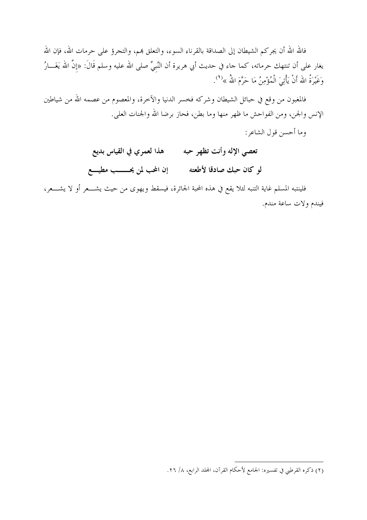فالله الله أن يجركم الشيطان إلى الصداقة بالقرناء السوء، والتعلق بمم، والتجرؤ على حرمات الله، فإن الله يغار على أن تنتهك حرماته، كما جاء في حديث أبي هريرة أن النَّبيِّ صلى الله عليه وسلم قَالَ: «إنَّ الله يَغَـــارُ وَغَيْرَةُ الله أَنْ يَأْتِيَ الْمُؤْمِنُ مَا حَرَّمَ اللهُ »<sup>(1</sup>).

فالمغبون من وقع في حبائل الشيطان وشركه فخسر الدنيا والآخرة، والمعصوم من عصمه الله من شياطين الإنس والجن، ومن الفواحش ما ظهر منها وما بطن، فحاز برضا الله والجنات العلي.

وما أحسن قول الشاعر :

هذا لعمري في القياس بديع تعصي الإله وأنت تظهر حبه لو كان حبك صادقا لأطعته إن المحب لمن يحـــــب مطيــــع

فلينتبه المسلم غاية التنبه لئلا يقع في هذه المحبة الجائرة، فيسقط ويهوى من حيث يشــــعر أو لا يشــــعر، فيندم ولات ساعة مندم.

<sup>(</sup>٢) ذكره القرطبي في تفسيره: الجامع لأحكام القرآن، المجلد الرابع، ٨/ ٢٦.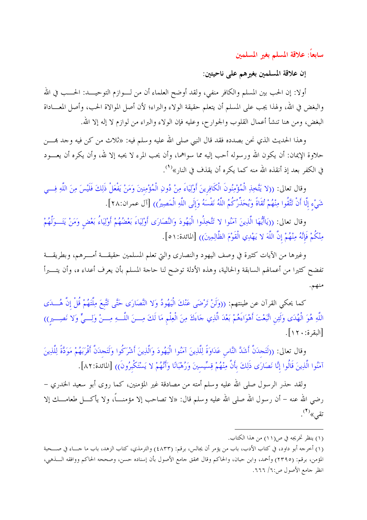سابعاً: علاقة المسلم بغير المسلمين

إن علاقة المسلمين بغيرهم على ناحيتين:

أولا: إن الحب بين المسلم والكافر منفى، ولقد أوضح العلماء أن من لـــوازم التوحيـــد: الحـــب في الله والبغض في الله، ولهذا يجب على المسلم أن يتعلم حقيقة الولاء والبراء؛ لأن أصل الموالاة الحب، وأصل المعـــاداة البغض، ومن هنا تنشأ أعمال القلوب والجوارح، وعليه فإن الولاء والبراء من لوازم لا إله إلا الله.

وهذا الحديث الذي نحن بصدده فقد قال النبي صلى الله عليه وسلم فيه: «ثلاث من كن فيه وحد بمــــن حلاوة الإيمان: أن يكون الله ورسوله أحب إليه مما سواهما، وأن يحب المرء لا يحبه إلا لله، وأن يكره أن يعــــود في الكفر بعد إذ أنقذه الله منه كما يكره أن يقذف في النا, »<sup>(1</sup>).

وقال تعالى: ((لا يَتَّخِذِ الْمُؤْمِنُونَ الْكَافِرِينَ أَوْلِيَاءَ مِنْ دُونِ الْمُؤْمِنِينَ وَمَنْ يَفْعَلْ ذَلِكَ فَلَيْسَ مِنَ اللَّهِ فِسي شَيْء إِلَّا أَنْ تَتَّقُوا مِنْهُمْ تُقَاةً وَيُحَذِّرُكُمُ اللَّهُ نَفْسَهُ وَإِلَى اللَّهِ الْمَصِيرُ)) [آل عمران:٢٨].

وقال تعالى: ((يَاأَيُّهَا الَّذِينَ آمَنُوا لا تَتَّخِذُوا الْيَهُودَ وَالنَّصَارَى أَوْلِيَاءَ بَعْضُهُمْ أَوْلِيَاءُ بَعْض وَمَنْ يَتَــوَلَّهُمْ مِنْكُمْ فَإِنَّهُ مِنْهُمْ إِنَّ اللَّهَ لا يَهْدِي الْقَوْمَ الظَّالِمِينَ)) [المائدة:١٥].

وغيرها من الآيات كثيرة في وصف اليهود والنصاري والتي تعلم المسلمين حقيقـــة أمـــرهم، وبطريقـــة تفضح كثيرا من أعمالهم السابقة والحالية، وهذه الأدلة توضح لنا حاجة المسلم بأن يعرف أعداء ه، وأن يتــــبرأ

كما يحكي القرآن عن طينتهم: ((وَلَنْ تَرْضَى عَنْكَ الْيَهُودُ وَلا النَّصَارَى حَتَّى تَتَّبعَ مِلَّتهُمْ قُلْ إنَّ هُـــدَى اللَّهِ هُوَ الْهُدَى وَلَءِنِ اتَّبَعْتَ أَهْوَاءَهُمْ بَعْدَ الَّذِي جَاءَكَ مِنَ الْعِلْمِ مَا لَكَ مِـــنَ اللَّـــهِ مِـــنْ وَلِــــمٍّ وَلا نَصِــــيرٍ)) [البقرة: ٢٠].

وقال تعالى: ((لَتَحدَنَّ أَشَدَّ النَّاس عَدَاوَةً لِلَّذِينَ آمَنُوا الْيَهُودَ وَالَّذِينَ أَشْرَكُوا وَلَتَحدَنَّ أَقْرَبَهُمْ مَوَدَّةً لِلَّذِينَ آمَنُوا الَّذِينَ قَالُوا إِنَّا نَصَارَى ذَلِكَ بأَنَّ مِنْهُمْ قِسِّيسينَ وَرُهْبَانًا وَأَنَّهُمْ لا يَسْتَكْبرُونَ) [المائدة: ٨٢].

ولقد حذر الرسول صلى الله عليه وسلم أمته من مصادقة غير المؤمنين، كما روى أبو سعيد الخدري – رضي الله عنه – أن رسول الله صلى الله عليه وسلم قال: «لا تصاحب إلا مؤمنــــاً، ولا يأكــــل طعامــــك إلا تقى»<sup>(۲</sup>).

<sup>(</sup>١) ينظر تخريجه في ص(١١) من هذا الكتاب.

<sup>(</sup>١) أخرجه أبو داود، في كتاب الأدب، باب من يؤمر أن يجالس، برقم: (٤٨٣٣) والترمذي، كتاب الزهد، باب ما حــــاء في صـــحبة المؤمن، برقم: (٢٣٩٥) وأحمد، وابن حبان، والحاكم وقال محقق جامع الأصول بأن إسناده حسن، وصححه الحاكم ووافقه الـــذهبي، انظر جامع الأصول ص:٦٦/ ٦٦٦.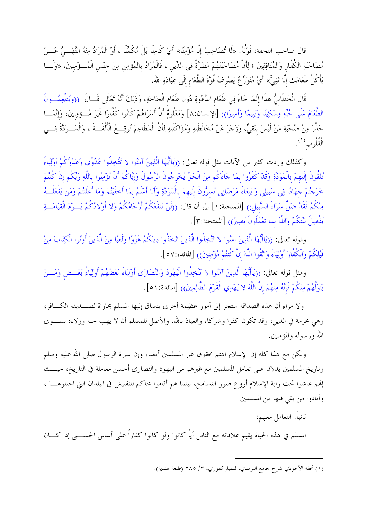قال صاحب التحفة: قَوْلُهُ: «لَا تُصَاحِبْ إِلَّا مُؤْمِنًا» أَيْ كَامِلًا بَلْ مُكَمِّلًا ، أَوْ الْمُرَادُ مِنْهُ النَّهْــيُ عَـــنْ مُصَاحَبَةِ الْكُفَّارِ وَالْمُنَافِقِينَ ؛ لِأَنَّ مُصَاحَبَتَهُمْ مَضَرَّةٌ فِي الدِّينِ ، فَالْمُرَادُ بِالْمُؤْمِنِ مِنْ جِنْسِ الْمُــؤْمِنِينَ، «وَلَـــا يَأْكُلْ طَعَامَك إلَّا تَقِيٌّ» أَيْ مُتَوَرٍّ عٌ يَصْرِفُ قُوَّةَ الطَّعَام إلَى عِبَادَةِ الله.

قَالَ الْخَطَّابِيُّ هَذَا إِنَّمَا جَاءَ فِي طَعَامِ الدَّعْوَةِ دُونَ طَعَامِ الْحَاجَةِ، وَذَلِكَ أَنَّهُ تَعَالَى قَــالَ: ((وَيُطْعِمُـــونَ الطَّعَامَ عَلَى حُبِّهِ مِسْكِينًا وَيَتِيمًا وَأَسِيرًا)) [الإنسان:٨] وَمَعْلُومٌ أَنَّ أَسْرَاهُمْ كَانُوا كُفَّارًا غَيْرَ مُـــؤْمِنينَ، وَإِنَّمَـــا حَذَّرَ مِنْ صُحْبَةِ مَنْ لَيْسَ بتَقِيٍّ، وَزَجَرَ عَنْ مُخَالَطَتِهِ وَمُؤَاكَلَتِهِ لِأَنَّ الْمَطَاعِمَ تُوقِــمُ الْأُلْفَــةَ ، وَالْمَـــوَدَّةَ فِـــي الْقُلُوبِ<sup>(1</sup>).

وكذلك وردت كثير من الآيات مثل قوله تعالى: ((يَاأَيُّهَا الَّذِينَ آمَنُوا لا تَتَّخِذُوا عَدُوِّي وَعَدُوَّكُمْ أُوْلِيَاءَ تُلْقُونَ إِلَيْهِمْ بِالْمَوَدَّةِ وَقَدْ كَفَرُوا بِمَا جَاءَكُمْ مِنَ الْحَقِّ يُخْرِجُونَ الرَّسُولَ وَإِيَّاكُمْ أَنْ تُؤْمِنُوا بِاللَّهِ رَبِّكُمْ إِنْ كُنتُمْ خَرَجْتُمْ جهَادًا فِي سَبيلِي وَابْتِغَاءَ مَرْضَاتِي تُسرُّونَ إلَيْهِمْ بِالْمَوَدَّةِ وَأَنَا أَعْلَمُ بمَا أَخْفَيْتُمْ وَمَا أَعْلَنتُمْ وَمَنْ يَفْعَلْــهُ مِنْكُمْ فَقَدْ ضَلَّ سَوَاءَ السَّبِيلِ)) [الممتحنة: ١] إلى أن قال: ((لَنْ تَنفَعَكُمْ أَرْحَامُكُمْ وَلا أَوْلادُكُمْ يَــوْمَ الْقِيَامَــةِ يَفْصِلُ بَيْنَكُمْ وَاللَّهُ بِمَا تَعْمَلُونَ بَصِيرٌ)) [الممتحنة:٣].

وقوله تعالى: ((يَاأَيُّهَا الَّذِينَ آمَنُوا لا تَتَّخِذُوا الَّذِينَ اتَّخَذُوا دِينَكُمْ هُزُوًا وَلَعِبًا مِنَ الَّذِينَ أُوتُوا الْكِتَابَ مِنْ قَبْلِكُمْ وَالْكُفَّارَ أَوْلِيَاءَ وَاتَّقُوا اللَّهَ إِنْ كُنتُمْ مُؤْمِنِينَ)) [المائدة:٥٧].

ومثل قوله تعالى: ((يَاأَيُّهَا الَّذِينَ آمَنُوا لا تَتَّخِذُوا الْيَهُودَ وَالنَّصَارَى أَوْلِيَاءَ بَعْضُهُمْ أَوْلِيَاءُ بَعْسِفِهِ يَتَوَلَّهُمْ مِنْكُمْ فَإِنَّهُ مِنْهُمْ إِنَّ اللَّهَ لا يَهْدِي الْقَوْمَ الظَّالِمِينَ)) [المائدة:١٥].

ولا مراء أن هذه الصداقة ستجر إلى أمور عظيمة أخرى ينساق إليها المسلم مجاراة لصـــديقه الكـــافر، وهي محرمة في الدين، وقد تكون كفرا وشركا، والعياذ بالله. والأصل للمسلم أن لا يهب حبه وولاءه لســـوى الله ورسوله والمؤمنين.

ولكن مع هذا كله إن الإسلام اهتم بحقوق غير المسلمين أيضا، وإن سيرة الرسول صلى الله عليه وسلم وتاريخ المسلمين يدلان على تعامل المسلمين مع غيرهم من اليهود والنصاري أحسن معاملة في التاريخ، حيـــث إلهم عاشوا تحت راية الإسلام أروع صور التسامح، بينما هم أقاموا محاكم للتفتيش في البلدان التي احتلوهــــا ، وأبادوا من بقى فيها من المسلمين.

ثانياً: التعامل معهم:

المسلم في هذه الحياة يقيم علاقاته مع الناس أياً كانوا ولو كانوا كفاراً على أساس الحســــني إذا كــــان

<sup>(</sup>١) تحفة الأحوذي شرح حامع الترمذي، للمباركفوري، ٣/ ٢٨٥ (طبعة هندية).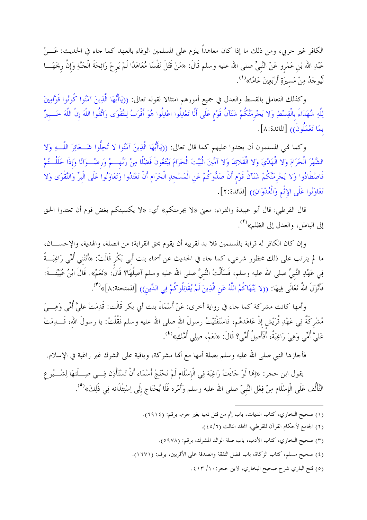الكافر غير حربي، ومن ذلك ما إذا كان معاهداً يلزم على المسلمين الوفاء بالعهد كما جاء في الحديث: عَـــنْ عَبْدِ الله بْن عَمْرو عَنْ النَّبيِّ صلى الله عليه وسلم قَالَ: «مَنْ قَتَلَ نَفْسًا مُعَاهَدًا لَمْ يَرحْ رَائِحَةَ الْحَنَّةِ وَإِنَّ ريحَهَـــا لَيُوجَدُ مِنْ مَسيرَةِ أَرْبَعِينَ عَامًا»<sup>(1</sup>).

وكذلك التعامل بالقسط والعدل في جميع أمورهم امتثالا لقوله تعالى: ((يَاأَيُّهَا الَّذِينَ آمَنُوا كُونُوا قَوَّامِينَ لِلَّهِ شُهَدَاءَ بِالْقِسْطِ وَلا يَجْرِمَنَّكُمْ شَنَآنُ قَوْمٍ عَلَى أَلَّا تَعْدِلُوا اعْدِلُوا هُوَ أَقْرَبُ لِلتَّقْوَى وَاتَّقُوا اللَّهَ إنَّ اللَّهَ خَـــبيرٌ بمَا تَعْمَلُونَ)) [المائدة:٨].

وكما فمي المسلمون أن يعتدوا عليهم كما قال تعالى: ((يَاأَيُّهَا الَّذِينَ آمَنُوا لا تُحِلُّوا شَـــعَائِرَ اللَّـــهِ وَلا الشَّهْرَ الْحَرَامَ وَلا الْهَدْيَ وَلا الْقَلائِدَ وَلا آمِّينَ الْبَيْتَ الْحَرَامَ يَبْتَغُونَ فَضْلًا مِنْ رَبِّهِـــمْ وَرضْــوَانًا وَإذَا حَلَلْــتُمْ فَاصْطَادُوا وَلا يَحْرمَنَّكُمْ شَنَآنُ قَوْم أَنْ صَدُّوكُمْ عَن الْمَسْحدِ الْحَرَام أَنْ تَعْتَدُوا وَتَعَاوَنُوا عَلَى الْبِرِّ وَالتَّقْوَى وَلا تَعَاوَنُوا عَلَى الإِثْمِ وَالْعُدْوَانِ)) [المائدة:٢].

قال القرطبي: قال أبو عبيدة والفراء: معنى «لا يجرمنكم» أي: «لا يكسبنكم بغض قوم أن تعتدوا الحق إلى الباطل، والعدل إلى الظلم»<sup>(٢)</sup>.

وإن كان الكافر له قرابة بالمسلمين فلا بد لقريبه أن يقوم بحق القرابة؛ من الصلة، والهدية، والإحســـان، ما لم يترتب على ذلك محظور شرعي، كما حاء في الحديث عن أسماء بنت أَبي بَكْر قَالَتْ: «أَتَتْني أُمِّي رَاغِبَــةً فِي عَهْدِ النَّبيِّ صلى الله عليه وسلم، فَسَأَلْتُ النَّبيَّ صلى الله عليه وسلم آصِلُهَا؟ قَالَ: «نَعَمْ». قَالَ ابْنُ عُيَيْنَـــةَ: فَأَنْزَلَ اللهُ تَعَالَى فِيهَا: ((لا يَنْهَاكُمُ اللَّهُ عَنِ الَّذِينَ لَمْ يُقَاتِلُوكُمْ فِي الدِّين)) [الممتحنة:٨]»<sup>(٣)</sup>.

وأمها كانت مشركة كما جاء في رواية أخرى: عَنْ أَسْمَاءَ بنت أبي بكر قَالَت: قَدِمَتْ عليَّ أُمِّي وَهِـــيَ مُشْرِكَةٌ فِي عَهْدِ قُرَيْش إذْ عَاهَدهُم، فَاسْتَفْتَيْتُ رسولَ الله صلى الله عليه وسلم فَقُلْتُ: يا رسولَ الله، قَـــــدِمَتْ عَلَيَّ أُمِّي وَهِيَ رَاغِبَةٌ، أَفَأَصِلُ أُمِّي؟ قَالَ: «نَعَمْ، صِلِي أُمَّكِ»<sup>(٤)</sup>.

فأجازها النبي صلى الله عليه وسلم بصلة أمها مع ألها مشركة، وباقية على الشرك غير راغبة في الإسلام.

يقول ابن حجر: «إنما لَوْ حَاءَتْ رَاغِبَة فِي الْإِسْلَام لَمْ تَحْتَجْ أَسْمَاء أَنْ تَسْتَأْذِن فِـــي صِـــلَتهَا لِشُـــيُو ع التَّأَلُّف عَلَى الْإسْلَام مِنْ فِعْل النَّبيّ صلى الله عليه وسلم وَأَمْره فَلَا يُحْتَاج إلَى اِسْتِئْذَانه فِي ذَلِكَ»<sup>(٥</sup>).

- (١) صحيح البخاري، كتاب الديات، باب إثم من قتل ذميا بغير حرم، برقم: (٦٩١٤).
	- (٢) الجامع لأحكام القرآن للقرطبي، المجلد الثالث (٦/٥).
	- (٣) صحيح البخاري، كتاب الأدب، باب صلة الوالد المشرك، برقم: (٥٩٧٨).
- (٤) صحيح مسلم، كتاب الزكاة، باب فضل النفقة والصدقة على الأقربين، برقم: (١٦٧١).
	- (٥) فتح الباري شرح صحيح البخاري، لابن حجر: ١٠/ ٤١٣.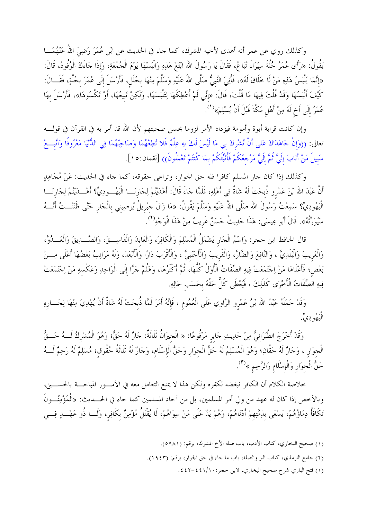وكذلك روي عن عمر أنه أهدى لأخيه المشرك، كما حاء في الحديث عن ابْن عُمَرَ رَضِيَ اللهُ عَنْهُمَـــا يَقُولُ: «رَأَى عُمَرُ حُلَّةَ سِيَرَاءَ تُبَاعُ، فَقَالَ يَا رَسُولَ الله ابْتَعْ هَذِهِ وَالْبَسْهَا يَوْمَ الْحُمُعَةِ، وَإِذَا حَاءَكَ الْوُفُودُ، قَالَ: «إِنَّمَا يَلْبَسُ هَذِهِ مَنْ لَا خَلَاقَ لَهُ»، فَأُتِيَ النَّبيُّ صَلَّى اللهُ عَلَيْهِ وَسَلَّمَ مِنْهَا بحُلَل، فَأَرْسَلَ إِلَى عُمَرَ بحُلَّةٍ، فَقَــالَ: كَيْفَ أَلْبَسُهَا وَقَدْ قُلْتَ فِيهَا مَا قُلْتَ، قَالَ: «إنِّي لَمْ أُعْطِكَهَا لِتَلْبَسَهَا، وَلَكِنْ تَبيعُهَا، أَوْ تَكْسُوهَا»، فَأَرْسَلَ بهَا عُمَرُ إلَى أَخٍ لَهُ مِنْ أَهْلِ مَكَّةَ قَبْلَ أَنْ يُسْلِمَ»<sup>(١</sup>).

وإن كانت قرابة أبوة وأمومة فيزداد الأمر لزوما بحسن صحبتهم لأن الله قد أمر به في القرآن في قولــــه تعالى: ((وَإِنْ جَاهَدَاكَ عَلى أَنْ تُشْرِكَ بي مَا لَيْسَ لَكَ بهِ عِلْمٌ فَلا تُطِعْهُمَا وَصَاحِبْهُمَا فِي الدُّنْيَا مَعْرُوفًا وَاتَّبِعْ سَبِيلَ مَنْ أَنَابَ إِلَيَّ ثُمَّ إِلَيَّ مَرْجِعُكُمْ فَأُنَبِّكُمْ بِمَا كُنتُمْ تَعْمَلُونَ)) [لقمان:١٥].

وكذلك إذا كان حار المسلم كافرا فله حق الجوار، وتراعى حقوقه، كما حاء في الحديث: عَنْ مُجَاهِدٍ أَنَّ عَبْدَ الله بْنَ عَمْروٍ ذُبحَتْ لَهُ شَاةٌ فِي أَهْلِهِ، فَلَمَّا جَاءَ قَالَ: أَهْدَيْتُمْ لِجَارِنَـــا الْيَهُـــوِدِيٍّ؟ أَهْـــدَيْتُمْ لِجَارِنَـــا الْيَهُودِيٍّ؟ سَمِعْتُ رَسُولَ الله صَلَّى اللهُ عَلَيْهِ وَسَلَّمَ يَقُولُ: «مَا زَالَ حبْريلُ يُوصِيني بالْحَار حَتَّى ظَنَنْـــتُ أَنْـــهُ سَيُورَتْهُ». قَالَ أَبُو عِيسَى: هَذَا حَدِيتٌ حَسَنٌ غَرِيبٌ مِنْ هَذَا الْوَجْهِ<sup>(٢</sup>).

قال الحافظ ابن حجر: وَاسْمُ الْجَارِ يَشْمَلُ الْمُسْلِمَ وَالْكَافِرَ، وَالْعَابدَ وَالْفَاسِــقَ، وَالصَّــدِيقَ وَالْعَــدُوَّ، وَالْغَريبَ وَالْبَلَدِيَّ ، وَالنَّافِعَ وَالضَّارَّ، وَالْقَريبَ وَالْأَحْنَبِيَّ ، وَالْأَقْرَبَ دَارًا وَالْأَبْعَدَ، وَلَهُ مَرَاتِبُ بَعْضُهَا أَعْلَى مِـــنْ بَعْض؛ فَأَعْلَاهَا مَنْ اِحْتَمَعَتْ فِيهِ الصِّفَاتُ الْأُوَلُ كُلُّهَا، ثُمَّ أَكْثَرُهَا، وَهَلُمَّ حَرَّا إلَى الْوَاحِدِ وَعَكْسهِ مَنْ اِحْتَمَعَتْ فِيهِ الۡصِّفَاتُ الْأُخْرَى كَذَٰلِكَ ، فَيُعْطَى كُلٌّ حَقَّهُ بحَسَب حَالِهِ.

وَقَدْ حَمَلَهُ عَبْدُ الله بْنُ عَمْرِو الرَّاوِي عَلَى الْعُمُوم ، فَإِنَّهُ أَمَرَ لَمَّا ذُبِحَتْ لَهُ شَآةٌ أَنْ يُهْدِيَ مِنْهَا لِحَسارِهِ الْيَهُودِيِّ.

وَقَدْ أَخْرَجَ الطَّبَرَانيُّ مِنْ حَدِيثِ حَابر مَرْفُوعًا: « الْحِيرَانُ ثَلَاثَةٌ: حَارٌ لَهُ حَقٌّ؛ وَهُوَ الْمُشْركُ لَـــهُ حَـــقٌّ الْحِوَار ، وَحَارٌ لَهُ حَقَّانِ؛ وَهُوَ الْمُسْلِمُ لَهُ حَقُّ الْحِوَار وَحَقُّ الْإسْلَام، وَحَارٌ لَهُ ثَلَاثَةُ حُقُوق؛ مُسْلِمٌ لَهُ رَحِمٌ لَـــهُ حَقُّ الْجوَار وَالْإِسْلَام وَالرَّحِمِ »'<sup>(٣)</sup>.

خلاصة الكلام أن الكافر نبغضه لكفره ولكن هذا لا يمنع التعامل معه في الأمـــور المباحــــة بالحســــني، وبالأخص إذا كان له عهد من ولي أمر المسلمين، بل من آحاد المسلمين كما جاء في الحــــديث: «الْمُؤْمِنُـــونَ تَكَافَأُ دِمَاؤُهُمْ، يَسْعَى بِذِمَّتِهِمْ أَدْنَاهُمْ، وَهُمْ يَدُّ عَلَى مَنْ سِوَاهُمْ، لَا يُقْتَلُ مُؤْمِنٌ بكَافِر، وَلَـــا ذُو عَهْــــدٍ فِـــي

- (١) صحيح البخاري، كتاب الأدب، باب صلة الأخ المشرك، برقم: (٥٩٨١).
- (٢) جامع الترمذي، كتاب البر والصلة، باب ما جاء في حق الجوار، برقم: (١٩٤٣).
	- (١) فتح الباري شرح صحيح البخاري، لابن حجر:١/١٠٤٤١/ ٤٤٢-٤٤٢.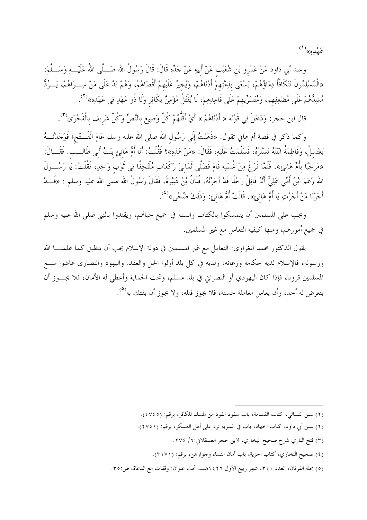عَهْدِهِ»<sup>(۱</sup>).

وعند أبي داود عَنْ عَمْرِو بْنِ شُعَيْبٍ عَنْ أَبِيهِ عَنْ جَدِّهِ قَالَ: قَالَ رَسُولُ الله صَـــلّـى اللهُ عَلَيْـــهِ وَسَـــلّـمَ: «الْمُسْلِمُونَ تَتَكَافَأُ دِمَاؤُهُمْ، يَسْعَى بِلِمَّتِهِمْ أَدْنَاهُمْ، وَيُجِيرُ عَلَيْهِمْ أَقْصَاهُمْ، وَهُمْ يَدٌ عَلَى مَنْ سِــوَاهُمْ، يَــرُدُّ مُشِدُّهُمْ عَلَى مُضْعِفِهِمْ، وَمُتَسَرِّيهِمْ عَلَى قَاعِدِهِمْ، لَا يُقْتَلُ مُؤْمِنٌ بكَافِر وَلَا ذُو عَهْدٍ فِي عَهْدِه»<sup>(٢</sup>).

قال ابن حجر: وَدَخَلَ فِي قَوْله « أَدْنَاهُمْ » أَيْ أَقَلُّهُمْ كُلّ وَضِيع بالنَّصِّ وَكُلّ شَريف بالْفَحْوَى'").

وكما ذكر في قصة أم هاني تقول: «ذَهَبْتُ إلَى رَسُول الله صلى الله عليه وسلم عَامَ الْفَـــتْح؛ فَوَحَدْتُـــهُ يَغْتَسلُ، وَفَاطِمَةُ ابْنَتُهُ تَسْتُرُهُ، فَسَلَّمْتُ عَلَيْهِ، فَقَالَ: «مَنْ هَذِهِ»؟ فَقُلْتُ: أَنَا أُمُّ هَانِئٍ بِنْتُ أَبِي طَالِــبِ. فَقَــالَ: «مَرْحَبًا بأُمِّ هَانِئٍ». فَلَمَّا فَرَغَ مِنْ غُسْلِهِ قَامَ فَصَلَّى ثَمَانِيَ رَكَعَاتٍ مُلْتَحِفًا فِي ثَوْب وَاحِدٍ، فَقُلْتُ: يَا رَسُـــولَ الله زَعَمَ ابْنُ أُمِّي عَلِيٌّ أَنَّهُ قَاتِلٌ رَجُلًا قَدْ أَجَرْتُهُ، فُلَانُ بْنُ هُبَيْرَةَ، فَقَالَ رَسُولُ الله صلى الله عليه وسلم : «قَـــدْ أَجَرْنَا مَنْ أَجَرْتِ يَا أُمَّ هَانِئٍ». قَالَتْ أُمُّ هَانِئٍ: وَذَلِكَ ضُحَّى»<sup>(٤)</sup>.

ويجب على المسلمين أن يتمسكوا بالكتاب والسنة في جميع حياقم، ويقتدوا بالنبي صلى الله عليه وسلم في جميع أمورهم، ومنها كيفية التعامل مع غير المسلمين.

يقول الدكتور محمد المغراوي: التعامل مع غير المسلمين في دولة الإسلام يجب أن ينطبق كما علمنــــا الله ورسوله، فالإسلام لديه حكامه ورعاته، ولديه في كل بلد أولوا الحل والعقد. واليهود والنصارى عاشوا مـــع المسلمين قرونا، فإذا كان اليهودي أو النصراني في بلد مسلم، وتحت الحماية وأعطي له الأمان، فلا يجـــوز أن يتعرض له أحد، وأن يعامل معاملة حسنة، فلا يجوز قتله، ولا يجوز أن يفتك به<sup>(٥</sup>).

- (٢) سنن النسائي، كتاب القسامة، باب سقود القود من المسلم للكافر، برقم: (٤٧٤٥).
- (٢) سنن أبي داود، كتاب الجهاد، باب في السرية ترد على أهل العسكر، برقم: (٢٧٥١).
	- (٣) فتح الباري شرح صحيح البخاري، لابن حجر العسقلاني:٦/ ٢٧٤.
	- (٤) صحيح البخاري، كتاب الجزية، باب أمان النساء وحوارهن، برقم: (٣١٧١).
- (٥) مجلة الفرقان، العدد ٣٤٠، شهر ربيع الأول ١٤٢٦هـ، تحت عنوان: وقفات مع الدعاة، ص:٣٥.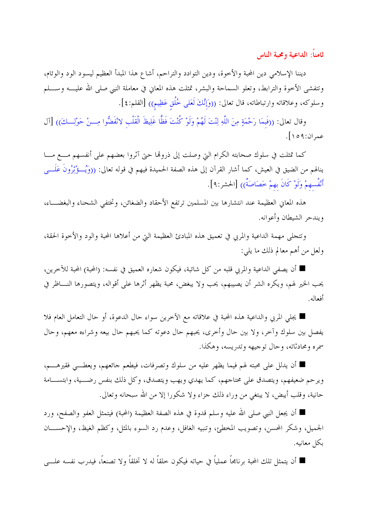ثامناً: الداعية ومحبة الناس

ديننا الإسلامي دين المحبة والأخوة، ودين التوادد والتراحم، أشاع هذا المبدأ العظيم ليسود الود والوئام، وتتفشى الأخوة والترابط، وتعلو السماحة والبشر، تمثلت هذه المعاني في معاملة النبي صلى الله عليــــه وســــلم وسلوكه، وعلاقاته وارتباطاته، قال تعالى: ((وَإِنَّكَ لَعَلَى خُلُقٍ عَظِيمٍ)) [القلم:٤].

وقال تعالى: ((فَبِمَا رَحْمَةٍ مِنَ اللَّهِ لِنْتَ لَهُمْ وَلَوْ كُنْتَ فَظًّا غَلِيظَ الْقَلْبِ لانْفَضُّوا مِـــنْ حَوْلِـــكَ)) [آل عمران:١٥٩].

كما تمثلت في سلوك صحابته الكرام التي وصلت إلى ذروها حتى آثروا بعضهم على أنفسهم مـــع مـــا ينالهم من الضيق في العيش، كما أشار القرآن إلى هذه الصفة الحميدة فيهم في قوله تعالى: ((وَيُسؤْثِرُونَ عَلَــــى أَنْفُسهمْ وَلَوْ كَانَ بهمْ خَصَاصَةٌ)) [الحشر:٩].

هذه المعايي العظيمة عند انتشارها بين المسلمين ترتفع الأحقاد والضغائن، وتختفي الشحناء والبغضـــاء، ويندحر الشيطان وأعوانه.

وتتجلى مهمة الداعية والمربى في تعميق هذه المبادئ العظيمة التي من أعلاها المحبة والود والأخوة الحقة، ولعل من أهم معالم ذلك ما يلي:

■ أن يصفى الداعية والمربي قلبه من كل شائبة، فيكون شعاره العميق في نفسه: (المحبة) المحبة للآخرين، يحب الخير لهم، ويكره الشر أن يصيبهم، يحب ولا يبغض، محبة يظهر أثرها على أقواله، ويتصورها النــــاظر في أفعاله.

■ يجلِّي المربي والداعية هذه المحبة في علاقاته مع الآخرين سواء حال الدعوة، أو حال التعامل العام فلا يفصل بين سلوك وآخر، ولا بين حال وأخرى، يحبهم حال دعوته كما يحبهم حال بيعه وشراءه معهم، وحال سمره ومحادثاته، وحال توجيهه وتدريسه، وهكذا.

■ أن يدلل على محبته لهم فيما يظهر عليه من سلوك وتصرفات، فيطعم جائعهم، ويعطـــي فقيرهــــم، ويرحم ضعيفهم، ويتصدق على محتاجهم، كما يهدي ويهب ويتصدق، وكل ذلك بنفس رضـــية، وابتســـامة حانية، وقلب أيبض، لا يبتغي من وراء ذلك جزاء ولا شكورا إلا من الله سبحانه وتعالى.

■ أن يجعل النبي صلى الله عليه وسلم قدوة في هذه الصفة العظيمة (المحبة) فيتمثل العفو والصفح، ورد الجميل، وشكر المحسن، وتصويب المخطئ، وتنبيه الغافل، وعدم رد السوء بالمثل، وكظم الغيظ، والإحســـان بكل معانيه.

■ أن يتمثل تلك المحبة برنامجاً عملياً في حياته فيكون خلقاً له لا تخلقاً ولا تصنعاً، فيدرب نفسه علــــى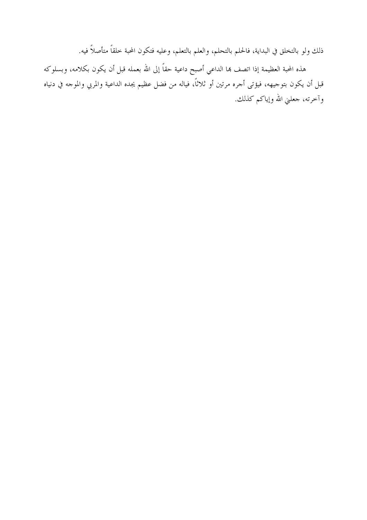ذلك ولو بالتخلق في البداية، فالحلم بالتحلم، والعلم بالتعلم، وعليه فتكون المحبة خلقاً متأصلاً فيه.

هذه المحبة العظيمة إذا اتصف هما الداعي أصبح داعية حقاً إلى الله بعمله قبل أن يكون بكلامه، وبسلوكه قبل أن يكون بتوجيهه، فيؤتى أجره مرتين أو ثلاثاً، فياله من فضل عظيم يجده الداعية والمربي والموجه في دنياه وآخرته، جعلني الله وإياكم كذلك.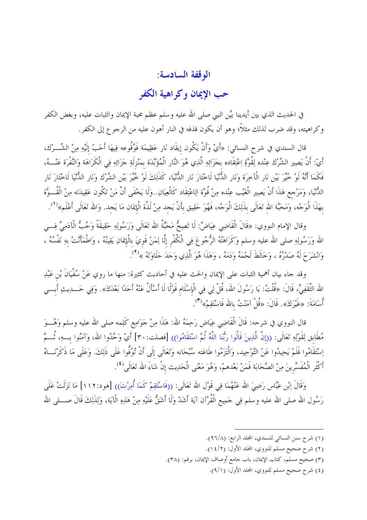## الوقفة السادسة:

## حب الإيمان وكراهية الكفر

في الحديث الذي بين أيدينا بيَّن النبي صلى الله عليه وسلم عظم محبة الإيمان والثبات عليه، وبغض الكفر وكراهيته، وقد ضرب لذلك مثلاً؛ وهو أن يكون قذفه في النار أهون عليه من الرجوع إلى الكفر.

قال السندي في شرح النسائ<sub>ي</sub>: «أَيْ وَأَنْ يَكُون إيقَاد نَار عَظِيمَة فَوُقُوعه فِيهَا أَحَبّ إلَيْهِ مِنْ الشِّــرْك، أَيْ: أَنْ يَصِير الشِّرْك عِنْده لِقُوَّةِ اِعْتِقَاده بحَزَائِهِ الَّذِي هُوَ النَّار الْمُؤَبَّدَة بمَنْزلَةِ حَزَائِهِ فِي الْكَرَاهَة وَالنَّفْرَة عَنْـــهُ، فَكَمَا أَنَّهُ لَوْ خُيِّرَ بَيْنِ نَارِ الْآخِرَة وَنَارِ الدُّنْيَا لَاخْتَارَ نَارِ الدُّنْيَا، كَذَلِكَ لَوْ خُيِّرَ بَيْنِ الشِّرْكِ وَنَارِ الدُّنْيَا لَاخْتَارَ نَارِ الدُّنْيَا، وَمَرْحِع هَذَا أَنْ يَصِير الْغَيْب عِنْده مِنْ قُوَّة الِاعْتِقَاد كَالْعِيَانِ. وَلَا يَخْفَى أَنَّ مَنْ تَكُون عَقِيدَته مِنْ الْقُـــوَّة بهَذَا الْوَجْه، وَمَحَبَّة الله تَعَالَى بذَلِكَ الْوَجْه، فَهُوَ حَقِيق بأَنْ يَجد مِنْ لَذَّة الْإيمَان مَا يَجد. وَالله تَعَالَى أَعْلَم»<sup>(١</sup>).

وقال الإمام النووي: «قَالَ الْقَاضِبِي عِيَاضٌ: لَا تَصِحُّ مَحَبَّةُ الله تَعَالَى وَرَسُولِهِ حَقِيقَةً وَحُبُّ الْآدَمِيِّ فِسِي الله وَرَسُولِهِ صلى الله عليه وسلم وَكَرَاهَتُهُ الرُّجُوعَ فِي الْكُفْرِ إلَّا لِمَنْ قَوِيَ بِالْإِيمَانِ يَقِينُهُ ، وَاطْمَأَنَّتْ بهِ نَفْسُهُ ، وَانْشَرَحَ لَهُ صَدْرُهُ ، وَخَالَطَ لَحْمَهُ وَدَمَهُ ، وَهَذَا هُوَ الَّذِي وَجَدَ حَلَاوَتَهُ »<sup>(٢</sup>).

وقد حاء بيان أهمية الثبات على الإيمان والحث عليه في أحاديث كثيرة: منها ما روي عَنْ سُفْيَانَ بْن عَبْدِ الله الثَّقَفِيِّ، قَالَ: «قُلْتُ: يَا رَسُولَ الله، قُلْ لِي فِي الْإسْلَام قَوْلًا لَا أَسْأَلُ عَنْهُ أَحَدًا بَعْدَكَ». وَفِي حَــــدِيثِ أَبـــي أُسَامَةَ: «غَيْرَكَ». قَالَ: «قُلْ آمَنْتُ بِالله فَاسْتَقِمْ»<sup>(٣)</sup>.

قال النووي في شرحه: قَالَ الْقَاضِي عِيَاضٍ رَحِمَهُ الله: هَذَا مِنْ جَوَامِع كَلِمه صلى الله عليه وسلم وَهُـــوَ مُطَابق لِقَوْلِهِ تَعَالَى: ((إنَّ الَّذِينَ قَالُوا رَبُّنَا اللَّهُ ثُمَّ اسْتَقَامُوا)) [فصلت: ٣٠] أَيْ وَحَّدُوا الله، وَآمَنُوا بِــهِ، ثُـــمَّ اِسْتَقَامُوا فَلَمْ يَحِيدُوا عَنْ التَّوْحِيد، وَالْتَزَمُوا طَاعَته سُبْحَانه وَتَعَالَى إِلَى أَنْ تُوُفُّوا عَلَى ذَلِكَ. وَعَلَى مَا ذَكَرْنَـــاهُ أَكْثَرِ الْمُفَسِّرِينَ مِنْ الصَّحَابَة فَمَنْ بَعْدهمْ، وَهُوَ مَعْنَى الْحَدِيثِ إنْ شَاءَ الله تَعَالَى (<sup>٤</sup>).

وَقَالَ اِبْنِ عَبَّاسٍ رَضِيَ الله عَنْهُمَا فِي قَوْلِ الله تَعَالَى: ((فَاسْتَقِمْ كَمَا أُمِرْتَ)) [هو د:١١٢] مَا نَزَلَتْ عَلَمٍ رَسُول الله صلى الله عليه وسلم فِي حَمِيع الْقُرْآن آيَة أَشَدَّ وَلَا أَشَقُّ عَلَيْهِ مِنْ هَذِهِ الْآيَة، وَلِذَلِكَ قَالَ صــــلى الله

- (١) شرح سنن النسائي للسندي، المحلد الرابع: (٩٦/٨).
- (٢) شرح صحيح مسلم للنووي، المحلد الأول: (١٤/٢).
- (٣) صحيح مسلم، كتاب الإيمان، باب حامع أوصاف الإيمان، برقم: (٣٨).
	- (٤) شرح صحيح مسلم للنووي، المجلد الأول: (٩/١).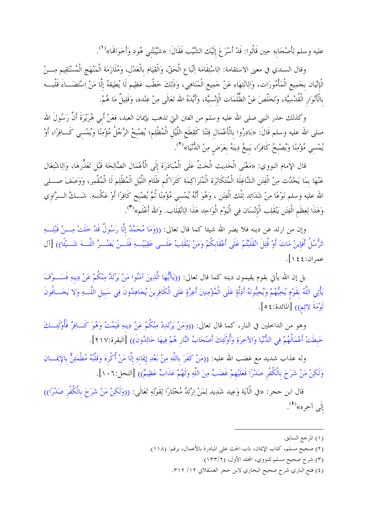عليه وسلم لِأَصْحَابهِ حِين قَالُوا: قَدْ أَسْرَعَ إلَيْك الشَّيْب فَقَالَ: «شَيَّبَتْني هُود وَأَخَوَاللَّه»<sup>(١</sup>).

وقال السندي في معنى الاستقامة: الِاسْتِقَامَة اِتِّبَاع الْحَقّ، وَالْقِيَام بالْعَدْل، وَمُلَازَمَة الْمَنْهَج الْمُسْتَقِيم مِـــنْ الْإِتْيَان بحَمِيع الْمَأْمُورَات، وَالِانْتِهَاء عَنْ حَمِيع الْمَنَاهِي، وَذَلِكَ خَطْب عَظِيم لَا يُطِيقهُ إلَّا مَنْ اِسْتَضَـــاءَ قَلْبـــه بالْأَنْوَارِ الْقُدْسِيَّة، وَتَخَلَّصَ عَنْ الظُّلُمَات الْإِنْسيَّة، وأَيَّدَهُ الله تَعَالَى مِنْ عِنْده، وَقَلِيلٌ مَا هُمْ.

وكذلك حذر النبي صلى الله عليه وسلم من الفتن التي تذهب بإيمان العبد، فعَنْ أَبي هُرَيْرَةَ أَنَّ رَسُولَ الله صلى الله عليه وسلم قَالَ: «بَادِرُوا بالْأَعْمَال فِتَنًا كَقِطَع اللَّيْل الْمُظْلِم؛ يُصْبحُ الرَّحُلُ مُؤْمِنًا وَيُمْسي كَــافِرًا، أَوْ يُمْسِي مُؤْمِنًا وَيُصْبِحُ كَافِرًا، يَبِيعُ دِينَهُ بِعَرَضٍ مِنْ الدُّنْيَا»<sup>(٢)</sup>.

قال الإمام النووي: «مَعْنَى الْحَدِيث الْحَتّ عَلَى الْمُبَادَرَة إلَى الْأَعْمَال الصَّالِحَة قَبْل تَعَذُّرهَا، وَالِاشْتِغَال عَنْهَا بمَا يَحْدُث مِنْ الْفِتَنِ الشَّاغِلَة الْمُتَكَاثِرَة الْمُتَرَاكِمَة كَتَرَاكُم ظَلَام اللَّيْل الْمُظْلِم لَا الْمُقْمِر، وَوَصَفَ صـــلى الله عليه وسلم نَوْعًا مِنْ شَدَائِد تِلْك الْفِتَن ، وَهُوَ أَنَّهُ يُمْسي مُؤْمِنًا ثُمَّ يُصْبح كَافِرًا أَوْ عَكْسه. شَـــكَّ الـــرَّاوي وَهَذَا لِعِظَمِ الْفِتَنِ يَنْقَلِب الْإِنْسَانِ فِي الْيَوْمِ الْوَاحِدِ هَذَا الِانْقِلَابِ. وَالله أَعْلَم» (٣).

وإن من ارتد عن دينه فلا يضر الله شيئا كما قال تعالى: ((وَمَا مُحَمَّدٌ إلَّا رَسُولٌ قَدْ خَلَتْ مِـــنْ قَبْلِـــهِ الرُّسُلُ أَفَإِينْ مَاتَ أَوْ قُتِلَ انْقَلَبْتُمْ عَلَى أَعْقَابِكُمْ وَمَنْ يَنْقَلِبْ عَلَـــى عَقِبَيْـــهِ فَلَـــنْ يَضُـــرَّ اللّـــهَ شَـــيْئًا)) [آل عمران:٤٤ ١ ].

بل إن الله يأتي بقوم يقيمون دينه كما قال تعالى: ((يَاأَيُّهَا الَّذِينَ آمَنُوا مَنْ يَرْتَدَّ مِنْكُمْ عَنْ دِينهِ فَسَـــوْفَ يَأْتِي اللَّهُ بقَوْمٍ يُحِبُّهُمْ وَيُحِبُّونَهُ أَذِلَّةٍ عَلَى الْمُؤْمِنِينَ أَعِزَّةٍ عَلَى الْكَافِرِينَ يُحَاهِدُونَ فِي سَبيلِ اللَّـــهِ وَلا يَخَـــافُونَ لَوْمَةَ لائِمِ)) [المائدة: ٤ ٥].

وهو من الداخلين في النار، كما قال تعالى: ((وَمَنْ يَرْتَدِدْ مِنْكُمْ عَنْ دِينهِ فَيَمُتْ وَهُوَ كَــافِرٌ فَأُوْلَئِـــكَ حَبطَتْ أَعْمَالُهُمْ فِي الدُّنْيَا وَالآخِرَةِ وَأُوْلَئِكَ أَصْحَابُ النَّارِ هُمْ فِيهَا خَالِدُونَ)) [البقرة:٢١٧].

وله عذاب شديد مع غضب الله عليه: ((مَنْ كَفَرَ باللَّهِ مِنْ بَعْدِ إِبمَانهِ إلَّا مَنْ أُكْرِهَ وَقَلْبُهُ مُطْمَئِنٌّ بالإيمَـــانِ وَلَكِنْ مَنْ شَرَحَ بِالْكُفْرِ صَدْرًا فَعَلَيْهِمْ غَضَبٌ مِنَ اللَّهِ وَلَهُمْ عَذَابٌ عَظِيمٌ)) [النحل:١٠٦].

قال ابن حجر: «في الْآيَة وَعِيد شَدِيد لِمَنْ اِرْتَدَّ مُخْتَارًا لِقَوْلِهِ تَعَالَى: ((وَلَكِنْ مَنْ شَرَحَ بالْكُفْر صَدْرًا)) إِلَى آخِرِه»<sup>(٤)</sup>.

<sup>(</sup>١) المرجع السابق.

<sup>(</sup>٢) صحيح مسلم، كتاب الإيمان، باب الحث على المبادرة بالأعمال، برقم: (١١٨).

<sup>(</sup>٣) شرح صحيح مسلم للنووي، المحلد الأول، (١٣٣/٢).

<sup>(</sup>٤) فتح الباري شرح صحيح البخاري لابن حجر العسقلاني ١٢/ ٣١٢.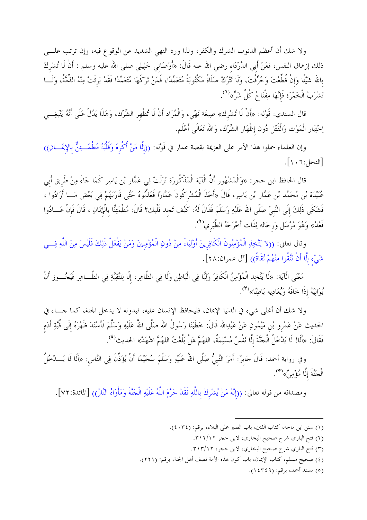ولا شك أن أعظم الذنوب الشرك والكفر، ولذا ورد النهي الشديد عن الوقو ع فيه، وإن ترتب علــــى ذلك إزهاق النفس، فعَنْ أَبي الدَّرْدَاء رضي الله عنه قَالَ: «أَوْصَاني خَلِيلِي صلى الله عليه وسلم : أَنْ لَا تُشْركْ بالله شَيْئًا وَإِنْ قُطِّعْتَ وَحُرِّقْتَ، وَلَا تَتْرُكْ صَلَاةً مَكْتُوبَةً مُتَعَمِّدًا، فَمَنْ تَرَكَهَا مُتَعَمِّدًا فَقَدْ بَرئَتْ مِنْهُ الذِّمَّةُ، وَلَـــا تَشْرَبْ الْخَمْرَ؛ فَإِنَّهَا مِفْتَاحُ كُلِّ شَرٍّ»<sup>(1</sup>).

قال السندي: قَوْله: «أَنْ لَا تُشْرِك» صِيغَة نَهْي، وَالْمُرَاد أَنْ لَا تُظْهِر الشِّرْك، وَهَذَا يَدُلّ عَلَى أَنَّهُ يَنْبَغِـــي اِحْتِيَار الْمَوْت وَالْقَتْل دُون إظْهَار الشِّرْك، وَالله تَعَالَى أَعْلَم.

وإن العلماء حملوا هذا الأمر على العزيمة بقصة عمار في قَوْله: ((إلَّا مَنْ أُكْرِهَ وَقَلْبُهُ مُطْمَــئِنٌّ بالإيمَـــانِ)) [النحل: ١٠٦].

قال الحافظ ابن حجر: «وَالْمَشْهُور أَنَّ الْآيَة الْمَذْكُورَة نَزَلَتْ فِي عَمَّار بْن يَاسِر كَمَا جَاءَ مِنْ طَريق أَبي عُبَيْدَة بْنِ مُحَمَّد بْنِ عَمَّار بْنِ يَاسِرٍ، قَالَ «أَخَذَ الْمُشْرِكُونَ عَمَّارًا فَعَذَّبُوهُ حَتَّى قَارَبَهُمْ فِي بَعْض مَــا أَرَادُوا ، فَشَكَى ذَلِكَ إلَى النَّبيّ صَلَّى الله عَلَيْهِ وَسَلَّمَ فَقَالَ لَهُ: كَيْف تَجد قَلْبك؟ قَالَ: مُطْمَئِنَّا بالْإيمَانِ ، قَالَ فَإِنْ عَــادُوا فَعُدْ» وَهُوَ مُرْسَلٍ وَرِجَاله ثِقَات أَخْرَجَهُ الطَّبَرِي<sup>(٢</sup>).

وقال تعالى: ((لا يَتَّخِذِ الْمُؤْمِنُونَ الْكَافِرِينَ أُوْلِيَاءَ مِنْ دُونِ الْمُؤْمِنِينَ وَمَنْ يَفْعَلْ ذَلِكَ فَلَيْسَ مِنَ اللَّهِ فِسي شَيْء إِلَّا أَنْ تَتَّقُوا مِنْهُمْ تُقَاةً)) [آل عمران:٢٨].

مَعْنَى الْآيَة: «لَا يَتَّخِذ الْمُؤْمِنُ الْكَافِرَ وَلِيًّا فِي الْبَاطِن وَلَا فِي الظَّاهِرِ، إلَّا لِلتَّقِيَّةِ فِي الظَّــاهِر فَيَحُـــوز أَنْ .<br>يُوَالِيَهُ إِذَا خَافَهُ وَيُعَادِيه بَاطِنًا»<sup>(٣)</sup>.

ولا شك أن أغلى شيء في الدنيا الإيمان، فليحافظ الإنسان عليه، فبدونه لا يدخل الجنة، كما حـــاء في الحديث عَنْ عَمْرو بْنِ مَيْمُونٍ عَنْ عَبْدِالله قَالَ: خَطَبَنَا رَسُولُ الله صَلَّى اللهُ عَلَيْهِ وَسَلَّمَ فَأَسْنَدَ ظَهْرَهُ إلَى قُبَّةِ أَدَم فَقَالَ: «أَلَا! لَا يَدْخُلُ الْجَنَّةَ إِلَّا نَفْسُ مُسْلِمَةٌ، اللهُمَّ هَلْ بَلْغْتُ اللهُمَّ اشْهَدْ» الحديث<sup>(٤</sup>).

وفي رواية أحمد: قَالَ جَابِرٌ: أَمَرَ النَّبِيُّ صَلَّى اللهُ عَلَيْهِ وَسَلَّمَ سُحَيْمًا أَنْ يُؤَذّنَ فِي النَّاس: «أَلَا لَا يَـــدْخُلُ الْجَنَّةَ إِلَّا مُؤْمِنٌ»<sup>(٥</sup>).

ومصداقه من قوله تعالى: ((إنَّهُ مَنْ يُشْرِكْ باللَّهِ فَقَدْ حَرَّمَ اللَّهُ عَلَيْهِ الْجَنَّةَ وَمَأْوَاهُ النَّارُ)) [المائدة:٧٢].

- (١) سنن ابن ماجه، كتاب الفتن، باب الصبر على البلاء، برقم: (٣٤٠٤).
	- (٢) فتح الباري شرح صحيح البخاري، لابن حجر ٣١٢/١٢.
	- (٣) فتح الباري شرح صحيح البخاري، لابن حجر، ٣١٣/١٢.
- (٤) صحيح مسلم، كتاب الإيمان، باب كون هذه الأمة نصف أهل الجنة، برقم: (٢٢١).
	- (٥) مسند أحمد، برقم: (٤٣٤٩).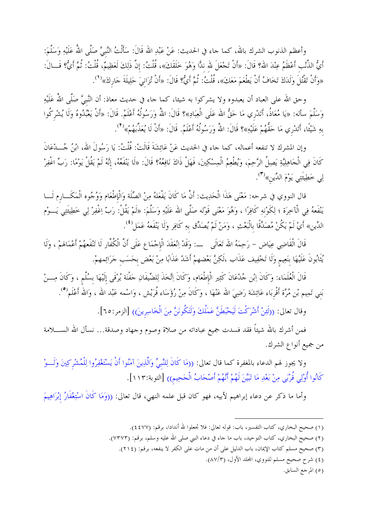وأعظم الذنوب الشرك بالله، كما جاء في الحديث: عَنْ عَبْدِ الله قَالَ: سَأَلْتُ النَّبيَّ صَلَّى اللهُ عَلَيْهِ وَسَلَّمَ: أَيُّ الذَّنْب أَعْظَمُ عِنْدَ الله؟ قَالَ: «أَنْ تَجْعَلَ لله ندًّا وَهُوَ خَلَقَكَ»، قُلْتُ: إنَّ ذَلِكَ لَعَظِيمٌ، قُلْتُ: ثُمَّ أَيُّ؟ قَـــالَ: «وَأَنْ تَقْتُلَ وَلَدَكَ تَخَافُ أَنْ يَطْعَمَ مَعَكَ»، قُلْتُ: ثُمَّ أَيُّ؟ قَالَ: «أَنْ تُزَانِيَ حَلِيلَةَ جَاركَ»<sup>(١</sup>).

وحق الله على العباد أن يعبدوه ولا يشركوا به شيئا، كما حاء في حديث معاذ: أن النَّبيَّ صَلَّى اللهُ عَلَيْهِ وَسَلَّمَ سأله: «يَا مُعَاذُ، أَتَدْري مَا حَقُّ الله عَلَى الْعِبَادِ»؟ قَالَ: اللهُ وَرَسُولُهُ أَعْلَمُ. قَالَ: «أَنْ يَعْبُدُوهُ وَلَا يُشْرِكُوا بهِ شَيْئًا، أَتَدْري مَا حَقُّهُمْ عَلَيْهِ»؟ قَالَ: اللهُ وَرَسُولُهُ أَعْلَمُ. قَالَ: «أَنْ لَا يُعَذَّبَهُمْ»<sup>(٢</sup>).

وإن المشرك لا تنفعه أعماله، كما جاء في الحديث عَنْ عَائِشَةَ قَالَتْ: قُلْتُ: يَا رَسُولَ الله، ابْنُ جُـــدْعَانَ كَانَ فِي الْحَاهِلِيَّةِ يَصِلُ الرَّحِمَ، وَيُطْعِمُ الْمِسْكِينَ، فَهَلْ ذَاكَ نَافِعُهُ؟ قَالَ: «لَا يَنْفَعُهُ، إنَّهُ لَمْ يَقُلْ يَوْمًا: رَبِّ اغْفِرْ لِي خَطِيئَتِي يَوْمَ الدِّينِ»<sup>(٣)</sup>.

قال النووي في شرحه: مَعْنَى هَذَا الْحَدِيث: أَنَّ مَا كَانَ يَفْعَلهُ مِنْ الصِّلَة وَالْإطْعَام وَوُجُوه الْمَكَـــارم لَـــا يَنْفَعهُ فِي الْآخِرَة ؛ لِكَوْنهِ كَافِرًا ، وَهُوَ مَعْنَى قَوْله صَلَّى الله عَلَيْهِ وَسَلَّمَ: «لَمْ يَقُلْ: رَبّ اِغْفِرْ لِي خَطِيئَتِي يَـــوْم الدِّين» أَيْ لَمْ يَكُنْ مُصَدِّقًا بِالْبَعْثِ ، وَمَنْ لَمْ يُصَدِّق بهِ كَافِرٍ وَلَا يَنْفَعهُ عَمَل<sup>(٤</sup>).

قَالَ الْقَاضِي عِيَاضٍ – رَحِمَهُ الله تَعَالَى ۚ ـــ: وَقَدْ اِنْعَقَدَ الْإِجْمَاعِ عَلَى أَنَّ الْكُفَّار لَا تَنْفَعهُمْ أَعْمَالهمْ ، وَلَا يُثَابُونَ عَلَيْهَا بنَعِيم وَلَا تَخْفِيف عَذَاب ،لَكِنَّ بَعْضهمْ أَشَدّ عَذَابًا مِنْ بَعْض بحَسَب حَرَائِمهمْ.

قَالَ الْعُلَمَاء: وَكَانَ اِبْنِ جُدْعَانَ كَثِيرِ الْإطْعَامِ، وَكَانَ اِتَّخَذَ لِلضِّيفَانِ حَفْنَة يُرْقَى إلَيْهَا بسُلَّم ، وَكَانَ مِـــنْ بَني تَمِيم بْن مُرَّة أَقْربَاء عَائِشَة رَضِيَ الله عَنْهَا ، وَكَانَ مِنْ رُؤَسَاء قُرَيْش ، وَاسْمه عَبْد الله ، وَالله أَعْلَم<sup>(٥</sup>).

وقال تعالى: ((لَثِنْ أَشْرَكْتَ لَيَحْبَطَنَّ عَمَلُكَ وَلَتَكُونَنَّ مِنَ الْخَاسِرِينَ)) [الزمر:٦٥].

فمن أشرك بالله شيئاً فقد فسدت جميع عباداته من صلاة وصوم وحهاد وصدقة… نسأل الله الســـــلامة من جميع أنواع الشرك.

ولا يجوز لهم الدعاء بالمغفرة كما قال تعالى: ((مَا كَانَ لِلنَّبيِّ وَالَّذِينَ آمَنُوا أَنْ يَسْتَغْفِرُوا لِلْمُشْركِينَ وَلَـــوْ كَانُوا أُوْلِي قُرْبَى مِنْ بَعْدِ مَا تَبَيَّنَ لَهُمْ أَنَّهُمْ أَصْحَابُ الْحَحِيمِ)) [التوبة:١١٢].

وأما ما ذكر عن دعاء إبراهيم لأبيه، فهو كان قبل علمه النهي، قال تعالى: ((وَمَا كَانَ اسْتِغْفَارُ إبْرَاهِيمَ

(٥) المرجع السابق.

<sup>(</sup>١) صحيح البخاري، كتاب التفسير، باب: قوله تعالى: فلا تجعلوا لله أندادا، برقم: (٤٤٧٧).

<sup>(</sup>٢) صحيح البخاري، كتاب التوحيد، باب ما جاء في دعاء النبي صلى الله عليه وسلم، برقم: (٧٣٧٣).

<sup>(</sup>٣) صحيح مسلم كتاب الإيمان، باب الدليل على أن من مات على الكفر لا ينفعه، برقم: (٢١٤).

<sup>(</sup>٤) شرح صحيح مسلم للنووي، المحلد الأول، (٨٧/٣).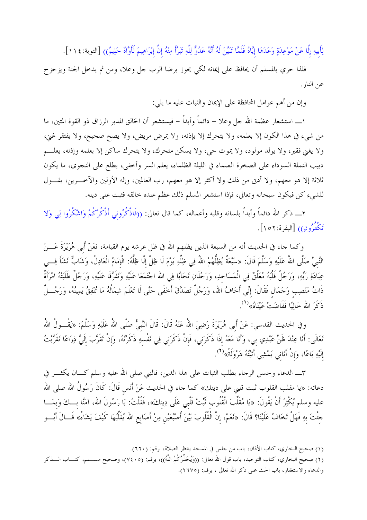لِأَبِيهِ إِلَّا عَنْ مَوْعِدَةٍ وَعَدَهَا إِيَّاهُ فَلَمَّا تَبَيَّنَ لَهُ أَنَّهُ عَدُوٌّ لِلَّهِ تَبَرَّأَ مِنْهُ إِنَّ إبْرَاهِيمَ لَأَوَّاهٌ حَلِيمٌ)) [التوبة:١١٤].

فلذا حري بالمسلم أن يحافظ على إيمانه لكي يحوز برضا الرب حل وعلا، ومن ثم يدخل الجنة ويزحزح عن النار .

وإن من أهم عوامل المحافظة على الإيمان والثبات عليه ما يلي:

١ــــ استشعار عظمة الله حل وعلا – دائماً وأبداً – فيستشعر أن الخالق المدبر الرزاق ذو القوة المتين، ما من شيء في هذا الكون إلا بعلمه، ولا يتحرك إلا بإذنه، ولا يمرض مريض، ولا يصح صحيح، ولا يفتقر غني، ولا يغني فقير، ولا يولد مولود، ولا يموت حي، ولا يسكن متحرك، ولا يتحرك ساكن إلا بعلمه وإذنه، يعلـــم دبيب النملة السوداء على الصخرة الصماء في الليلة الظلماء، يعلم السر وأخفى، يطلع على النجوى، ما يكون ثلاثة إلا هو معهم، ولا أدن من ذلك ولا أكثر إلا هو معهم، رب العالمين، وإله الأولين والآخــــرين، يقــــول للشيء كن فيكون سبحانه وتعالى، فإذا استشعر المسلم ذلك عظم عنده حالقه فثبت على دينه.

٢ـــ ذكر الله دائماً وأبداً بلسانه وقلبه وأعماله، كما قال تعالى: ((فَاذْكُرُوني أَذْكُرْكُمْ وَاشْكُرُوا لِي وَلا تَكْفُرُونِ)) [البقرة:٥٢ ١ ].

وكما حاء في الحديث أنه من السبعة الذين يظلهم الله في ظل عرشه يوم القيامة، فعَنْ أَبي هُرَيْرَةَ عَـــنْ النَّبيِّ صَلَّى اللهُ عَلَيْهِ وَسَلَّمَ قَالَ: «سَبْعَةٌ يُظِلُّهُمْ اللهُ فِي ظِلِّهِ يَوْمَ لَا ظِلَّ إِلَّا ظِلُّهُ: الْإِمَامُ الْعَادِلُ، وَشَابٌ نَشَأَ فِسي عِبَادَةِ رَبِّهِ، وَرَجُلٌ قَلْبُهُ مُعَلَّقٌ فِي الْمَسَاحِدِ، وَرَجُلَانِ تَحَابًّا فِي الله اجْتَمَعَا عَلَيْهِ وَتَفَرَّقَا عَلَيْهِ، وَرَجُلٌ طَلَبَتْهُ امْرَأَةٌ ذَاتُ مَنْصِب وَحَمَال فَقَالَ: إنِّي أَخَافُ الله، وَرَجُلٌ تَصَدَّقَ أَخْفَى حَتَّى لَا تَعْلَمَ شِمَالُهُ مَا تُنْفِقُ يَمِينُهُ، وَرَجُـــلٌ ذَكَرَ الله خَالِيًا فَفَاضَتْ عَيْنَاهُ»<sup>(1</sup>).

وفي الحديث القدسي: عَنْ أَبي هُرَيْرَةَ رَضِيَ اللهُ عَنْهُ قَالَ: قَالَ النَّبيُّ صَلَّى اللهُ عَلَيْهِ وَسَلَّمَ: «يَقُــولُ اللهُ تَعَالَى: أَنَا عِنْدَ ظَنٍّ عَبْدِي بي، وَأَنَا مَعَهُ إِذَا ذَكَرَنِي، فَإِنْ ذَكَرَنِي فِي نَفْسِهِ ذَكَرْتُهُ، وَإِنْ تَقَرَّبَ إِلَيَّ ذِرَاعًا تَقَرَّبْتُ إلَيْهِ بَاعًا، وَإِنْ أَتَانِي يَمْشِي أَتَيْتُهُ هَرْوَلَةً»<sup>(٢</sup>).

٣ـــ الدعاء وحسن الرجاء بطلب الثبات على هذا الدين، فالنبي صلى الله عليه وسلم كــــان يكثــــر في دعائه: «يا مقلب القلوب ثبت قلبي على دينك» كما جاء في الحديث عَنْ أَنَس قَالَ: كَانَ رَسُولُ الله صلى الله عليه وسلم يُكْثِرُ أَنْ يَقُولَ: «يَا مُقَلِّبَ الْقُلُوب ثَبِّتْ قَلْبي عَلَى دِينكَ»، فَقُلْتُ: يَا رَسُولَ الله، آمَنَّا بِـــكَ وَبِمَـــا حثتَ بهِ فَهَلْ تَخَافُ عَلَيْنَا؟ قَالَ: «نَعَمْ، إنَّ الْقُلُوبَ بَيْنَ أُصْبُعَيْنِ مِنْ أَصَابِعِ الله يُقَلِّبُهَا كَيْفَ يَشَاءُ» قَــالَ أَبُـــو

<sup>(</sup>١) صحيح البخاري، كتاب الأذان، باب من حلس في المسجد ينتظر الصلاة، برقم: (٦٦٠).

<sup>(</sup>٢) صحيح البخاري، كتاب التوحيد، باب قول الله تعالى: ((وَيُحَذِّرُكُمُ اللَّهُ))، برقم: (٧٤٠٥)، وصحيح مســـلم، كتـــاب الــــذكر والدعاء والاستغفار، باب الحث على ذكر الله تعالى ، برقم: (٢٦٧٥).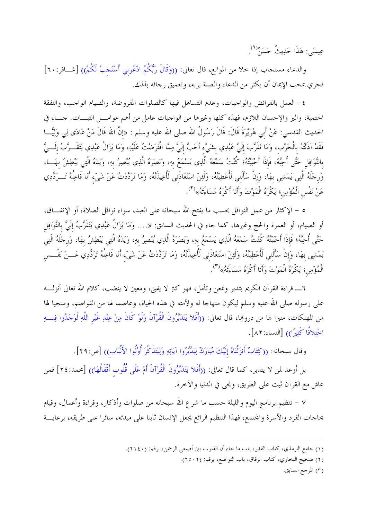عِيسَى: هَذَا حَدِيثٌ حَسَنٌ".

والدعاء مستجاب إذا حلا من الموانع، قال تعالى: ((وَقَالَ رَبُّكُمُ ادْعُونِي أَسْتَجِبْ لَكُمْ)) [غـــافر:٦٠] فحري بمحب الإيمان أن يكثر من الدعاء والصلة بربه، وتعميق رحائه بذلك.

٤ – العمل بالفرائض والواجبات، وعدم التساهل فيها كالصلوات المفروضة، والصيام الواحب، والنفقة الحتمية، والبر والإحسان اللازم، فهذه كلها وغيرها من الواجبات عامل من أهم عوامـــل الثبــــات. حــــاء في الحديث القدسي: عَنْ أَبي هُرَيْرَةَ قَالَ: قَالَ رَسُولُ الله صلى الله عليه وسلم : «إنَّ الله قَالَ مَنْ عَادَى لِي وَلِيُّـــا فَقَدْ آذَنْتُهُ بالْحَرْب، وَمَا تَقَرَّبَ إِلَيَّ عَبْدِي بشَيْءٍ أَحَبَّ إِلَيَّ مِمَّا افْتَرَضْتُ عَلَيْهِ، وَمَا يَزَالُ عَبْدِي يَتَقَــرَّبُ إلَـــيَّ بالنَّوَافِل حَتَّى أُحِبَّهُ، فَإِذَا أَحْبَبْتُهُ؛ كُنْتُ سَمْعَهُ الَّذِي يَسْمَعُ بِهِ، وَبَصَرَهُ الَّذِي يُبْصِرُ بِهِ، وَيَدَهُ الَّتِي يَبْطِشُ بِهَــا، وَرجْلَهُ الَّتِي يَمْشِي بهَا، وَإِنْ سَأَلَنِي لَأُعْطِيَنَّهُ، وَلَئِنْ اسْتَعَاذَنِي لَأُعِيذَنَّهُ، وَمَا تَرَدَّدْتُ عَنْ شَيْء أَنَا فَاعِلُهُ تَـــرَدُّدِي عَنْ نَفْسِ الْمُؤْمِنِ؛ يَكْرَهُ الْمَوْتَ وَأَنَا أَكْرَهُ مَسَاءَتَهُ»(٢).

٥ – الإكثار من عمل النوافل بحسب ما يفتح الله سبحانه على العبد، سواء نوافل الصلاة، أو الإنفــاق، أو الصيام، أو العمرة والحج وغيرها، كما حاء في الحديث السابق: «…. وَمَا يَزَالُ عَبْدِي يَتَقَرَّبُ إلَيَّ بالنَّوَافِل حَتَّى أُحِبَّهُ؛ فَإِذَا أَحْبَبْتُهُ كُنْتُ سَمْعَهُ الَّذِي يَسْمَعُ بهِ، وَبَصَرَهُ الَّذِي يُنصِرُ بهِ، وَيَدَهُ الَّتِي يَبْطِشُ بهَا، وَرجْلَهُ الَّتِي يَمْشِي بهَا، وَإِنْ سَأَلَني لَأُعْطِيَنَّهُ، وَلَهِنْ اسْتَعَاذَني لَأُعِيذَنَّهُ، وَمَا تَرَدَّدْتُ عَنْ شَيْء أَنَا فَاعِلُهُ تَرَدُّدِي عَـــنْ نَفْــس الْمُؤْمِن؛ يَكْرَهُ الْمَوْتَ وَأَنَا أَكْرَهُ مَسَاءَتَهُ»'".

٦ـــــ قراءة القرآن الكريم بتدبر وتمعن وتأمل، فهو كتر لا يفني، ومعين لا ينضب، كلام الله تعالى أنزلــــه على رسوله صلى الله عليه وسلم ليكون منهاجا له ولأمته في هذه الحياة، وعاصما لها من القواصم، ومنجيا لها من المهلكات، منيرا لها من دروها، قال تعالى: ((أَفَلا يَتَدَبَّرُونَ الْقُرْآنَ وَلَوْ كَانَ مِنْ عِنْدِ غَيْر اللَّهِ لَوَحَدُوا فِيبِهِ اخْتِلافًا كَثِيرًا)) [النساء:٨٢].

وقال سبحانه: ((كِتَابٌ أَنزَلْنَاهُ إِلَيْكَ مُبَارَكٌ لِيَدَّبَّرُوا آيَاتِهِ وَلِيَتَذَكَّرَ أُوْلُوا الأَلْبَاب)) [ص:٢٩].

بل أوعد لمن لا يتدبر، كما قال تعالى: ((أَفَلا يَتَدَبَّرُونَ الْقُرْآنَ أَمْ عَلَى قُلُوب أَقْفَالُهَا)) [محمد:٢٤] فمن عاش مع القرآن ثبت على الطريق، ونجي في الدنيا والآخرة.

٧ – تنظيم برنامج اليوم والليلة حسب ما شرع الله سبحانه من صلوات وأذكار، وقراءة وأعمال، وقيام بحاحات الفرد والأسرة والمحتمع، فهذا التنظيم الرائع يجعل الإنسان ثابتا على مبدئه، سائرا على طريقه، برعايـــة

(٣) المرجع السابق.

<sup>(</sup>١) جامع الترمذي، كتاب القدر، باب ما جاء أن القلوب بين أصبعي الرحمن، برقم: (٢١٤٠).

<sup>(</sup>٢) صحيح البخاري، كتاب الرقاق، باب التواضع، برقم: (٢٥٠٢).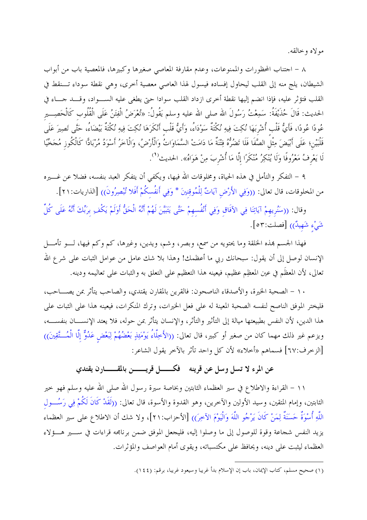مولاه وخالقه.

٨ – احتناب المحظورات والممنوعات، وعدم مقارفة المعاصي صغيرها وكبيرها، فالمعصية باب من أبواب الشيطان، يلج منه إلى القلب ليحاول إفساده فيسول لهذا العاصى معصية أحرى، وهي نقطة سوداء تـــنقط في القلب فتؤثر عليه، فإذا انضم إليها نقطة أخرى ازداد القلب سوادا حتى يطغي عليه الســواد، وقــد جــاء في الحديث: قَالَ حُذَيْفَةُ: سَمِعْتُ رَسُولَ الله صلى الله عليه وسلم يَقُولُ: «تُعْرَضُ الْفِتَنُ عَلَى الْقُلُوب كَالْحَصِــــير عُودًا عُودًا، فَأَيُّ قَلْب أُشْرِبَهَا نُكِتَ فِيهِ نُكْتَةٌ سَوْدَاءُ، وَأَيُّ قَلْب أَنْكَرَهَا نُكِتَ فِيهِ نُكْتَةٌ بَيْضَاءُ، حَتَّى تَصِيرَ عَلَى قَلْبَيْن؛ عَلَى أَبْيَضَ مِثْل الصَّفَا فَلَا تَضُرُّهُ فِتْنَةٌ مَا دَامَتْ السَّمَاوَاتُ وَالْأَرْضُ، وَالْآخرُ أَسْوَدُ مُرْبَادًّا كَالْكُوز مُجَخّيًا لَا يَعْرِفُ مَعْرُوفًا وَلَا يُنْكِرُ مُنْكَرًا إلَّا مَا أُشْرِبَ مِنْ هَوَاهُ». الحديث<sup>(١</sup>).

٩ – التفكر والتأمل في هذه الحياة، ومخلوقات الله فيها، ويكفى أن يتفكر العبد بنفسه، فضلا عن غــــيره من المخلوقات، قال تعالى: ((وَفِي الأَرْضِ آيَاتٌ لِلْمُوقِنينَ \* وَفِي أَنفُسكُمْ أَفَلا تُبْصِرُونَ)) [الذاريات:٢١].

وقال: ((سَنُريهمْ آيَاتِنَا فِي الآفَاق وَفِي أَنْفُسهمْ حَتَّى يَتَبَيَّنَ لَهُمْ أَنَّهُ الْحَقُّ أَوَلَمْ يَكْف برَبِّكَ أَنَّهُ عَلَى كُلِّ شَيْءِ شَهِيدٌ)) [فصلت:٥٣].

فهذا الجسم هذه الخلقة وما يحتويه من سمع، وبصر، وشم، ويدين، وغيرها، كم وكم فيها، لـــو تأمــــل الإنسان لوصل إلى أن يقول: سبحانك ربي ما أعظمك! وهذا بلا شك عامل من عوامل الثبات على شرع الله تعالى، لأن المعظَم في عين المعظِم عظيم، فيعينه هذا التعظيم على التعلق به والثبات على تعاليمه ودينه.

١٠ – الصحبة الخيرة، والأصدقاء الناصحون: فالقرين بالمقارن يقتدي، والصاحب يتأثر بمن يصــــاحب، فليختر الموفق الناصح لنفسه الصحبة المعينة له على فعل الخيرات، وترك المنكرات، فيعينه هذا على الثبات على هذا الدين، لأن النفس بطبيعتها ميالة إلى التأثير والتأثر، والإنسان يتأثر بمن حوله، فلا يعتد الإنســــان بنفســــه، ويزعم غير ذلك مهما كان من صغير أو كبير، قال تعالى: ((الأَخِلَّاءُ يَوْمَئِذٍ بَعْضُهُمْ لِبَعْض عَدُوٌّ إلَّا الْمُستَّقِينَ)) [الزخرف:٦٧] فسماهم «أخلاء» لأن كل واحد تأثر بالآخر يقول الشاعر:

## عن المرء لا تسل وسل عن قرينه \_ فكـــــــل قريــــــــن بالمقــــــــارن يقتدى

١١ – القراءة والاطلاع في سير العظماء الثابتين وبخاصة سيرة رسول الله صلى الله عليه وسلم فهو حير الثابتين، وإمام المتقين، وسيد الأولين والآخرين، وهو القدوة والأسوة، قال تعالى: ((لَقَدْ كَانَ لَكُمْ فِي رَسُــول اللَّهِ أُسْوَةٌ حَسَنَةٌ لِمَنْ كَانَ يَرْجُو اللَّهَ وَالْيَوْمَ الآخِرَ) [الأحزاب:٢١]، ولا شك أن الاطلاع على سير العظماء يزيد النفس شجاعة وقوة للوصول إلى ما وصلوا إليه، فليجعل الموفق ضمن برنامجه قراءات في ســــير هــــؤلاء العظماء ليثبت على دينه، ويحافظ على مكتسباته، ويقوى أمام العواصف والمؤثرات.

<sup>(</sup>١) صحيح مسلم، كتاب الإيمان، باب إن الإسلام بدأ غريبا وسيعود غريبا، برقم: (١٤٤).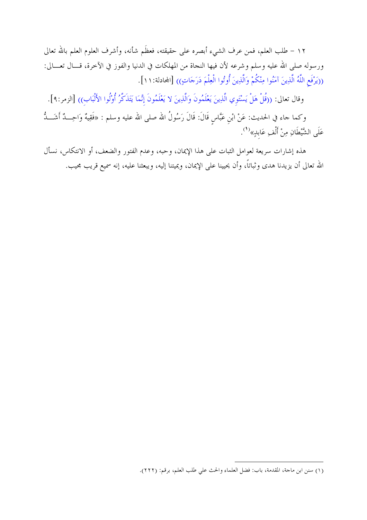١٢ – طلب العلم، فمن عرف الشيء أبصره على حقيقته، فعظَم شأنه، وأشرف العلوم العلم بالله تعالى ورسوله صلى الله عليه وسلم وشرعه لأن فيها النجاة من المهلكات في الدنيا والفوز في الآخرة، قـــال تعـــالى: ((يَرْفَعِ اللَّهُ الَّذِينَ آمَنُوا مِنْكُمْ وَالَّذِينَ أُوتُوا الْعِلْمَ دَرَجَاتٍ)) [المحادلة: ١ ١ ].

وقال تعالى: ((قُلْ هَلْ يَسْتَوي الَّذِينَ يَعْلَمُونَ وَالَّذِينَ لا يَعْلَمُونَ إِنَّمَا يَتَذَكَّرُ أُوْلُوا الأَلْبَاب)) [الزمر:٩].

وكما جاء في الحديث: عَنْ ابْن عَبَّاس قَالَ: قَالَ رَسُولُ الله صلى الله عليه وسلم : «فَقِيهٌ وَاحِـــدٌ أَشَـــدٌ عَلَى الشَّيْطَانِ مِنْ أَلْفِ عَابِدٍ»<sup>(1</sup>).

هذه إشارات سريعة لعوامل الثبات على هذا الإيمان، وحبه، وعدم الفتور والضعف، أو الانتكاس، نسأل الله تعالى أن يزيدنا هدى وثباتاً، وأن يحيينا على الإيمان، ويميتنا إليه، ويبعثنا عليه، إنه سميع قريب مجيب.

<sup>(</sup>١) سنن ابن ماجة، المقدمة، باب: فضل العلماء والحث على طلب العلم، برقم: (٢٢٢).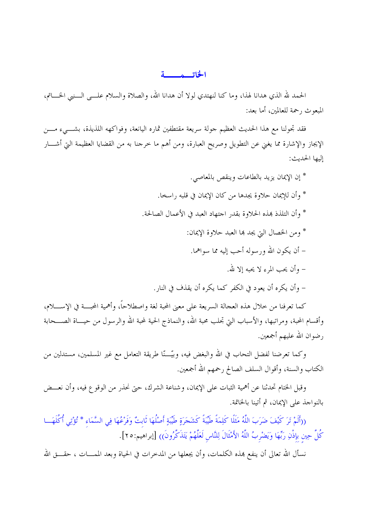## الخاتيبه بسبية

الحمد لله الذي هدانا لهذا، وما كنا لنهتدي لولا أن هدانا الله، والصلاة والسلام علـــي الــــنبي الخــــاتم، المبعوث , حمة للعالمين، أما بعد:

فقد تجولنا مع هذا الحديث العظيم جولة سريعة مقتطفين ثماره اليانعة، وفواكهه اللذيذة، بشـــيء مــــن الإيجاز والإشارة مما يغني عن التطويل وصريح العبارة، ومن أهم ما خرجنا به من القضايا العظيمة التي أشــــار إليها الحديث:

> \* إن الإيمان يزيد بالطاعات وينقص بالمعاصى. \* وأن للإيمان حلاوة يجدها من كان الإيمان في قلبه راسخا. \* وأن التلذذ بمذه الحلاوة بقدر احتهاد العبد في الأعمال الصالحة. \* ومن الخصال التي يجد ها العبد حلاوة الإيمان: – أن يكون الله ورسوله أحب إليه مما سواهما. – وأن يجب المرء لا يحيه إلا لله. – وأن يكره أن يعود في الكفر كما يكره أن يقذف في النار .

كما تعرفنا من خلال هذه العجالة السريعة على معنى المحبة لغة واصطلاحاً، وأهمية المحبَّــة في الإســـــلام، وأقسام المحبة، ومراتبها، والأسباب التي تجلب محبة الله، والنماذج الحية لمحبة الله والرسول من حيـــاة الصـــحابة رضوان الله عليهم أجمعين.

وكما تعرضنا لفضل التحاب في الله والبغض فيه، وبيَّـــنّا طريقة التعامل مع غير المسلمين، مستدلين من الكتاب والسنة، وأقوال السلف الصالح رحمهم الله أجمعين.

وقبل الختام تحدثنا عن أهمية الثبات على الإيمان، وشناعة الشرك، حتى نحذر من الوقوع فيه، وأن نعـــض بالنواحذ على الإيمان، ثم أتينا بالخاتمة.

((أَلَمْ تَرَ كَيْفَ ضَرَبَ اللَّهُ مَثَلًا كَلِمَةً طَيِّبَةً كَشَجَرَةٍ طَيِّبَةٍ أَصْلُهَا ثَابتٌ وَفَرْعُهَا فِي السَّمَاء \* تُؤْتِي أُكُلَهَــا كُلَّ حِين بإذْنِ رَبِّهَا وَيَضْرِبُ اللَّهُ الأَمْثَالَ لِلنَّاسِ لَعَلَّهُمْ يَتَذَكَّرُونَ)) [إبراهيم:٢٥].

نسأل الله تعالى أن ينفع بمذه الكلمات، وأن يجعلها من المدحرات في الحياة وبعد الممـــات ، حقــــق الله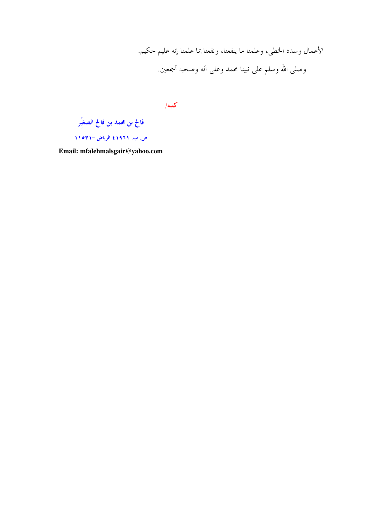الأعمال وسدد الخطي، وعلمنا ما ينفعنا، ونفعنا بما علمنا إنه عليم حكيم. وصلى الله وسلم على نبينا محمد وعلى آله وصحبه أجمعين.

كتبه/

فالح بن محمد بن فالح الصغيّر ص. ب. ١٩٦١٤ الرياض –١١٥٣١

Email: mfalehmalsgair@yahoo.com